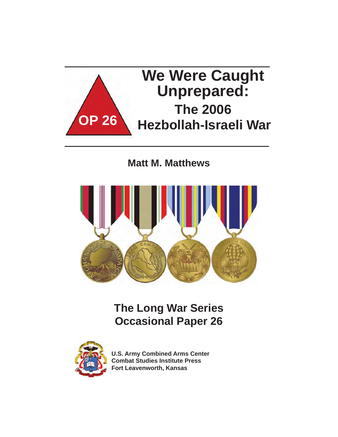

**Matt M. Matthews**



# **The Long War Series Occasional Paper 26**



**U.S. Army Combined Arms Center Combat Studies Institute Press Fort Leavenworth, Kansas**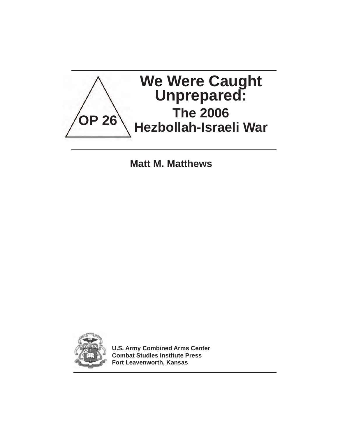

**Matt M. Matthews**



**U.S. Army Combined Arms Center Combat Studies Institute Press Fort Leavenworth, Kansas**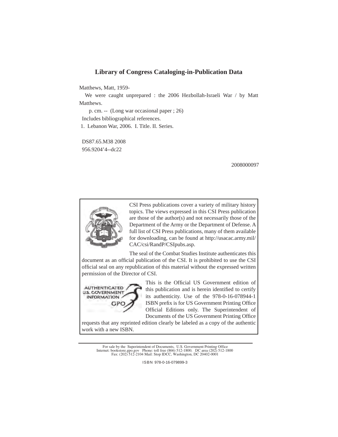## **Library of Congress Cataloging-in-Publication Data**

Matthews, Matt, 1959-

We were caught unprepared : the 2006 Hezbollah-Israeli War / by Matt Matthews.

 p. cm. -- (Long war occasional paper ; 26) Includes bibliographical references.

1. Lebanon War, 2006. I. Title. II. Series.

 DS87.65.M38 2008 956.9204'4--dc22

2008000097



CSI Press publications cover a variety of military history topics. The views expressed in this CSI Press publication are those of the author(s) and not necessarily those of the Department of the Army or the Department of Defense. A full list of CSI Press publications, many of them available for downloading, can be found at http://usacac.army.mil/ CAC/csi/RandP/CSIpubs.asp.

The seal of the Combat Studies Institute authenticates this document as an official publication of the CSI. It is prohibited to use the CSI official seal on any republication of this material without the expressed written permission of the Director of CSI.



This is the Official US Government edition of this publication and is herein identified to certify its authenticity. Use of the 978-0-16-078944-1 ISBN prefix is for US Government Printing Office Official Editions only. The Superintendent of Documents of the US Government Printing Office

requests that any reprinted edition clearly be labeled as a copy of the authentic work with a new ISBN.

 For sale by the Superintendent of Documents, U.S. Government Printing Office For sale by the Superintendent of Documents, U.S. Government Printing Office: bookstore.gpo.gov Phone: toll free (866) 512-1800<br>Internet: Dockstore.gpo.gov Phone: toll free (866) 512-1800<br>Fax: (202) 512-2104 Mail: Stop IDC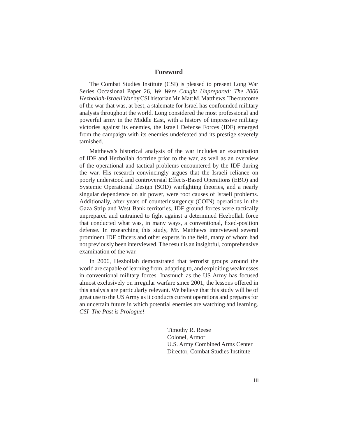#### **Foreword**

The Combat Studies Institute (CSI) is pleased to present Long War Series Occasional Paper 26, *We Were Caught Unprepared: The 2006 Hezbollah-Israeli War* by CSI historian Mr. Matt M. Matthews. The outcome of the war that was, at best, a stalemate for Israel has confounded military analysts throughout the world. Long considered the most professional and powerful army in the Middle East, with a history of impressive military victories against its enemies, the Israeli Defense Forces (IDF) emerged from the campaign with its enemies undefeated and its prestige severely tarnished.

Matthews's historical analysis of the war includes an examination of IDF and Hezbollah doctrine prior to the war, as well as an overview of the operational and tactical problems encountered by the IDF during the war. His research convincingly argues that the Israeli reliance on poorly understood and controversial Effects-Based Operations (EBO) and Systemic Operational Design (SOD) warfighting theories, and a nearly singular dependence on air power, were root causes of Israeli problems. Additionally, after years of counterinsurgency (COIN) operations in the Gaza Strip and West Bank territories, IDF ground forces were tactically unprepared and untrained to fight against a determined Hezbollah force that conducted what was, in many ways, a conventional, fixed-position defense. In researching this study, Mr. Matthews interviewed several prominent IDF officers and other experts in the field, many of whom had not previously been interviewed. The result is an insightful, comprehensive examination of the war.

In 2006, Hezbollah demonstrated that terrorist groups around the world are capable of learning from, adapting to, and exploiting weaknesses in conventional military forces. Inasmuch as the US Army has focused almost exclusively on irregular warfare since 2001, the lessons offered in this analysis are particularly relevant. We believe that this study will be of great use to the US Army as it conducts current operations and prepares for an uncertain future in which potential enemies are watching and learning. *CSI–The Past is Prologue!* 

> Timothy R. Reese Colonel, Armor U.S. Army Combined Arms Center Director, Combat Studies Institute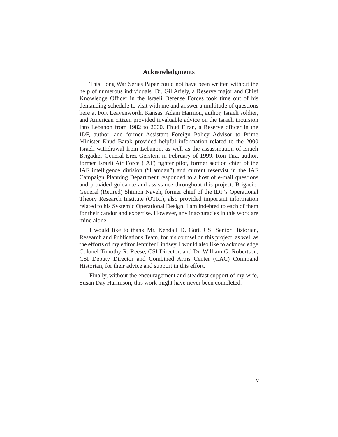#### **Acknowledgments**

This Long War Series Paper could not have been written without the help of numerous individuals. Dr. Gil Ariely, a Reserve major and Chief Knowledge Officer in the Israeli Defense Forces took time out of his demanding schedule to visit with me and answer a multitude of questions here at Fort Leavenworth, Kansas. Adam Harmon, author, Israeli soldier, and American citizen provided invaluable advice on the Israeli incursion into Lebanon from 1982 to 2000. Ehud Eiran, a Reserve officer in the IDF, author, and former Assistant Foreign Policy Advisor to Prime Minister Ehud Barak provided helpful information related to the 2000 Israeli withdrawal from Lebanon, as well as the assassination of Israeli Brigadier General Erez Gerstein in February of 1999. Ron Tira, author, former Israeli Air Force (IAF) fighter pilot, former section chief of the IAF intelligence division ("Lamdan") and current reservist in the IAF Campaign Planning Department responded to a host of e-mail questions and provided guidance and assistance throughout this project. Brigadier General (Retired) Shimon Naveh, former chief of the IDF's Operational Theory Research Institute (OTRI), also provided important information related to his Systemic Operational Design. I am indebted to each of them for their candor and expertise. However, any inaccuracies in this work are mine alone.

I would like to thank Mr. Kendall D. Gott, CSI Senior Historian, Research and Publications Team, for his counsel on this project, as well as the efforts of my editor Jennifer Lindsey. I would also like to acknowledge Colonel Timothy R. Reese, CSI Director, and Dr. William G. Robertson, CSI Deputy Director and Combined Arms Center (CAC) Command Historian, for their advice and support in this effort.

Finally, without the encouragement and steadfast support of my wife, Susan Day Harmison, this work might have never been completed.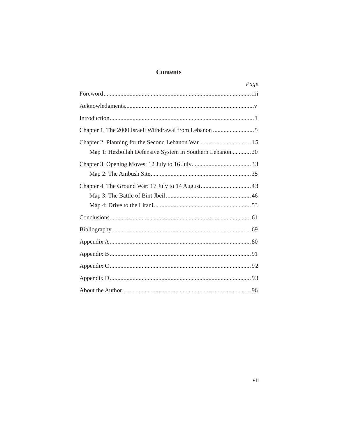## **Contents**

|                                                          | Page |
|----------------------------------------------------------|------|
|                                                          |      |
|                                                          |      |
|                                                          |      |
|                                                          |      |
|                                                          |      |
| Map 1: Hezbollah Defensive System in Southern Lebanon 20 |      |
|                                                          |      |
|                                                          |      |
|                                                          |      |
|                                                          |      |
|                                                          |      |
|                                                          |      |
|                                                          |      |
|                                                          |      |
|                                                          |      |
|                                                          |      |
|                                                          |      |
|                                                          |      |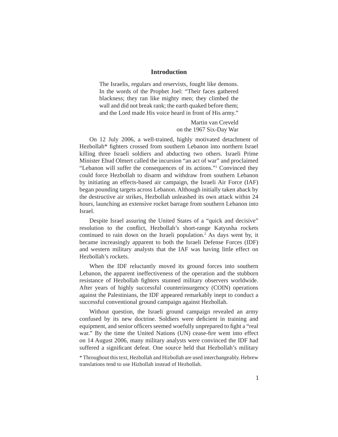#### **Introduction**

The Israelis, regulars and reservists, fought like demons. In the words of the Prophet Joel: "Their faces gathered blackness; they ran like mighty men; they climbed the wall and did not break rank; the earth quaked before them; and the Lord made His voice heard in front of His army."

> Martin van Creveld on the 1967 Six-Day War

On 12 July 2006, a well-trained, highly motivated detachment of Hezbollah\* fighters crossed from southern Lebanon into northern Israel killing three Israeli soldiers and abducting two others. Israeli Prime Minister Ehud Olmert called the incursion "an act of war" and proclaimed "Lebanon will suffer the consequences of its actions."<sup>1</sup> Convinced they could force Hezbollah to disarm and withdraw from southern Lebanon by initiating an effects-based air campaign, the Israeli Air Force (IAF) began pounding targets across Lebanon. Although initially taken aback by the destructive air strikes, Hezbollah unleashed its own attack within 24 hours, launching an extensive rocket barrage from southern Lebanon into Israel.

Despite Israel assuring the United States of a "quick and decisive" resolution to the conflict, Hezbollah's short-range Katyusha rockets continued to rain down on the Israeli population.2 As days went by, it became increasingly apparent to both the Israeli Defense Forces (IDF) and western military analysts that the IAF was having little effect on Hezbollah's rockets.

When the IDF reluctantly moved its ground forces into southern Lebanon, the apparent ineffectiveness of the operation and the stubborn resistance of Hezbollah fighters stunned military observers worldwide. After years of highly successful counterinsurgency (COIN) operations against the Palestinians, the IDF appeared remarkably inept to conduct a successful conventional ground campaign against Hezbollah.

Without question, the Israeli ground campaign revealed an army confused by its new doctrine. Soldiers were deficient in training and equipment, and senior officers seemed woefully unprepared to fight a "real war." By the time the United Nations (UN) cease-fire went into effect on 14 August 2006, many military analysts were convinced the IDF had suffered a significant defeat. One source held that Hezbollah's military

\* Throughout this text, Hezbollah and Hizbollah are used interchangeably. Hebrew translations tend to use Hizbollah instead of Hezbollah.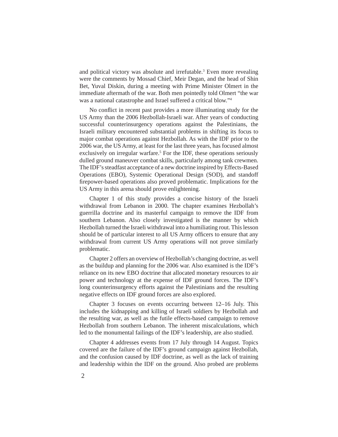and political victory was absolute and irrefutable.<sup>3</sup> Even more revealing were the comments by Mossad Chief, Meir Degan, and the head of Shin Bet, Yuval Diskin, during a meeting with Prime Minister Olmert in the immediate aftermath of the war. Both men pointedly told Olmert "the war was a national catastrophe and Israel suffered a critical blow."4

No conflict in recent past provides a more illuminating study for the US Army than the 2006 Hezbollah-Israeli war. After years of conducting successful counterinsurgency operations against the Palestinians, the Israeli military encountered substantial problems in shifting its focus to major combat operations against Hezbollah. As with the IDF prior to the 2006 war, the US Army, at least for the last three years, has focused almost exclusively on irregular warfare.<sup>5</sup> For the IDF, these operations seriously dulled ground maneuver combat skills, particularly among tank crewmen. The IDF's steadfast acceptance of a new doctrine inspired by Effects-Based Operations (EBO), Systemic Operational Design (SOD), and standoff firepower-based operations also proved problematic. Implications for the US Army in this arena should prove enlightening.

Chapter 1 of this study provides a concise history of the Israeli withdrawal from Lebanon in 2000. The chapter examines Hezbollah's guerrilla doctrine and its masterful campaign to remove the IDF from southern Lebanon. Also closely investigated is the manner by which Hezbollah turned the Israeli withdrawal into a humiliating rout. This lesson should be of particular interest to all US Army officers to ensure that any withdrawal from current US Army operations will not prove similarly problematic.

Chapter 2 offers an overview of Hezbollah's changing doctrine, as well as the buildup and planning for the 2006 war. Also examined is the IDF's reliance on its new EBO doctrine that allocated monetary resources to air power and technology at the expense of IDF ground forces. The IDF's long counterinsurgency efforts against the Palestinians and the resulting negative effects on IDF ground forces are also explored.

Chapter 3 focuses on events occurring between 12–16 July. This includes the kidnapping and killing of Israeli soldiers by Hezbollah and the resulting war, as well as the futile effects-based campaign to remove Hezbollah from southern Lebanon. The inherent miscalculations, which led to the monumental failings of the IDF's leadership, are also studied.

Chapter 4 addresses events from 17 July through 14 August. Topics covered are the failure of the IDF's ground campaign against Hezbollah, and the confusion caused by IDF doctrine, as well as the lack of training and leadership within the IDF on the ground. Also probed are problems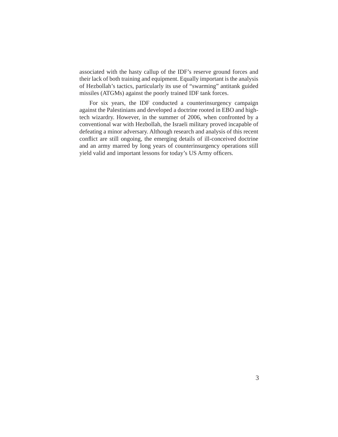associated with the hasty callup of the IDF's reserve ground forces and their lack of both training and equipment. Equally important is the analysis of Hezbollah's tactics, particularly its use of "swarming" antitank guided missiles (ATGMs) against the poorly trained IDF tank forces.

For six years, the IDF conducted a counterinsurgency campaign against the Palestinians and developed a doctrine rooted in EBO and hightech wizardry. However, in the summer of 2006, when confronted by a conventional war with Hezbollah, the Israeli military proved incapable of defeating a minor adversary. Although research and analysis of this recent conflict are still ongoing, the emerging details of ill-conceived doctrine and an army marred by long years of counterinsurgency operations still yield valid and important lessons for today's US Army officers.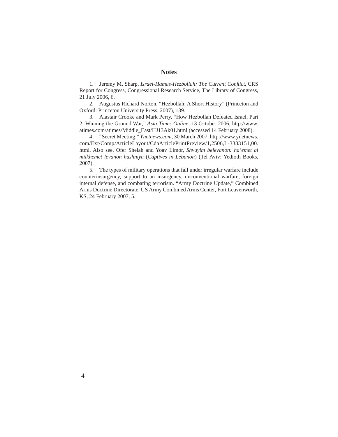#### **Notes**

1. Jeremy M. Sharp, *Israel-Hamas-Hezbollah: The Current Conflict*, CRS Report for Congress, Congressional Research Service, The Library of Congress, 21 July 2006, 6.

2. Augustus Richard Norton, "Hezbollah: A Short History" (Princeton and Oxford: Princeton University Press, 2007), 139.

3. Alastair Crooke and Mark Perry, "How Hezbollah Defeated Israel, Part 2: Winning the Ground War," *Asia Times Online*, 13 October 2006, http://www. atimes.com/atimes/Middle\_East/HJ13Ak01.html (accessed 14 February 2008).

4. "Secret Meeting," *Ynetnews.com,* 30 March 2007, http://www.ynetnews. com/Ext/Comp/ArticleLayout/CdaArticlePrintPreview/1,2506,L-3383151,00. html. Also see, Ofer Shelah and Yoav Limor, *Shvuyim belevanon: ha'emet al milkhemet levanon hashniya* (*Captives in Lebanon*) (Tel Aviv: Yedioth Books, 2007).

5. The types of military operations that fall under irregular warfare include counterinsurgency, support to an insurgency, unconventional warfare, foreign internal defense, and combating terrorism. "Army Doctrine Update," Combined Arms Doctrine Directorate, US Army Combined Arms Center, Fort Leavenworth, KS, 24 February 2007, 5.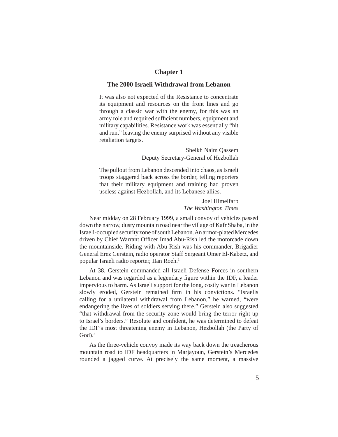## **Chapter 1**

#### **The 2000 Israeli Withdrawal from Lebanon**

It was also not expected of the Resistance to concentrate its equipment and resources on the front lines and go through a classic war with the enemy, for this was an army role and required sufficient numbers, equipment and military capabilities. Resistance work was essentially "hit and run," leaving the enemy surprised without any visible retaliation targets.

> Sheikh Naim Qassem Deputy Secretary-General of Hezbollah

The pullout from Lebanon descended into chaos, as Israeli troops staggered back across the border, telling reporters that their military equipment and training had proven useless against Hezbollah, and its Lebanese allies.

> Joel Himelfarb *The Washington Times*

Near midday on 28 February 1999, a small convoy of vehicles passed down the narrow, dusty mountain road near the village of Kafr Shaba, in the Israeli-occupied security zone of south Lebanon. An armor-plated Mercedes driven by Chief Warrant Officer Imad Abu-Rish led the motorcade down the mountainside. Riding with Abu-Rish was his commander, Brigadier General Erez Gerstein, radio operator Staff Sergeant Omer El-Kabetz, and popular Israeli radio reporter, IIan Roeh.1

At 38, Gerstein commanded all Israeli Defense Forces in southern Lebanon and was regarded as a legendary figure within the IDF, a leader impervious to harm. As Israeli support for the long, costly war in Lebanon slowly eroded, Gerstein remained firm in his convictions. "Israelis calling for a unilateral withdrawal from Lebanon," he warned, "were endangering the lives of soldiers serving there." Gerstein also suggested "that withdrawal from the security zone would bring the terror right up to Israel's borders." Resolute and confident, he was determined to defeat the IDF's most threatening enemy in Lebanon, Hezbollah (the Party of  $God).<sup>2</sup>$ 

As the three-vehicle convoy made its way back down the treacherous mountain road to IDF headquarters in Marjayoun, Gerstein's Mercedes rounded a jagged curve. At precisely the same moment, a massive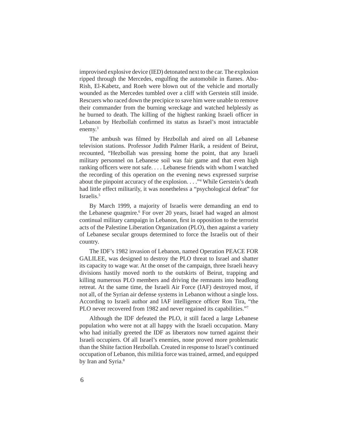improvised explosive device (IED) detonated next to the car. The explosion ripped through the Mercedes, engulfing the automobile in flames. Abu-Rish, El-Kabetz, and Roeh were blown out of the vehicle and mortally wounded as the Mercedes tumbled over a cliff with Gerstein still inside. Rescuers who raced down the precipice to save him were unable to remove their commander from the burning wreckage and watched helplessly as he burned to death. The killing of the highest ranking Israeli officer in Lebanon by Hezbollah confirmed its status as Israel's most intractable enemy.<sup>3</sup>

The ambush was filmed by Hezbollah and aired on all Lebanese television stations. Professor Judith Palmer Harik, a resident of Beirut, recounted, "Hezbollah was pressing home the point, that any Israeli military personnel on Lebanese soil was fair game and that even high ranking officers were not safe. . . . Lebanese friends with whom I watched the recording of this operation on the evening news expressed surprise about the pinpoint accuracy of the explosion. . . ."4 While Gerstein's death had little effect militarily, it was nonetheless a "psychological defeat" for Israelis.5

By March 1999, a majority of Israelis were demanding an end to the Lebanese quagmire.<sup>6</sup> For over 20 years, Israel had waged an almost continual military campaign in Lebanon, first in opposition to the terrorist acts of the Palestine Liberation Organization (PLO), then against a variety of Lebanese secular groups determined to force the Israelis out of their country.

The IDF's 1982 invasion of Lebanon, named Operation PEACE FOR GALILEE, was designed to destroy the PLO threat to Israel and shatter its capacity to wage war. At the onset of the campaign, three Israeli heavy divisions hastily moved north to the outskirts of Beirut, trapping and killing numerous PLO members and driving the remnants into headlong retreat. At the same time, the Israeli Air Force (IAF) destroyed most, if not all, of the Syrian air defense systems in Lebanon without a single loss. According to Israeli author and IAF intelligence officer Ron Tira, "the PLO never recovered from 1982 and never regained its capabilities."<sup>7</sup>

Although the IDF defeated the PLO, it still faced a large Lebanese population who were not at all happy with the Israeli occupation. Many who had initially greeted the IDF as liberators now turned against their Israeli occupiers. Of all Israel's enemies, none proved more problematic than the Shiite faction Hezbollah. Created in response to Israel's continued occupation of Lebanon, this militia force was trained, armed, and equipped by Iran and Syria.<sup>8</sup>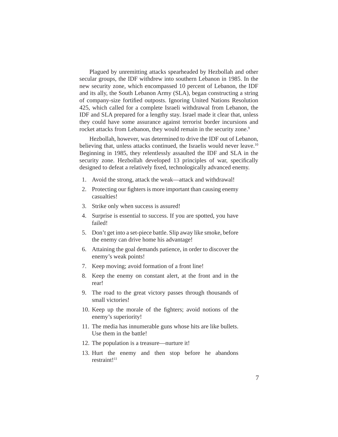Plagued by unremitting attacks spearheaded by Hezbollah and other secular groups, the IDF withdrew into southern Lebanon in 1985. In the new security zone, which encompassed 10 percent of Lebanon, the IDF and its ally, the South Lebanon Army (SLA), began constructing a string of company-size fortified outposts. Ignoring United Nations Resolution 425, which called for a complete Israeli withdrawal from Lebanon, the IDF and SLA prepared for a lengthy stay. Israel made it clear that, unless they could have some assurance against terrorist border incursions and rocket attacks from Lebanon, they would remain in the security zone.<sup>9</sup>

Hezbollah, however, was determined to drive the IDF out of Lebanon, believing that, unless attacks continued, the Israelis would never leave.<sup>10</sup> Beginning in 1985, they relentlessly assaulted the IDF and SLA in the security zone. Hezbollah developed 13 principles of war, specifically designed to defeat a relatively fixed, technologically advanced enemy.

- 1. Avoid the strong, attack the weak—attack and withdrawal!
- 2. Protecting our fighters is more important than causing enemy casualties!
- 3. Strike only when success is assured!
- 4. Surprise is essential to success. If you are spotted, you have failed!
- 5. Don't get into a set-piece battle. Slip away like smoke, before the enemy can drive home his advantage!
- 6. Attaining the goal demands patience, in order to discover the enemy's weak points!
- 7. Keep moving; avoid formation of a front line!
- 8. Keep the enemy on constant alert, at the front and in the rear!
- 9. The road to the great victory passes through thousands of small victories!
- 10. Keep up the morale of the fighters; avoid notions of the enemy's superiority!
- 11. The media has innumerable guns whose hits are like bullets. Use them in the battle!
- 12. The population is a treasure—nurture it!
- 13. Hurt the enemy and then stop before he abandons restraint!<sup>11</sup>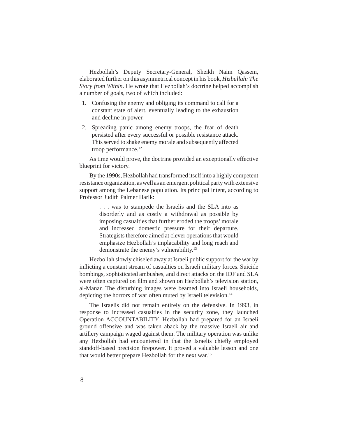Hezbollah's Deputy Secretary-General, Sheikh Naim Qassem, elaborated further on this asymmetrical concept in his book, *Hizbullah: The Story from Within*. He wrote that Hezbollah's doctrine helped accomplish a number of goals, two of which included:

- 1. Confusing the enemy and obliging its command to call for a constant state of alert, eventually leading to the exhaustion and decline in power.
- 2. Spreading panic among enemy troops, the fear of death persisted after every successful or possible resistance attack. This served to shake enemy morale and subsequently affected troop performance.<sup>12</sup>

As time would prove, the doctrine provided an exceptionally effective blueprint for victory.

By the 1990s, Hezbollah had transformed itself into a highly competent resistance organization, as well as an emergent political party with extensive support among the Lebanese population. Its principal intent, according to Professor Judith Palmer Harik:

> demonstrate the enemy's vulnerability.<sup>13</sup> . . . was to stampede the Israelis and the SLA into as disorderly and as costly a withdrawal as possible by imposing casualties that further eroded the troops' morale and increased domestic pressure for their departure. Strategists therefore aimed at clever operations that would emphasize Hezbollah's implacability and long reach and

Hezbollah slowly chiseled away at Israeli public support for the war by inflicting a constant stream of casualties on Israeli military forces. Suicide bombings, sophisticated ambushes, and direct attacks on the IDF and SLA were often captured on film and shown on Hezbollah's television station, al-Manar. The disturbing images were beamed into Israeli households, depicting the horrors of war often muted by Israeli television.<sup>14</sup>

The Israelis did not remain entirely on the defensive. In 1993, in response to increased casualties in the security zone, they launched Operation ACCOUNTABILITY. Hezbollah had prepared for an Israeli ground offensive and was taken aback by the massive Israeli air and artillery campaign waged against them. The military operation was unlike any Hezbollah had encountered in that the Israelis chiefly employed standoff-based precision firepower. It proved a valuable lesson and one that would better prepare Hezbollah for the next war.15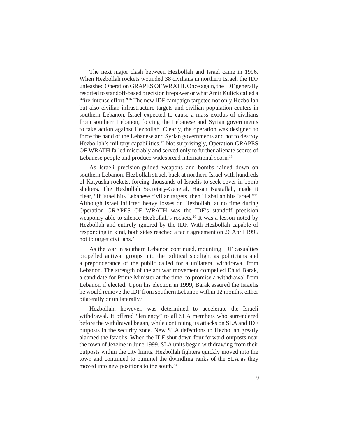The next major clash between Hezbollah and Israel came in 1996. When Hezbollah rockets wounded 38 civilians in northern Israel, the IDF unleashed Operation GRAPES OF WRATH. Once again, the IDF generally resorted to standoff-based precision firepower or what Amir Kulick called a "fire-intense effort."<sup>16</sup> The new IDF campaign targeted not only Hezbollah but also civilian infrastructure targets and civilian population centers in southern Lebanon. Israel expected to cause a mass exodus of civilians from southern Lebanon, forcing the Lebanese and Syrian governments to take action against Hezbollah. Clearly, the operation was designed to force the hand of the Lebanese and Syrian governments and not to destroy Hezbollah's military capabilities.<sup>17</sup> Not surprisingly, Operation GRAPES OF WRATH failed miserably and served only to further alienate scores of Lebanese people and produce widespread international scorn.<sup>18</sup>

As Israeli precision-guided weapons and bombs rained down on southern Lebanon, Hezbollah struck back at northern Israel with hundreds of Katyusha rockets, forcing thousands of Israelis to seek cover in bomb shelters. The Hezbollah Secretary-General, Hasan Nasrallah, made it clear, "If Israel hits Lebanese civilian targets, then Hizballah hits Israel."19 Although Israel inflicted heavy losses on Hezbollah, at no time during Operation GRAPES OF WRATH was the IDF's standoff precision weaponry able to silence Hezbollah's rockets.<sup>20</sup> It was a lesson noted by Hezbollah and entirely ignored by the IDF. With Hezbollah capable of responding in kind, both sides reached a tacit agreement on 26 April 1996 not to target civilians.21

As the war in southern Lebanon continued, mounting IDF casualties propelled antiwar groups into the political spotlight as politicians and a preponderance of the public called for a unilateral withdrawal from Lebanon. The strength of the antiwar movement compelled Ehud Barak, a candidate for Prime Minister at the time, to promise a withdrawal from Lebanon if elected. Upon his election in 1999, Barak assured the Israelis he would remove the IDF from southern Lebanon within 12 months, either bilaterally or unilaterally.<sup>22</sup>

Hezbollah, however, was determined to accelerate the Israeli withdrawal. It offered "leniency" to all SLA members who surrendered before the withdrawal began, while continuing its attacks on SLA and IDF outposts in the security zone. New SLA defections to Hezbollah greatly alarmed the Israelis. When the IDF shut down four forward outposts near the town of Jezzine in June 1999, SLA units began withdrawing from their outposts within the city limits. Hezbollah fighters quickly moved into the town and continued to pummel the dwindling ranks of the SLA as they moved into new positions to the south.23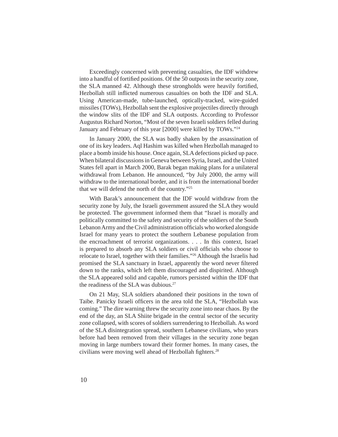Exceedingly concerned with preventing casualties, the IDF withdrew into a handful of fortified positions. Of the 50 outposts in the security zone, the SLA manned 42. Although these strongholds were heavily fortified, Hezbollah still inflicted numerous casualties on both the IDF and SLA. Using American-made, tube-launched, optically-tracked, wire-guided missiles (TOWs), Hezbollah sent the explosive projectiles directly through the window slits of the IDF and SLA outposts. According to Professor Augustus Richard Norton, "Most of the seven Israeli soldiers felled during January and February of this year [2000] were killed by TOWs."24

In January 2000, the SLA was badly shaken by the assassination of one of its key leaders. Aql Hashim was killed when Hezbollah managed to place a bomb inside his house. Once again, SLA defections picked up pace. When bilateral discussions in Geneva between Syria, Israel, and the United States fell apart in March 2000, Barak began making plans for a unilateral withdrawal from Lebanon. He announced, "by July 2000, the army will withdraw to the international border, and it is from the international border that we will defend the north of the country."25

With Barak's announcement that the IDF would withdraw from the security zone by July, the Israeli government assured the SLA they would be protected. The government informed them that "Israel is morally and politically committed to the safety and security of the soldiers of the South Lebanon Army and the Civil administration officials who worked alongside Israel for many years to protect the southern Lebanese population from the encroachment of terrorist organizations. . . . In this context, Israel is prepared to absorb any SLA soldiers or civil officials who choose to relocate to Israel, together with their families."26 Although the Israelis had promised the SLA sanctuary in Israel, apparently the word never filtered down to the ranks, which left them discouraged and dispirited. Although the SLA appeared solid and capable, rumors persisted within the IDF that the readiness of the SLA was dubious. $27$ 

On 21 May, SLA soldiers abandoned their positions in the town of Taibe. Panicky Israeli officers in the area told the SLA, "Hezbollah was coming." The dire warning threw the security zone into near chaos. By the end of the day, an SLA Shiite brigade in the central sector of the security zone collapsed, with scores of soldiers surrendering to Hezbollah. As word of the SLA disintegration spread, southern Lebanese civilians, who years before had been removed from their villages in the security zone began moving in large numbers toward their former homes. In many cases, the civilians were moving well ahead of Hezbollah fighters.28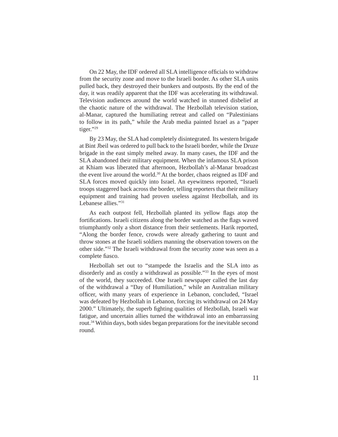On 22 May, the IDF ordered all SLA intelligence officials to withdraw from the security zone and move to the Israeli border. As other SLA units pulled back, they destroyed their bunkers and outposts. By the end of the day, it was readily apparent that the IDF was accelerating its withdrawal. Television audiences around the world watched in stunned disbelief at the chaotic nature of the withdrawal. The Hezbollah television station, al-Manar, captured the humiliating retreat and called on "Palestinians to follow in its path," while the Arab media painted Israel as a "paper tiger."29

By 23 May, the SLA had completely disintegrated. Its western brigade at Bint Jbeil was ordered to pull back to the Israeli border, while the Druze brigade in the east simply melted away. In many cases, the IDF and the SLA abandoned their military equipment. When the infamous SLA prison at Khiam was liberated that afternoon, Hezbollah's al-Manar broadcast the event live around the world.<sup>30</sup> At the border, chaos reigned as IDF and SLA forces moved quickly into Israel. An eyewitness reported, "Israeli troops staggered back across the border, telling reporters that their military equipment and training had proven useless against Hezbollah, and its Lebanese allies."<sup>31</sup>

As each outpost fell, Hezbollah planted its yellow flags atop the fortifications. Israeli citizens along the border watched as the flags waved triumphantly only a short distance from their settlements. Harik reported, "Along the border fence, crowds were already gathering to taunt and throw stones at the Israeli soldiers manning the observation towers on the other side."32 The Israeli withdrawal from the security zone was seen as a complete fiasco.

Hezbollah set out to "stampede the Israelis and the SLA into as disorderly and as costly a withdrawal as possible."<sup>33</sup> In the eyes of most of the world, they succeeded. One Israeli newspaper called the last day of the withdrawal a "Day of Humiliation," while an Australian military officer, with many years of experience in Lebanon, concluded, "Israel was defeated by Hezbollah in Lebanon, forcing its withdrawal on 24 May 2000." Ultimately, the superb fighting qualities of Hezbollah, Israeli war fatigue, and uncertain allies turned the withdrawal into an embarrassing rout.34 Within days, both sides began preparations for the inevitable second round.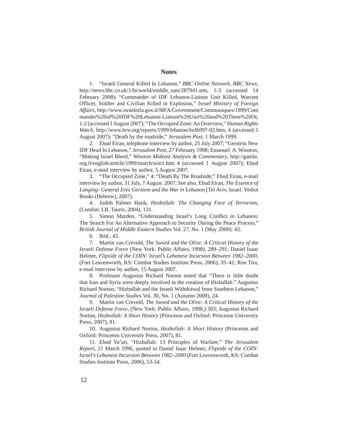1. "Israeli General Killed In Lebanon," *BBC Online Network, BBC News*, http://news.bbc.co.uk/1/hi/world/middle\_east/287941.stm, 1-3 (accessed 14 February 2008); "Commander of IDF Lebanon-Liaison Unit Killed, Warrant Officer, Soldier and Civilian Killed in Explosion," *Israel Ministry of Foreign Affairs*, http://www.israelmfa.gov.il/MFA/Government/Communiques/1999/Com mander%20of%20IDF%20Lebanon-Liaison%20Unit%20and%20Three%20Ot, 1-2 (accessed 1 August 2007); "The Occupied Zone: An Overview," *Human Rights Watch*, http://www.hrw.org/reports/1999/lebanon/Isrlb997-02.htm, 4 (accessed 5 August 2007); "Death by the roadside," *Jerusalem Post*, 1 March 1999.

2. Ehud Eiran, telephone interview by author, 25 July 2007; "Gerstein New IDF Head In Lebanon," *Jerusalem Post*, 27 February 1998; Emanuel A. Winston, "Making Israel Bleed," *Winston Mideast Analysis & Commentary*, http://gamla. org.il/english/article/1999/march/win1.htm 4 (accessed 1 August 2007); Ehud Eiran, e-mail interview by author, 5 August 2007.

3. "The Occupied Zone," 4; "Death By The Roadside;" Ehud Eiran, e-mail interview by author, 31 July, 7 August 2007; See also, Ehud Eiran, *The Essence of Longing: General Erez Gerstein and the War in Lebanon* (Tel Aviv, Israel: Yediot Books (Hebrew), 2007).

4. Judith Palmer Harik, *Hezbollah: The Changing Face of Terrorism*, (London: I.B. Tauris, 2004), 131.

5. Simon Murden, "Understanding Israel's Long Conflict in Lebanon: The Search For An Alternative Approach to Security During the Peace Process," *British Journal of Middle Eastern Studies* Vol. 27, No. 1 (May 2000): 43.

6. Ibid., 43.

7. Martin van Creveld, *The Sword and the Olive: A Critical History of the Israeli Defense Force* (New York: Public Affairs, 1998), 289–291; Daniel Isaac Helmer, *Flipside of the COIN: Israel's Lebanese Incursion Between 1982*–*2000*, (Fort Leavenworth, KS: Combat Studies Institute Press, 2006), 35–41; Ron Tira, e-mail interview by author, 15 August 2007.

8. Professor Augustus Richard Norton noted that "There is little doubt that Iran and Syria were deeply involved in the creation of Hizballah." Augustus Richard Norton, "Hizballah and the Israeli Withdrawal from Southern Lebanon," *Journal of Palestine Studies* Vol. 30, No. 1 (Autumn 2000), 24.

9. Martin van Creveld, *The Sword and the Olive: A Critical History of the Israeli Defense Force*, (New York: Public Affairs, 1998,) 303; Augustus Richard Norton, *Hezbollah: A Short History* (Princeton and Oxford: Princeton University Press, 2007), 81.

10. Augustus Richard Norton, *Hezbollah: A Short History* (Princeton and Oxford: Princeton University Press, 2007), 81.

11. Ehud Ya'ari, "Hizballah: 13 Principles of Warfare," *The Jerusalem Report*, 21 March 1996, quoted in Daniel Isaac Helmer, *Flipside of the COIN: Israel's Lebanese Incursion Between 1982*–*2000* (Fort Leavenworth, KS: Combat Studies Institute Press, 2006), 53-54.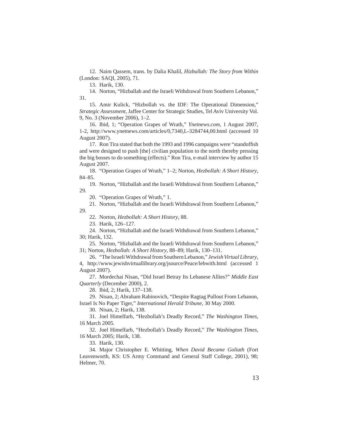12. Naim Qassem, trans. by Dalia Khalil, *Hizbullah: The Story from Within*  (London: SAQI, 2005), 71.

13. Harik, 130.

14. Norton, "Hizballah and the Israeli Withdrawal from Southern Lebanon," 31.

15. Amir Kulick, "Hizbollah vs. the IDF: The Operational Dimension," *Strategic Assessment,* Jaffee Center for Strategic Studies, Tel Aviv University Vol. 9, No. 3 (November 2006), 1–2.

16. Ibid, 1; "Operation Grapes of Wrath," *Ynetnews.com*, 1 August 2007, 1-2, http://www.ynetnews.com/articles/0,7340,L-3284744,00.html (accessed 10 August 2007).

17. Ron Tira stated that both the 1993 and 1996 campaigns were "standoffish and were designed to push [the] civilian population to the north thereby pressing the big bosses to do something (effects)." Ron Tira, e-mail interview by author 15 August 2007.

18. "Operation Grapes of Wrath," 1–2; Norton*, Hezbollah: A Short History*, 84–85.

19. Norton, "Hizballah and the Israeli Withdrawal from Southern Lebanon," 29.

20. "Operation Grapes of Wrath," 1.

21. Norton, "Hizballah and the Israeli Withdrawal from Southern Lebanon," 29.

22. Norton, *Hezbollah: A Short History*, 88.

23. Harik, 126–127.

24. Norton, "Hizballah and the Israeli Withdrawal from Southern Lebanon," 30; Harik, 132.

25. Norton, "Hizballah and the Israeli Withdrawal from Southern Lebanon," 31; Norton, *Hezbollah: A Short History*, 88–89; Harik, 130–131.

26. "The Israeli Withdrawal from Southern Lebanon," *Jewish Virtual Library*, 4, http://www.jewishvirtuallibrary.org/jsource/Peace/lebwith.html (accessed 1 August 2007).

27. Mordechai Nisan, "Did Israel Betray Its Lebanese Allies?" *Middle East Quarterly* (December 2000), 2.

28. Ibid, 2; Harik, 137–138.

29. Nisan, 2; Abraham Rabinovich, "Despite Ragtag Pullout From Lebanon, Israel Is No Paper Tiger," *International Herald Tribune*, 30 May 2000.

30. Nisan, 2; Harik, 138.

31. Joel Himelfarb, "Hezbollah's Deadly Record," *The Washington Times*, 16 March 2005.

32. Joel Himelfarb, "Hezbollah's Deadly Record," *The Washington Times*, 16 March 2005; Harik, 138.

33. Harik, 130.

34. Major Christopher E. Whitting, *When David Became Goliath* (Fort Leavenworth, KS: US Army Command and General Staff College, 2001), 98; Helmer, 70.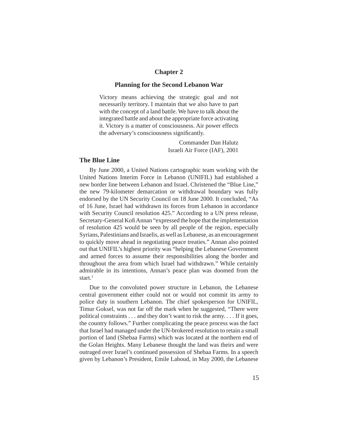## **Chapter 2**

## **Planning for the Second Lebanon War**

Victory means achieving the strategic goal and not necessarily territory. I maintain that we also have to part with the concept of a land battle. We have to talk about the integrated battle and about the appropriate force activating it. Victory is a matter of consciousness. Air power effects the adversary's consciousness significantly.

> Commander Dan Halutz Israeli Air Force (IAF), 2001

#### **The Blue Line**

 Secretary-General KofiAnnan "expressed the hope that the implementation By June 2000, a United Nations cartographic team working with the United Nations Interim Force in Lebanon (UNIFIL) had established a new border line between Lebanon and Israel. Christened the "Blue Line," the new 79-kilometer demarcation or withdrawal boundary was fully endorsed by the UN Security Council on 18 June 2000. It concluded, "As of 16 June, Israel had withdrawn its forces from Lebanon in accordance with Security Council resolution 425." According to a UN press release, of resolution 425 would be seen by all people of the region, especially Syrians, Palestinians and Israelis, as well as Lebanese, as an encouragement to quickly move ahead in negotiating peace treaties." Annan also pointed out that UNIFIL's highest priority was "helping the Lebanese Government and armed forces to assume their responsibilities along the border and throughout the area from which Israel had withdrawn." While certainly admirable in its intentions, Annan's peace plan was doomed from the start.<sup>1</sup>

Due to the convoluted power structure in Lebanon, the Lebanese central government either could not or would not commit its army to police duty in southern Lebanon. The chief spokesperson for UNIFIL, Timur Goksel, was not far off the mark when he suggested, "There were political constraints . . . and they don't want to risk the army. . . . If it goes, the country follows." Further complicating the peace process was the fact that Israel had managed under the UN-brokered resolution to retain a small portion of land (Shebaa Farms) which was located at the northern end of the Golan Heights. Many Lebanese thought the land was theirs and were outraged over Israel's continued possession of Shebaa Farms. In a speech given by Lebanon's President, Emile Lahoud, in May 2000, the Lebanese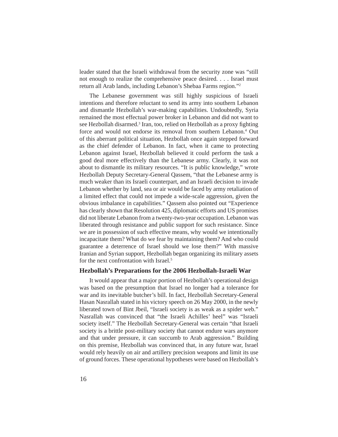leader stated that the Israeli withdrawal from the security zone was "still not enough to realize the comprehensive peace desired. . . . Israel must return all Arab lands, including Lebanon's Shebaa Farms region."2

for the next confrontation with Israel.<sup>5</sup> The Lebanese government was still highly suspicious of Israeli intentions and therefore reluctant to send its army into southern Lebanon and dismantle Hezbollah's war-making capabilities. Undoubtedly, Syria remained the most effectual power broker in Lebanon and did not want to see Hezbollah disarmed.<sup>3</sup> Iran, too, relied on Hezbollah as a proxy fighting force and would not endorse its removal from southern Lebanon.<sup>4</sup> Out of this aberrant political situation, Hezbollah once again stepped forward as the chief defender of Lebanon. In fact, when it came to protecting Lebanon against Israel, Hezbollah believed it could perform the task a good deal more effectively than the Lebanese army. Clearly, it was not about to dismantle its military resources. "It is public knowledge," wrote Hezbollah Deputy Secretary-General Qassem, "that the Lebanese army is much weaker than its Israeli counterpart, and an Israeli decision to invade Lebanon whether by land, sea or air would be faced by army retaliation of a limited effect that could not impede a wide-scale aggression, given the obvious imbalance in capabilities." Qassem also pointed out "Experience has clearly shown that Resolution 425, diplomatic efforts and US promises did not liberate Lebanon from a twenty-two-year occupation. Lebanon was liberated through resistance and public support for such resistance. Since we are in possession of such effective means, why would we intentionally incapacitate them? What do we fear by maintaining them? And who could guarantee a deterrence of Israel should we lose them?" With massive Iranian and Syrian support, Hezbollah began organizing its military assets

## **Hezbollah's Preparations for the 2006 Hezbollah-Israeli War**

It would appear that a major portion of Hezbollah's operational design was based on the presumption that Israel no longer had a tolerance for war and its inevitable butcher's bill. In fact, Hezbollah Secretary-General Hasan Nasrallah stated in his victory speech on 26 May 2000, in the newly liberated town of Bint Jbeil, "Israeli society is as weak as a spider web." Nasrallah was convinced that "the Israeli Achilles' heel" was "Israeli society itself." The Hezbollah Secretary-General was certain "that Israeli society is a brittle post-military society that cannot endure wars anymore and that under pressure, it can succumb to Arab aggression." Building on this premise, Hezbollah was convinced that, in any future war, Israel would rely heavily on air and artillery precision weapons and limit its use of ground forces. These operational hypotheses were based on Hezbollah's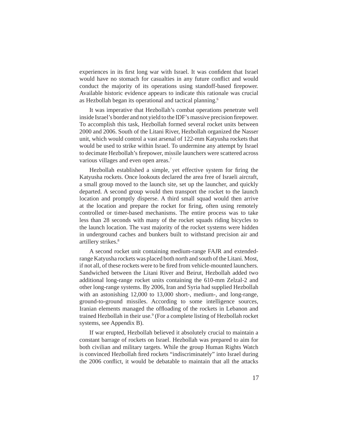experiences in its first long war with Israel. It was confident that Israel would have no stomach for casualties in any future conflict and would conduct the majority of its operations using standoff-based firepower. Available historic evidence appears to indicate this rationale was crucial as Hezbollah began its operational and tactical planning.<sup>6</sup>

It was imperative that Hezbollah's combat operations penetrate well inside Israel's border and not yield to the IDF's massive precision firepower. To accomplish this task, Hezbollah formed several rocket units between 2000 and 2006. South of the Litani River, Hezbollah organized the Nasser unit, which would control a vast arsenal of 122-mm Katyusha rockets that would be used to strike within Israel. To undermine any attempt by Israel to decimate Hezbollah's firepower, missile launchers were scattered across various villages and even open areas.<sup>7</sup>

Hezbollah established a simple, yet effective system for firing the Katyusha rockets. Once lookouts declared the area free of Israeli aircraft, a small group moved to the launch site, set up the launcher, and quickly departed. A second group would then transport the rocket to the launch location and promptly disperse. A third small squad would then arrive at the location and prepare the rocket for firing, often using remotely controlled or timer-based mechanisms. The entire process was to take less than 28 seconds with many of the rocket squads riding bicycles to the launch location. The vast majority of the rocket systems were hidden in underground caches and bunkers built to withstand precision air and artillery strikes.<sup>8</sup>

A second rocket unit containing medium-range FAJR and extendedrange Katyusha rockets was placed both north and south of the Litani. Most, if not all, of these rockets were to be fired from vehicle-mounted launchers. Sandwiched between the Litani River and Beirut, Hezbollah added two additional long-range rocket units containing the 610-mm Zelzal-2 and other long-range systems. By 2006, Iran and Syria had supplied Hezbollah with an astonishing 12,000 to 13,000 short-, medium-, and long-range, ground-to-ground missiles. According to some intelligence sources, Iranian elements managed the offloading of the rockets in Lebanon and trained Hezbollah in their use.<sup>9</sup> (For a complete listing of Hezbollah rocket systems, see Appendix B).

If war erupted, Hezbollah believed it absolutely crucial to maintain a constant barrage of rockets on Israel. Hezbollah was prepared to aim for both civilian and military targets. While the group Human Rights Watch is convinced Hezbollah fired rockets "indiscriminately" into Israel during the 2006 conflict, it would be debatable to maintain that all the attacks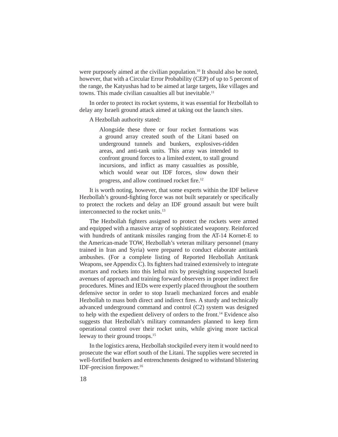were purposely aimed at the civilian population.<sup>10</sup> It should also be noted, however, that with a Circular Error Probability (CEP) of up to 5 percent of the range, the Katyushas had to be aimed at large targets, like villages and towns. This made civilian casualties all but inevitable.<sup>11</sup>

In order to protect its rocket systems, it was essential for Hezbollah to delay any Israeli ground attack aimed at taking out the launch sites.

A Hezbollah authority stated:

Alongside these three or four rocket formations was a ground array created south of the Litani based on underground tunnels and bunkers, explosives-ridden areas, and anti-tank units. This array was intended to confront ground forces to a limited extent, to stall ground incursions, and inflict as many casualties as possible, which would wear out IDF forces, slow down their progress, and allow continued rocket fire.12

It is worth noting, however, that some experts within the IDF believe Hezbollah's ground-fighting force was not built separately or specifically to protect the rockets and delay an IDF ground assault but were built interconnected to the rocket units.<sup>13</sup>

The Hezbollah fighters assigned to protect the rockets were armed and equipped with a massive array of sophisticated weaponry. Reinforced with hundreds of antitank missiles ranging from the AT-14 Kornet-E to the American-made TOW, Hezbollah's veteran military personnel (many trained in Iran and Syria) were prepared to conduct elaborate antitank ambushes. (For a complete listing of Reported Hezbollah Antitank Weapons, see Appendix C). Its fighters had trained extensively to integrate mortars and rockets into this lethal mix by presighting suspected Israeli avenues of approach and training forward observers in proper indirect fire procedures. Mines and IEDs were expertly placed throughout the southern defensive sector in order to stop Israeli mechanized forces and enable Hezbollah to mass both direct and indirect fires. A sturdy and technically advanced underground command and control (C2) system was designed to help with the expedient delivery of orders to the front.14 Evidence also suggests that Hezbollah's military commanders planned to keep firm operational control over their rocket units, while giving more tactical leeway to their ground troops.<sup>15</sup>

In the logistics arena, Hezbollah stockpiled every item it would need to prosecute the war effort south of the Litani. The supplies were secreted in well-fortified bunkers and entrenchments designed to withstand blistering IDF-precision firepower. $16$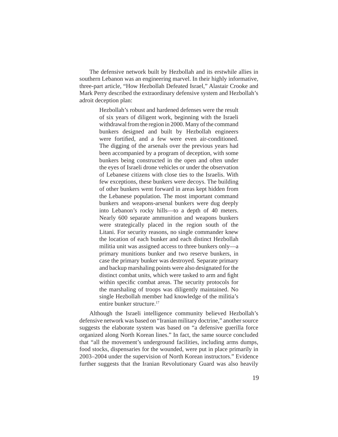The defensive network built by Hezbollah and its erstwhile allies in southern Lebanon was an engineering marvel. In their highly informative, three-part article, "How Hezbollah Defeated Israel," Alastair Crooke and Mark Perry described the extraordinary defensive system and Hezbollah's adroit deception plan:

> Hezbollah's robust and hardened defenses were the result of six years of diligent work, beginning with the Israeli withdrawal from the region in 2000. Many of the command bunkers designed and built by Hezbollah engineers were fortified, and a few were even air-conditioned. The digging of the arsenals over the previous years had been accompanied by a program of deception, with some bunkers being constructed in the open and often under the eyes of Israeli drone vehicles or under the observation of Lebanese citizens with close ties to the Israelis. With few exceptions, these bunkers were decoys. The building of other bunkers went forward in areas kept hidden from the Lebanese population. The most important command bunkers and weapons-arsenal bunkers were dug deeply into Lebanon's rocky hills—to a depth of 40 meters. Nearly 600 separate ammunition and weapons bunkers were strategically placed in the region south of the Litani. For security reasons, no single commander knew the location of each bunker and each distinct Hezbollah militia unit was assigned access to three bunkers only—a primary munitions bunker and two reserve bunkers, in case the primary bunker was destroyed. Separate primary and backup marshaling points were also designated for the distinct combat units, which were tasked to arm and fight within specific combat areas. The security protocols for the marshaling of troops was diligently maintained. No single Hezbollah member had knowledge of the militia's entire bunker structure.17

Although the Israeli intelligence community believed Hezbollah's defensive network was based on "Iranian military doctrine," another source suggests the elaborate system was based on "a defensive guerilla force organized along North Korean lines." In fact, the same source concluded that "all the movement's underground facilities, including arms dumps, food stocks, dispensaries for the wounded, were put in place primarily in 2003–2004 under the supervision of North Korean instructors." Evidence further suggests that the Iranian Revolutionary Guard was also heavily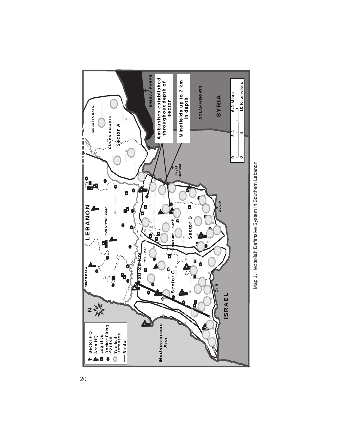

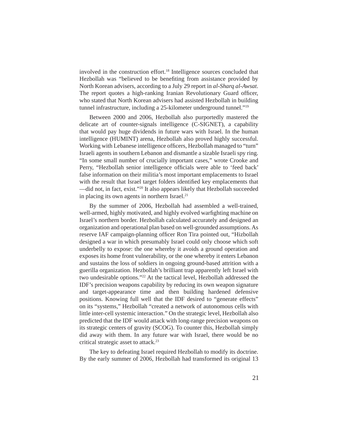involved in the construction effort.18 Intelligence sources concluded that Hezbollah was "believed to be benefiting from assistance provided by North Korean advisers, according to a July 29 report in *al-Sharq al-Awsat*. The report quotes a high-ranking Iranian Revolutionary Guard officer, who stated that North Korean advisers had assisted Hezbollah in building tunnel infrastructure, including a 25-kilometer underground tunnel."19

Between 2000 and 2006, Hezbollah also purportedly mastered the delicate art of counter-signals intelligence (C-SIGNET), a capability that would pay huge dividends in future wars with Israel. In the human intelligence (HUMINT) arena, Hezbollah also proved highly successful. Working with Lebanese intelligence officers, Hezbollah managed to "turn" Israeli agents in southern Lebanon and dismantle a sizable Israeli spy ring. "In some small number of crucially important cases," wrote Crooke and Perry, "Hezbollah senior intelligence officials were able to 'feed back' false information on their militia's most important emplacements to Israel with the result that Israel target folders identified key emplacements that —did not, in fact, exist."20 It also appears likely that Hezbollah succeeded in placing its own agents in northern Israel. $21$ 

critical strategic asset to attack.<sup>23</sup> By the summer of 2006, Hezbollah had assembled a well-trained, well-armed, highly motivated, and highly evolved warfighting machine on Israel's northern border. Hezbollah calculated accurately and designed an organization and operational plan based on well-grounded assumptions. As reserve IAF campaign-planning officer Ron Tira pointed out, "Hizbollah designed a war in which presumably Israel could only choose which soft underbelly to expose: the one whereby it avoids a ground operation and exposes its home front vulnerability, or the one whereby it enters Lebanon and sustains the loss of soldiers in ongoing ground-based attrition with a guerilla organization. Hezbollah's brilliant trap apparently left Israel with two undesirable options."22 At the tactical level, Hezbollah addressed the IDF's precision weapons capability by reducing its own weapon signature and target-appearance time and then building hardened defensive positions. Knowing full well that the IDF desired to "generate effects" on its "systems," Hezbollah "created a network of autonomous cells with little inter-cell systemic interaction." On the strategic level, Hezbollah also predicted that the IDF would attack with long-range precision weapons on its strategic centers of gravity (SCOG). To counter this, Hezbollah simply did away with them. In any future war with Israel, there would be no

The key to defeating Israel required Hezbollah to modify its doctrine. By the early summer of 2006, Hezbollah had transformed its original 13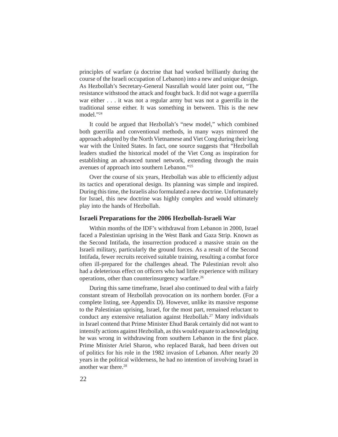principles of warfare (a doctrine that had worked brilliantly during the course of the Israeli occupation of Lebanon) into a new and unique design. As Hezbollah's Secretary-General Nasrallah would later point out, "The resistance withstood the attack and fought back. It did not wage a guerrilla war either . . . it was not a regular army but was not a guerrilla in the traditional sense either. It was something in between. This is the new model."24

It could be argued that Hezbollah's "new model," which combined both guerrilla and conventional methods, in many ways mirrored the approach adopted by the North Vietnamese and Viet Cong during their long war with the United States. In fact, one source suggests that "Hezbollah leaders studied the historical model of the Viet Cong as inspiration for establishing an advanced tunnel network, extending through the main avenues of approach into southern Lebanon."25

Over the course of six years, Hezbollah was able to efficiently adjust its tactics and operational design. Its planning was simple and inspired. During this time, the Israelis also formulated a new doctrine. Unfortunately for Israel, this new doctrine was highly complex and would ultimately play into the hands of Hezbollah.

## **Israeli Preparations for the 2006 Hezbollah-Israeli War**

operations, other than counterinsurgency warfare.<sup>26</sup> Within months of the IDF's withdrawal from Lebanon in 2000, Israel faced a Palestinian uprising in the West Bank and Gaza Strip. Known as the Second Intifada, the insurrection produced a massive strain on the Israeli military, particularly the ground forces. As a result of the Second Intifada, fewer recruits received suitable training, resulting a combat force often ill-prepared for the challenges ahead. The Palestinian revolt also had a deleterious effect on officers who had little experience with military

 another war there.28 During this same timeframe, Israel also continued to deal with a fairly constant stream of Hezbollah provocation on its northern border. (For a complete listing, see Appendix D). However, unlike its massive response to the Palestinian uprising, Israel, for the most part, remained reluctant to conduct any extensive retaliation against Hezbollah.<sup>27</sup> Many individuals in Israel contend that Prime Minister Ehud Barak certainly did not want to intensify actions against Hezbollah, as this would equate to acknowledging he was wrong in withdrawing from southern Lebanon in the first place. Prime Minister Ariel Sharon, who replaced Barak, had been driven out of politics for his role in the 1982 invasion of Lebanon. After nearly 20 years in the political wilderness, he had no intention of involving Israel in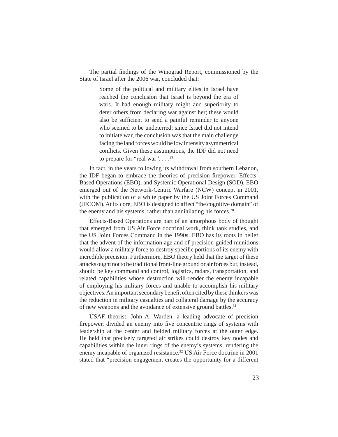The partial findings of the Winograd Report, commissioned by the State of Israel after the 2006 war, concluded that:

> Some of the political and military elites in Israel have reached the conclusion that Israel is beyond the era of wars. It had enough military might and superiority to deter others from declaring war against her; these would also be sufficient to send a painful reminder to anyone who seemed to be undeterred; since Israel did not intend to initiate war, the conclusion was that the main challenge facing the land forces would be low intensity asymmetrical conflicts. Given these assumptions, the IDF did not need to prepare for "real war"....<sup>29</sup>

In fact, in the years following its withdrawal from southern Lebanon, the IDF began to embrace the theories of precision firepower, Effects-Based Operations (EBO), and Systemic Operational Design (SOD). EBO emerged out of the Network-Centric Warfare (NCW) concept in 2001, with the publication of a white paper by the US Joint Forces Command (JFCOM). At its core, EBO is designed to affect "the cognitive domain" of the enemy and his systems, rather than annihilating his forces.<sup>30</sup>

Effects-Based Operations are part of an amorphous body of thought that emerged from US Air Force doctrinal work, think tank studies, and the US Joint Forces Command in the 1990s. EBO has its roots in belief that the advent of the information age and of precision-guided munitions would allow a military force to destroy specific portions of its enemy with incredible precision. Furthermore, EBO theory held that the target of these attacks ought not to be traditional front-line ground or air forces but, instead, should be key command and control, logistics, radars, transportation, and related capabilities whose destruction will render the enemy incapable of employing his military forces and unable to accomplish his military objectives. An important secondary benefit often cited by these thinkers was the reduction in military casualties and collateral damage by the accuracy of new weapons and the avoidance of extensive ground battles.<sup>31</sup>

USAF theorist, John A. Warden, a leading advocate of precision firepower, divided an enemy into five concentric rings of systems with leadership at the center and fielded military forces at the outer edge. He held that precisely targeted air strikes could destroy key nodes and capabilities within the inner rings of the enemy's systems, rendering the enemy incapable of organized resistance.32 US Air Force doctrine in 2001 stated that "precision engagement creates the opportunity for a different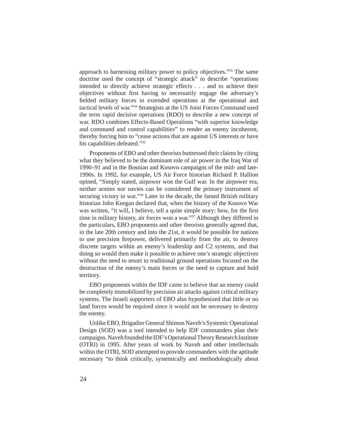approach to harnessing military power to policy objectives."33 The same doctrine used the concept of "strategic attack" to describe "operations intended to directly achieve strategic effects . . . and to achieve their objectives without first having to necessarily engage the adversary's fielded military forces in extended operations at the operational and tactical levels of war."34 Strategists at the US Joint Forces Command used the term rapid decisive operations (RDO) to describe a new concept of war. RDO combines Effects-Based Operations "with superior knowledge and command and control capabilities" to render an enemy incoherent, thereby forcing him to "cease actions that are against US interests or have his capabilities defeated."35

Proponents of EBO and other theorists buttressed their claims by citing what they believed to be the dominant role of air power in the Iraq War of 1990–91 and in the Bosnian and Kosovo campaigns of the mid- and late-1990s. In 1992, for example, US Air Force historian Richard P. Hallion opined, "Simply stated, airpower won the Gulf war. In the airpower era, neither armies nor navies can be considered the primary instrument of securing victory in war."<sup>36</sup> Later in the decade, the famed British military historian John Keegan declared that, when the history of the Kosovo War was written, "it will, I believe, tell a quite simple story: how, for the first time in military history, air forces won a war."<sup>37</sup> Although they differed in the particulars, EBO proponents and other theorists generally agreed that, in the late 20th century and into the 21st, it would be possible for nations to use precision firepower, delivered primarily from the air, to destroy discrete targets within an enemy's leadership and C2 systems, and that doing so would then make it possible to achieve one's strategic objectives without the need to resort to traditional ground operations focused on the destruction of the enemy's main forces or the need to capture and hold territory.

EBO proponents within the IDF came to believe that an enemy could be completely immobilized by precision air attacks against critical military systems. The Israeli supporters of EBO also hypothesized that little or no land forces would be required since it would not be necessary to destroy the enemy.

Unlike EBO, Brigadier General Shimon Naveh's Systemic Operational Design (SOD) was a tool intended to help IDF commanders plan their campaigns. Naveh founded the IDF's Operational Theory Research Institute (OTRI) in 1995. After years of work by Naveh and other intellectuals within the OTRI, SOD attempted to provide commanders with the aptitude necessary "to think critically, systemically and methodologically about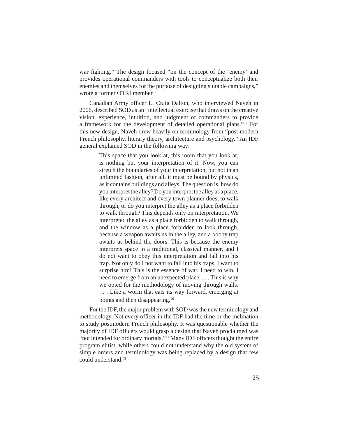war fighting." The design focused "on the concept of the 'enemy' and provides operational commanders with tools to conceptualize both their enemies and themselves for the purpose of designing suitable campaigns," wrote a former OTRI member.<sup>38</sup>

Canadian Army officer L. Craig Dalton, who interviewed Naveh in 2006, described SOD as an "intellectual exercise that draws on the creative vision, experience, intuition, and judgment of commanders to provide a framework for the development of detailed operational plans."39 For this new design, Naveh drew heavily on terminology from "post modern French philosophy, literary theory, architecture and psychology." An IDF general explained SOD in the following way:

> This space that you look at, this room that you look at, is nothing but your interpretation of it. Now, you can stretch the boundaries of your interpretation, but not in an unlimited fashion, after all, it must be bound by physics, as it contains buildings and alleys. The question is, how do you interpret the alley? Do you interpret the alley as a place, like every architect and every town planner does, to walk through, or do you interpret the alley as a place forbidden to walk through? This depends only on interpretation. We interpreted the alley as a place forbidden to walk through, and the window as a place forbidden to look through, because a weapon awaits us in the alley, and a booby trap awaits us behind the doors. This is because the enemy interprets space in a traditional, classical manner, and I do not want to obey this interpretation and fall into his trap. Not only do I not want to fall into his traps, I want to surprise him! This is the essence of war. I need to win. I need to emerge from an unexpected place. . . . This is why we opted for the methodology of moving through walls. . . . Like a worm that eats its way forward, emerging at points and then disappearing.40

could understand.<sup>42</sup> For the IDF, the major problem with SOD was the new terminology and methodology. Not every officer in the IDF had the time or the inclination to study postmodern French philosophy. It was questionable whether the majority of IDF officers would grasp a design that Naveh proclaimed was "not intended for ordinary mortals."<sup>41</sup> Many IDF officers thought the entire program elitist, while others could not understand why the old system of simple orders and terminology was being replaced by a design that few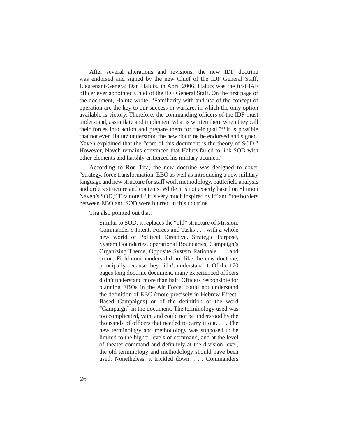After several alterations and revisions, the new IDF doctrine was endorsed and signed by the new Chief of the IDF General Staff, Lieutenant-General Dan Halutz, in April 2006. Halutz was the first IAF officer ever appointed Chief of the IDF General Staff. On the first page of the document, Halutz wrote, "Familiarity with and use of the concept of operation are the key to our success in warfare, in which the only option available is victory. Therefore, the commanding officers of the IDF must understand, assimilate and implement what is written there when they call their forces into action and prepare them for their goal."43 It is possible that not even Halutz understood the new doctrine he endorsed and signed. Naveh explained that the "core of this document is the theory of SOD." However, Naveh remains convinced that Halutz failed to link SOD with other elements and harshly criticized his military acumen.44

According to Ron Tira, the new doctrine was designed to cover "strategy, force transformation, EBO as well as introducing a new military language and new structure for staff work methodology, battlefield analysis and orders structure and contents. While it is not exactly based on Shimon Naveh's SOD," Tira noted, "it is very much inspired by it" and "the borders between EBO and SOD were blurred in this doctrine.

Tira also pointed out that:

Similar to SOD, it replaces the "old" structure of Mission, Commander's Intent, Forces and Tasks . . . with a whole new world of Political Directive, Strategic Purpose, System Boundaries, operational Boundaries, Campaign's Organizing Theme, Opposite System Rationale . . . and so on. Field commanders did not like the new doctrine, principally because they didn't understand it. Of the 170 pages long doctrine document, many experienced officers didn't understand more than half. Officers responsible for planning EBOs in the Air Force, could not understand the definition of EBO (more precisely in Hebrew Effect-Based Campaigns) or of the definition of the word "Campaign" in the document. The terminology used was too complicated, vain, and could not be understood by the thousands of officers that needed to carry it out. . . . The new terminology and methodology was supposed to be limited to the higher levels of command, and at the level of theater command and definitely at the division level, the old terminology and methodology should have been used. Nonetheless, it trickled down. . . . Commanders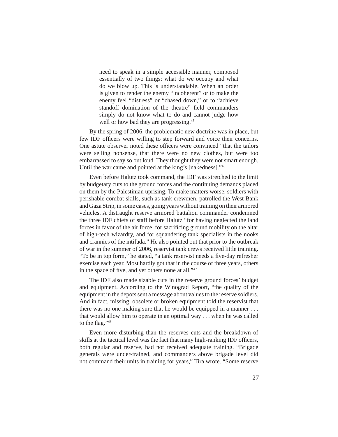need to speak in a simple accessible manner, composed essentially of two things: what do we occupy and what do we blow up. This is understandable. When an order is given to render the enemy "incoherent" or to make the enemy feel "distress" or "chased down," or to "achieve standoff domination of the theatre" field commanders simply do not know what to do and cannot judge how well or how bad they are progressing.<sup>45</sup>

By the spring of 2006, the problematic new doctrine was in place, but few IDF officers were willing to step forward and voice their concerns. One astute observer noted these officers were convinced "that the tailors were selling nonsense, that there were no new clothes, but were too embarrassed to say so out loud. They thought they were not smart enough. Until the war came and pointed at the king's [nakedness]."46

Even before Halutz took command, the IDF was stretched to the limit by budgetary cuts to the ground forces and the continuing demands placed on them by the Palestinian uprising. To make matters worse, soldiers with perishable combat skills, such as tank crewmen, patrolled the West Bank and Gaza Strip, in some cases, going years without training on their armored vehicles. A distraught reserve armored battalion commander condemned the three IDF chiefs of staff before Halutz "for having neglected the land forces in favor of the air force, for sacrificing ground mobility on the altar of high-tech wizardry, and for squandering tank specialists in the nooks and crannies of the intifada." He also pointed out that prior to the outbreak of war in the summer of 2006, reservist tank crews received little training. "To be in top form," he stated, "a tank reservist needs a five-day refresher exercise each year. Most hardly got that in the course of three years, others in the space of five, and yet others none at all."47

The IDF also made sizable cuts in the reserve ground forces' budget and equipment. According to the Winograd Report, "the quality of the equipment in the depots sent a message about values to the reserve soldiers. And in fact, missing, obsolete or broken equipment told the reservist that there was no one making sure that he would be equipped in a manner . . . that would allow him to operate in an optimal way . . . when he was called to the flag."48

Even more disturbing than the reserves cuts and the breakdown of skills at the tactical level was the fact that many high-ranking IDF officers, both regular and reserve, had not received adequate training. "Brigade generals were under-trained, and commanders above brigade level did not command their units in training for years," Tira wrote. "Some reserve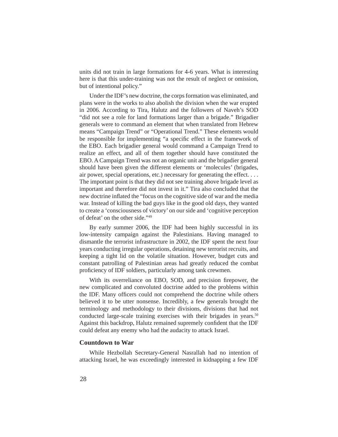units did not train in large formations for 4-6 years. What is interesting here is that this under-training was not the result of neglect or omission, but of intentional policy."

Under the IDF's new doctrine, the corps formation was eliminated, and plans were in the works to also abolish the division when the war erupted in 2006. According to Tira, Halutz and the followers of Naveh's SOD "did not see a role for land formations larger than a brigade." Brigadier generals were to command an element that when translated from Hebrew means "Campaign Trend" or "Operational Trend." These elements would be responsible for implementing "a specific effect in the framework of the EBO. Each brigadier general would command a Campaign Trend to realize an effect, and all of them together should have constituted the EBO. A Campaign Trend was not an organic unit and the brigadier general should have been given the different elements or 'molecules' (brigades, air power, special operations, etc.) necessary for generating the effect. . . . The important point is that they did not see training above brigade level as important and therefore did not invest in it." Tira also concluded that the new doctrine inflated the "focus on the cognitive side of war and the media war. Instead of killing the bad guys like in the good old days, they wanted to create a 'consciousness of victory' on our side and 'cognitive perception of defeat' on the other side."49

By early summer 2006, the IDF had been highly successful in its low-intensity campaign against the Palestinians. Having managed to dismantle the terrorist infrastructure in 2002, the IDF spent the next four years conducting irregular operations, detaining new terrorist recruits, and keeping a tight lid on the volatile situation. However, budget cuts and constant patrolling of Palestinian areas had greatly reduced the combat proficiency of IDF soldiers, particularly among tank crewmen.

With its overreliance on EBO, SOD, and precision firepower, the new complicated and convoluted doctrine added to the problems within the IDF. Many officers could not comprehend the doctrine while others believed it to be utter nonsense. Incredibly, a few generals brought the terminology and methodology to their divisions, divisions that had not conducted large-scale training exercises with their brigades in years.<sup>50</sup> Against this backdrop, Halutz remained supremely confident that the IDF could defeat any enemy who had the audacity to attack Israel.

#### **Countdown to War**

While Hezbollah Secretary-General Nasrallah had no intention of attacking Israel, he was exceedingly interested in kidnapping a few IDF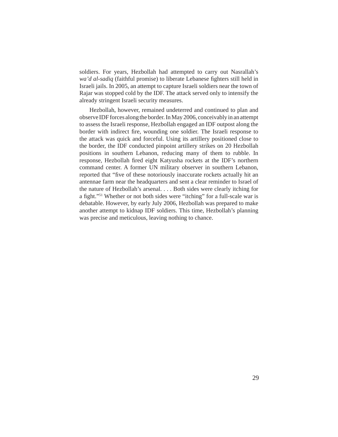soldiers. For years, Hezbollah had attempted to carry out Nasrallah's *wa'd al-sadiq* (faithful promise) to liberate Lebanese fighters still held in Israeli jails. In 2005, an attempt to capture Israeli soldiers near the town of Rajar was stopped cold by the IDF. The attack served only to intensify the already stringent Israeli security measures.

Hezbollah, however, remained undeterred and continued to plan and observe IDF forces along the border. In May 2006, conceivably in an attempt to assess the Israeli response, Hezbollah engaged an IDF outpost along the border with indirect fire, wounding one soldier. The Israeli response to the attack was quick and forceful. Using its artillery positioned close to the border, the IDF conducted pinpoint artillery strikes on 20 Hezbollah positions in southern Lebanon, reducing many of them to rubble. In response, Hezbollah fired eight Katyusha rockets at the IDF's northern command center. A former UN military observer in southern Lebanon, reported that "five of these notoriously inaccurate rockets actually hit an antennae farm near the headquarters and sent a clear reminder to Israel of the nature of Hezbollah's arsenal. . . . Both sides were clearly itching for a fight."51 Whether or not both sides were "itching" for a full-scale war is debatable. However, by early July 2006, Hezbollah was prepared to make another attempt to kidnap IDF soldiers. This time, Hezbollah's planning was precise and meticulous, leaving nothing to chance.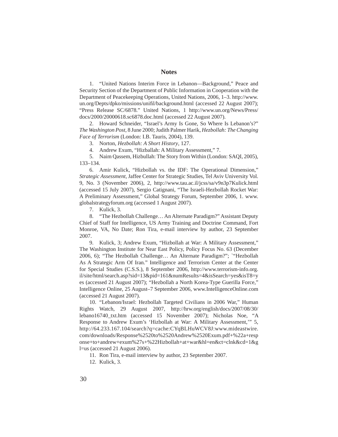### **Notes**

1. "United Nations Interim Force in Lebanon—Background," Peace and Security Section of the Department of Public Information in Cooperation with the Department of Peacekeeping Operations, United Nations, 2006, 1–3. http://www. un.org/Depts/dpko/missions/unifil/background.html (accessed 22 August 2007); "Press Release SC/6878." United Nations, 1 http://www.un.org/News/Press/ docs/2000/20000618.sc6878.doc.html (accessed 22 August 2007).

2. Howard Schneider, "Israel's Army Is Gone, So Where Is Lebanon's?" *The Washington Post*, 8 June 2000; Judith Palmer Harik, *Hezbollah: The Changing Face of Terrorism* (London: I.B. Tauris, 2004), 139.

3. Norton, *Hezbollah: A Short History*, 127.

4. Andrew Exum, "Hizballah: A Military Assessment," 7.

5. Naim Qassem, Hizbullah: The Story from Within (London: SAQI, 2005), 133–134.

6. Amir Kulick, "Hizbollah vs. the IDF: The Operational Dimension," *Strategic Assessment*, Jaffee Center for Strategic Studies, Tel Aviv University Vol. 9, No. 3 (November 2006), 2, http://www.tau.ac.il/jcss/sa/v9n3p7Kulick.html (accessed 15 July 2007), Sergio Catignani, "The Israeli-Hezbollah Rocket War: A Preliminary Assessment," Global Strategy Forum, September 2006, 1. www. globalstrategyforum.org (accessed 1 August 2007).

7. Kulick, 3.

8. "The Hezbollah Challenge… An Alternate Paradigm?" Assistant Deputy Chief of Staff for Intelligence, US Army Training and Doctrine Command, Fort Monroe, VA, No Date; Ron Tira, e-mail interview by author, 23 September 2007.

9. Kulick, 3; Andrew Exum, "Hizbollah at War: A Military Assessment," The Washington Institute for Near East Policy, Policy Focus No. 63 (December 2006, 6); "The Hezbollah Challenge… An Alternate Paradigm?"; `"Hezbollah As A Strategic Arm Of Iran." Intelligence and Terrorism Center at the Center for Special Studies (C.S.S.), 8 September 2006, http://www.terrorism-info.org. il/site/html/search.asp?sid=13&pid=161&numResults=4&isSearch=yes&isT8=y es (accessed 21 August 2007); "Hezbollah a North Korea-Type Guerilla Force," Intelligence Online, 25 August–7 September 2006, www.IntelligenceOnline.com (accessed 21 August 2007).

10. "Lebanon/Israel: Hezbollah Targeted Civilians in 2006 War," Human Rights Watch, 29 August 2007, http://hrw.org/english/docs/2007/08/30/ lebano16740\_txt.htm (accessed 15 November 2007); Nicholas Noe, "A Response to Andrew Exum's 'Hizbollah at War: A Military Assessment,'" 5, http://64.233.167.104/search?q=cache:CYqBLHuWCV8J:www.mideastwire. com/downloads/Response%2520to%2520Andrew%2520Exum.pdf+%22a+resp onse+to+andrew+exum%27s+%22Hizbollah+at+war&hl=en&ct=clnk&cd=1&g l=us (accessed 21 August 2006).

11. Ron Tira, e-mail interview by author, 23 September 2007.

12. Kulick, 3.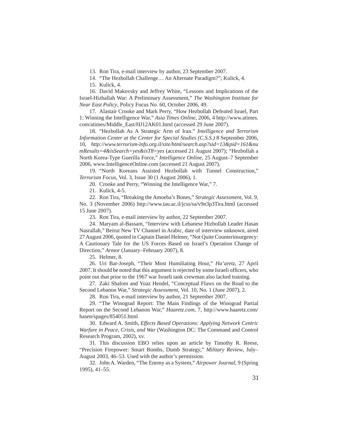13. Ron Tira, e-mail interview by author, 23 September 2007.

14. "The Hezbollah Challenge… An Alternate Paradigm?"; Kulick, 4.

15. Kulick, 4.

16. David Makovsky and Jeffrey White, "Lessons and Implications of the Israel-Hizballah War: A Preliminary Assessment," *The Washington Institute for Near East Policy*, Policy Focus No. 60, October 2006, 49.

17. Alastair Crooke and Mark Perry, "How Hezbollah Defeated Israel, Part 1: Winning the Intelligence War," *Asia Times Online*, 2006, 4 http://www.atimes. com/atimes/Middle\_East/HJ12AK01.html (accessed 29 June 2007).

18. "Hezbollah As A Strategic Arm of Iran." *Intelligence and Terrorism Information Center at the Center for Special Studies (C.S.S.)* 8 September 2006, 10, *http://www.terrorism-info.org.il/site/html/search.asp?sid=13&pid=161&nu mResults=4&isSearch=yes&isT8=yes* (accessed 21 August 2007)*;* "Hezbollah a North Korea-Type Guerilla Force," *Intelligence Online*, 25 August–7 September 2006, www.IntelligenceOnline.com (accessed 21 August 2007).

19. "North Koreans Assisted Hezbollah with Tunnel Construction," *Terrorism Focus*, Vol. 3, Issue 30 (1 August 2006), 1.

20. Crooke and Perry, "Winning the Intelligence War," 7.

21. Kulick, 4-5.

22. Ron Tira, "Breaking the Amoeba's Bones," *Strategic Assessment*, Vol. 9, No. 3 (November 2006) http://www.tau.ac.il/jcss/sa/v9n3p3Tira.html (accessed 15 June 2007).

23. Ron Tira, e-mail interview by author, 22 September 2007.

24. Maryam al-Bassam, "Interview with Lebanese Hizbollah Leader Hasan Nasrallah," Beirut New TV Channel in Arabic, date of interview unknown, aired 27 August 2006, quoted in Captain Daniel Helmer, "Not Quite Counterinsurgency: A Cautionary Tale for the US Forces Based on Israel's Operation Change of Direction," *Armor* (January–February 2007), 8.

25. Helmer, 8.

26. Uri Bar-Joseph, "Their Most Humiliating Hour," *Ha'aretz*, 27 April 2007. It should be noted that this argument is rejected by some Israeli officers, who point out that prior to the 1967 war Israeli tank crewman also lacked training.

27. Zaki Shalom and Yoaz Hendel, "Conceptual Flaws on the Road to the Second Lebanon War," *Strategic Assessment*, Vol. 10, No. 1 (June 2007), 2.

28. Ron Tira, e-mail interview by author, 21 September 2007.

29. "The Winograd Report: The Main Findings of the Winograd Partial Report on the Second Lebanon War," *Haaretz.com*, 7, http://www.haaretz.com/ hasen/spages/854051.html

30. Edward A. Smith, *Effects Based Operations: Applying Network Centric Warfare in Peace, Crisis, and War* (Washington DC: The Command and Control Research Program, 2002), xv.

31. This discussion EBO relies upon an article by Timothy R. Reese, "Precision Firepower: Smart Bombs, Dumb Strategy," *Military Review*, July– August 2003, 46–53. Used with the author's permission.

32. John A. Warden, "The Enemy as a System," *Airpower Journal,* 9 (Spring 1995), 41–55.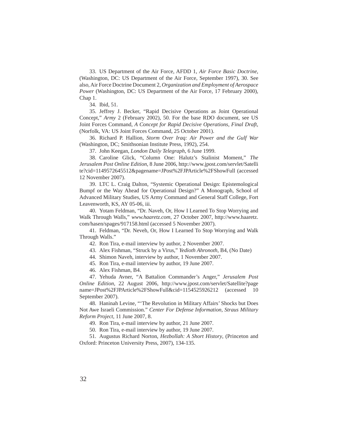33. US Department of the Air Force, AFDD 1, *Air Force Basic Doctrine*, (Washington, DC: US Department of the Air Force, September 1997), 30. See also, Air Force Doctrine Document 2, *Organization and Employment of Aerospace Power* (Washington, DC: US Department of the Air Force, 17 February 2000), Chap 1.

34. Ibid, 51.

35. Jeffrey J. Becker, "Rapid Decisive Operations as Joint Operational Concept," *Army* 2 (February 2002), 50. For the base RDO document, see US Joint Forces Command, *A Concept for Rapid Decisive Operations, Final Draft*, (Norfolk, VA: US Joint Forces Command, 25 October 2001).

36. Richard P. Hallion, *Storm Over Iraq: Air Power and the Gulf War*  (Washington, DC; Smithsonian Institute Press, 1992), 254.

37. John Keegan, *London Daily Telegraph*, 6 June 1999.

38. Caroline Glick, "Column One: Halutz's Stalinist Moment," *The Jerusalem Post Online Edition*, 8 June 2006, http://www.jpost.com/servlet/Satelli te?cid=1149572645512&pagename=JPost%2FJPArticle%2FShowFull (accessed 12 November 2007).

39. LTC L. Craig Dalton, "Systemic Operational Design: Epistemological Bumpf or the Way Ahead for Operational Design?" A Monograph, School of Advanced Military Studies, US Army Command and General Staff College, Fort Leavenworth, KS, AY 05-06, iii.

40. Yotam Feldman, "Dr. Naveh, Or, How I Learned To Stop Worrying and Walk Through Walls," *www.haaretz.com*, 27 October 2007, http://www.haaretz. com/hasen/spages/917158.html (accessed 5 November 2007).

41. Feldman, "Dr. Neveh, Or, How I Learned To Stop Worrying and Walk Through Walls."

42. Ron Tira, e-mail interview by author, 2 November 2007.

43. Alex Fishman, "Struck by a Virus," *Yedioth Ahronoth*, B4, (No Date)

44. Shimon Naveh, interview by author, 1 November 2007.

45. Ron Tira, e-mail interview by author, 19 June 2007.

46. Alex Fishman, B4.

47. Yehuda Avner, "A Battalion Commander's Anger," *Jerusalem Post Online Edition*, 22 August 2006, http://www.jpost.com/servlet/Satellite?page name=JPost%2FJPArticle%2FShowFull&cid=1154525926212 (accessed 10 September 2007).

48. Haninah Levine, "'The Revolution in Military Affairs' Shocks but Does Not Awe Israeli Commission." *Center For Defense Information, Straus Military Reform Project*, 11 June 2007, 8.

49. Ron Tira, e-mail interview by author, 21 June 2007.

50. Ron Tira, e-mail interview by author, 19 June 2007.

51. Augustus Richard Norton, *Hezbollah: A Short History*, (Princeton and Oxford: Princeton University Press, 2007), 134-135.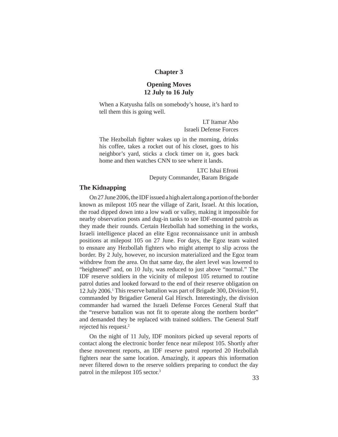# **Chapter 3**

# **Opening Moves 12 July to 16 July**

When a Katyusha falls on somebody's house, it's hard to tell them this is going well.

> LT Itamar Abo Israeli Defense Forces

The Hezbollah fighter wakes up in the morning, drinks his coffee, takes a rocket out of his closet, goes to his neighbor's yard, sticks a clock timer on it, goes back home and then watches CNN to see where it lands.

> LTC Ishai Efroni Deputy Commander, Baram Brigade

#### **The Kidnapping**

On 27 June 2006, the IDF issued a high alert along a portion of the border known as milepost 105 near the village of Zarit, Israel. At this location, the road dipped down into a low wadi or valley, making it impossible for nearby observation posts and dug-in tanks to see IDF-mounted patrols as they made their rounds. Certain Hezbollah had something in the works, Israeli intelligence placed an elite Egoz reconnaissance unit in ambush positions at milepost 105 on 27 June. For days, the Egoz team waited to ensnare any Hezbollah fighters who might attempt to slip across the border. By 2 July, however, no incursion materialized and the Egoz team withdrew from the area. On that same day, the alert level was lowered to "heightened" and, on 10 July, was reduced to just above "normal." The IDF reserve soldiers in the vicinity of milepost 105 returned to routine patrol duties and looked forward to the end of their reserve obligation on 12 July 2006.1 This reserve battalion was part of Brigade 300, Division 91, commanded by Brigadier General Gal Hirsch. Interestingly, the division commander had warned the Israeli Defense Forces General Staff that the "reserve battalion was not fit to operate along the northern border" and demanded they be replaced with trained soldiers. The General Staff rejected his request.2

On the night of 11 July, IDF monitors picked up several reports of contact along the electronic border fence near milepost 105. Shortly after these movement reports, an IDF reserve patrol reported 20 Hezbollah fighters near the same location. Amazingly, it appears this information never filtered down to the reserve soldiers preparing to conduct the day patrol in the milepost 105 sector.<sup>3</sup>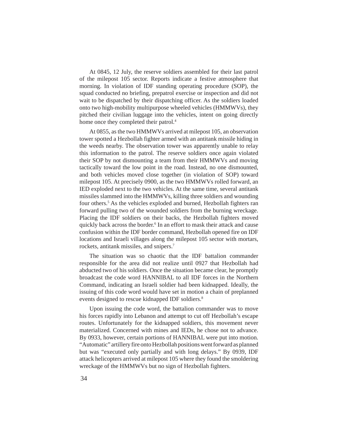At 0845, 12 July, the reserve soldiers assembled for their last patrol of the milepost 105 sector. Reports indicate a festive atmosphere that morning. In violation of IDF standing operating procedure (SOP), the squad conducted no briefing, prepatrol exercise or inspection and did not wait to be dispatched by their dispatching officer. As the soldiers loaded onto two high-mobility multipurpose wheeled vehicles (HMMWVs), they pitched their civilian luggage into the vehicles, intent on going directly home once they completed their patrol.<sup>4</sup>

At 0855, as the two HMMWVs arrived at milepost 105, an observation tower spotted a Hezbollah fighter armed with an antitank missile hiding in the weeds nearby. The observation tower was apparently unable to relay this information to the patrol. The reserve soldiers once again violated their SOP by not dismounting a team from their HMMWVs and moving tactically toward the low point in the road. Instead, no one dismounted, and both vehicles moved close together (in violation of SOP) toward milepost 105. At precisely 0900, as the two HMMWVs rolled forward, an IED exploded next to the two vehicles. At the same time, several antitank missiles slammed into the HMMWVs, killing three soldiers and wounding four others.5 As the vehicles exploded and burned, Hezbollah fighters ran forward pulling two of the wounded soldiers from the burning wreckage. Placing the IDF soldiers on their backs, the Hezbollah fighters moved quickly back across the border.<sup>6</sup> In an effort to mask their attack and cause confusion within the IDF border command, Hezbollah opened fire on IDF locations and Israeli villages along the milepost 105 sector with mortars, rockets, antitank missiles, and snipers.7

The situation was so chaotic that the IDF battalion commander responsible for the area did not realize until 0927 that Hezbollah had abducted two of his soldiers. Once the situation became clear, he promptly broadcast the code word HANNIBAL to all IDF forces in the Northern Command, indicating an Israeli soldier had been kidnapped. Ideally, the issuing of this code word would have set in motion a chain of preplanned events designed to rescue kidnapped IDF soldiers.<sup>8</sup>

Upon issuing the code word, the battalion commander was to move his forces rapidly into Lebanon and attempt to cut off Hezbollah's escape routes. Unfortunately for the kidnapped soldiers, this movement never materialized. Concerned with mines and IEDs, he chose not to advance. By 0933, however, certain portions of HANNIBAL were put into motion. "Automatic" artillery fire onto Hezbollah positions went forward as planned but was "executed only partially and with long delays." By 0939, IDF attack helicopters arrived at milepost 105 where they found the smoldering wreckage of the HMMWVs but no sign of Hezbollah fighters.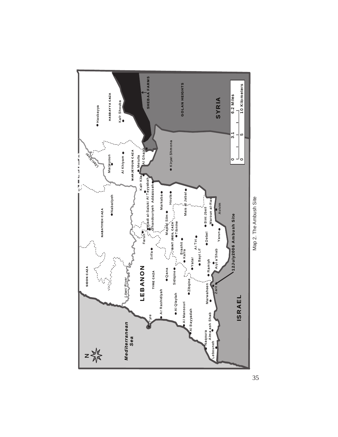

Map 2. The Ambush Site Map 2. The Ambush Site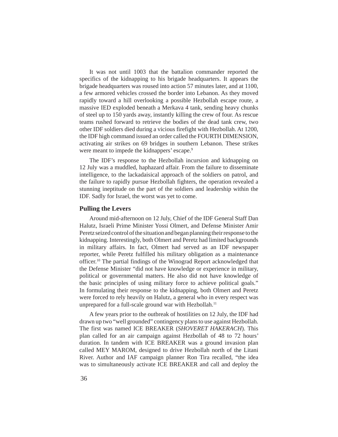It was not until 1003 that the battalion commander reported the specifics of the kidnapping to his brigade headquarters. It appears the brigade headquarters was roused into action 57 minutes later, and at 1100, a few armored vehicles crossed the border into Lebanon. As they moved rapidly toward a hill overlooking a possible Hezbollah escape route, a massive IED exploded beneath a Merkava 4 tank, sending heavy chunks of steel up to 150 yards away, instantly killing the crew of four. As rescue teams rushed forward to retrieve the bodies of the dead tank crew, two other IDF soldiers died during a vicious firefight with Hezbollah. At 1200, the IDF high command issued an order called the FOURTH DIMENSION, activating air strikes on 69 bridges in southern Lebanon. These strikes were meant to impede the kidnappers' escape.<sup>9</sup>

The IDF's response to the Hezbollah incursion and kidnapping on 12 July was a muddled, haphazard affair. From the failure to disseminate intelligence, to the lackadaisical approach of the soldiers on patrol, and the failure to rapidly pursue Hezbollah fighters, the operation revealed a stunning ineptitude on the part of the soldiers and leadership within the IDF. Sadly for Israel, the worst was yet to come.

### **Pulling the Levers**

Around mid-afternoon on 12 July, Chief of the IDF General Staff Dan Halutz, Israeli Prime Minister Yossi Olmert, and Defense Minister Amir Peretz seized control of the situation and began planning their response to the kidnapping. Interestingly, both Olmert and Peretz had limited backgrounds in military affairs. In fact, Olmert had served as an IDF newspaper reporter, while Peretz fulfilled his military obligation as a maintenance officer.10 The partial findings of the Winograd Report acknowledged that the Defense Minister "did not have knowledge or experience in military, political or governmental matters. He also did not have knowledge of the basic principles of using military force to achieve political goals." In formulating their response to the kidnapping, both Olmert and Peretz were forced to rely heavily on Halutz, a general who in every respect was unprepared for a full-scale ground war with Hezbollah.<sup>11</sup>

A few years prior to the outbreak of hostilities on 12 July, the IDF had drawn up two "well grounded" contingency plans to use against Hezbollah. The first was named ICE BREAKER (*SHOVERET HAKERACH*). This plan called for an air campaign against Hezbollah of 48 to 72 hours' duration. In tandem with ICE BREAKER was a ground invasion plan called MEY MAROM, designed to drive Hezbollah north of the Litani River. Author and IAF campaign planner Ron Tira recalled, "the idea was to simultaneously activate ICE BREAKER and call and deploy the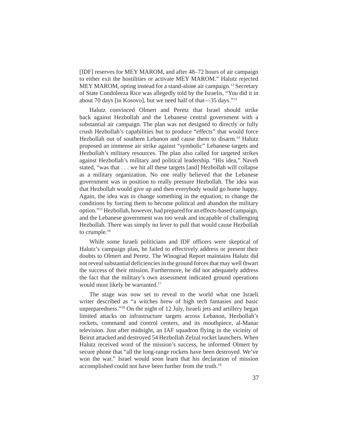[IDF] reserves for MEY MAROM, and after 48–72 hours of air campaign to either exit the hostilities or activate MEY MAROM." Halutz rejected MEY MAROM, opting instead for a stand-alone air campaign.<sup>12</sup> Secretary of State Condoleeza Rice was allegedly told by the Israelis, "You did it in about 70 days [in Kosovo], but we need half of that—35 days."13

to crumple.<sup>16</sup> Halutz convinced Olmert and Peretz that Israel should strike back against Hezbollah and the Lebanese central government with a substantial air campaign. The plan was not designed to directly or fully crush Hezbollah's capabilities but to produce "effects" that would force Hezbollah out of southern Lebanon and cause them to disarm.<sup>14</sup> Halutz proposed an immense air strike against "symbolic" Lebanese targets and Hezbollah's military resources. The plan also called for targeted strikes against Hezbollah's military and political leadership. "His idea," Naveh stated, "was that . . . we hit all these targets [and] Hezbollah will collapse as a military organization. No one really believed that the Lebanese government was in position to really pressure Hezbollah. The idea was that Hezbollah would give up and then everybody would go home happy. Again, the idea was to change something in the equation; to change the conditions by forcing them to become political and abandon the military option."15 Hezbollah, however, had prepared for an effects-based campaign, and the Lebanese government was too weak and incapable of challenging Hezbollah. There was simply no lever to pull that would cause Hezbollah

While some Israeli politicians and IDF officers were skeptical of Halutz's campaign plan, he failed to effectively address or present their doubts to Olmert and Peretz. The Winograd Report maintains Halutz did not reveal substantial deficiencies in the ground forces that may well thwart the success of their mission. Furthermore, he did not adequately address the fact that the military's own assessment indicated ground operations would most likely be warranted.<sup>17</sup>

The stage was now set to reveal to the world what one Israeli writer described as "a witches brew of high tech fantasies and basic unpreparedness."18 On the night of 12 July, Israeli jets and artillery began limited attacks on infrastructure targets across Lebanon, Hezbollah's rockets, command and control centers, and its mouthpiece, al-Manar television. Just after midnight, an IAF squadron flying in the vicinity of Beirut attacked and destroyed 54 Hezbollah Zelzal rocket launchers. When Halutz received word of the mission's success, he informed Olmert by secure phone that "all the long-range rockets have been destroyed. We've won the war." Israel would soon learn that his declaration of mission accomplished could not have been further from the truth.<sup>19</sup>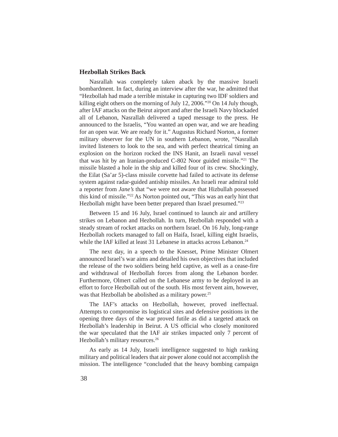# **Hezbollah Strikes Back**

Nasrallah was completely taken aback by the massive Israeli bombardment. In fact, during an interview after the war, he admitted that "Hezbollah had made a terrible mistake in capturing two IDF soldiers and killing eight others on the morning of July 12, 2006."20 On 14 July though, after IAF attacks on the Beirut airport and after the Israeli Navy blockaded all of Lebanon, Nasrallah delivered a taped message to the press. He announced to the Israelis, "You wanted an open war, and we are heading for an open war. We are ready for it." Augustus Richard Norton, a former military observer for the UN in southern Lebanon, wrote, "Nasrallah invited listeners to look to the sea, and with perfect theatrical timing an explosion on the horizon rocked the INS Hanit, an Israeli naval vessel that was hit by an Iranian-produced C-802 Noor guided missile."21 The missile blasted a hole in the ship and killed four of its crew. Shockingly, the Eilat (Sa'ar 5)-class missile corvette had failed to activate its defense system against radar-guided antiship missiles. An Israeli rear admiral told a reporter from *Jane's* that "we were not aware that Hizbullah possessed this kind of missile."22 As Norton pointed out, "This was an early hint that Hezbollah might have been better prepared than Israel presumed."23

Between 15 and 16 July, Israel continued to launch air and artillery strikes on Lebanon and Hezbollah. In turn, Hezbollah responded with a steady stream of rocket attacks on northern Israel. On 16 July, long-range Hezbollah rockets managed to fall on Haifa, Israel, killing eight Israelis, while the IAF killed at least 31 Lebanese in attacks across Lebanon.<sup>24</sup>

The next day, in a speech to the Knesset, Prime Minister Olmert announced Israel's war aims and detailed his own objectives that included the release of the two soldiers being held captive, as well as a cease-fire and withdrawal of Hezbollah forces from along the Lebanon border. Furthermore, Olmert called on the Lebanese army to be deployed in an effort to force Hezbollah out of the south. His most fervent aim, however, was that Hezbollah be abolished as a military power.<sup>25</sup>

The IAF's attacks on Hezbollah, however, proved ineffectual. Attempts to compromise its logistical sites and defensive positions in the opening three days of the war proved futile as did a targeted attack on Hezbollah's leadership in Beirut. A US official who closely monitored the war speculated that the IAF air strikes impacted only 7 percent of Hezbollah's military resources.<sup>26</sup>

As early as 14 July, Israeli intelligence suggested to high ranking military and political leaders that air power alone could not accomplish the mission. The intelligence "concluded that the heavy bombing campaign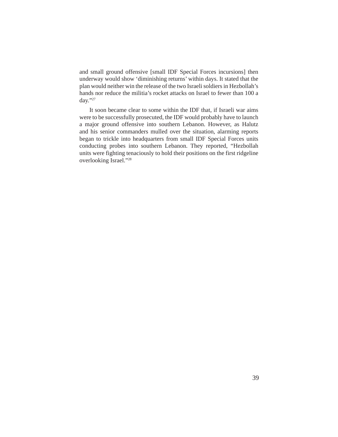and small ground offensive [small IDF Special Forces incursions] then underway would show 'diminishing returns' within days. It stated that the plan would neither win the release of the two Israeli soldiers in Hezbollah's hands nor reduce the militia's rocket attacks on Israel to fewer than 100 a day."27

It soon became clear to some within the IDF that, if Israeli war aims were to be successfully prosecuted, the IDF would probably have to launch a major ground offensive into southern Lebanon. However, as Halutz and his senior commanders mulled over the situation, alarming reports began to trickle into headquarters from small IDF Special Forces units conducting probes into southern Lebanon. They reported, "Hezbollah units were fighting tenaciously to hold their positions on the first ridgeline overlooking Israel."28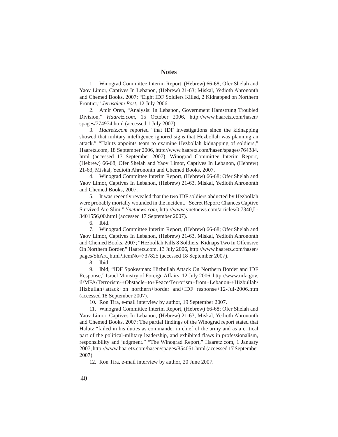# **Notes**

1. Winograd Committee Interim Report, (Hebrew) 66-68; Ofer Shelah and Yaov Limor, Captives In Lebanon, (Hebrew) 21-63; Miskal, Yedioth Ahrononth and Chemed Books, 2007; "Eight IDF Soldiers Killed, 2 Kidnapped on Northern Frontier," *Jerusalem Post*, 12 July 2006.

2. Amir Oren, "Analysis: In Lebanon, Government Hamstrung Troubled Division," *Haaretz.com*, 15 October 2006, http://www.haaretz.com/hasen/ spages/774974.html (accessed 1 July 2007).

3. *Haaretz.com* reported "that IDF investigations since the kidnapping showed that military intelligence ignored signs that Hezbollah was planning an attack." "Halutz appoints team to examine Hezbollah kidnapping of soldiers," Haaretz.com, 18 September 2006, http://www.haaretz.com/hasen/spages/764384. html (accessed 17 September 2007); Winograd Committee Interim Report, (Hebrew) 66-68; Ofer Shelah and Yaov Limor, Captives In Lebanon, (Hebrew) 21-63, Miskal, Yedioth Ahrononth and Chemed Books, 2007.

4. Winograd Committee Interim Report, (Hebrew) 66-68; Ofer Shelah and Yaov Limor, Captives In Lebanon, (Hebrew) 21-63, Miskal, Yedioth Ahrononth and Chemed Books, 2007.

5. It was recently revealed that the two IDF soldiers abducted by Hezbollah were probably mortally wounded in the incident. "Secret Report: Chances Captive Survived Are Slim." *Ynetnews.com*, http://www.ynetnews.com/articles/0,7340,L-3401556,00.html (accessed 17 September 2007).

6. Ibid.

7. Winograd Committee Interim Report, (Hebrew) 66-68; Ofer Shelah and Yaov Limor, Captives In Lebanon, (Hebrew) 21-63, Miskal, Yedioth Ahrononth and Chemed Books, 2007; "Hezbollah Kills 8 Soldiers, Kidnaps Two In Offensive On Northern Border," Haaretz.com, 13 July 2006, http://www.haaretz.com/hasen/ pages/ShArt.jhtml?itemNo=737825 (accessed 18 September 2007).

8. Ibid.

9. Ibid; "IDF Spokesman: Hizbullah Attack On Northern Border and IDF Response," Israel Ministry of Foreign Affairs, 12 July 2006, http://www.mfa.gov. il/MFA/Terrorism-+Obstacle+to+Peace/Terrorism+from+Lebanon-+Hizbullah/ Hizbullah+attack+on+northern+border+and+IDF+response+12-Jul-2006.htm (accessed 18 September 2007).

10. Ron Tira, e-mail interview by author, 19 September 2007.

11. Winograd Committee Interim Report, (Hebrew) 66-68; Ofer Shelah and Yaov Limor, Captives In Lebanon, (Hebrew) 21-63, Miskal, Yedioth Ahrononth and Chemed Books, 2007; The partial findings of the Winograd report stated that Halutz "failed in his duties as commander in chief of the army and as a critical part of the political-military leadership, and exhibited flaws in professionalism, responsibility and judgment." "The Winograd Report," Haaretz.com, 1 January 2007, http://www.haaretz.com/hasen/spages/854051.html (accessed 17 September 2007).

12. Ron Tira, e-mail interview by author, 20 June 2007.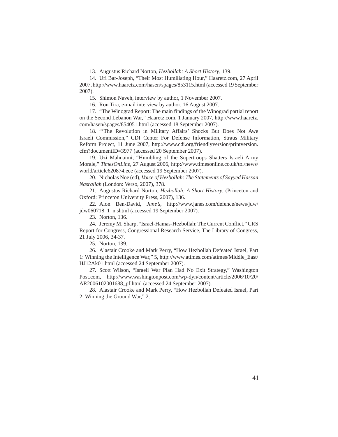13. Augustus Richard Norton, *Hezbollah: A Short History*, 139.

14. Uri Bar-Joseph, "Their Most Humiliating Hour," Haaretz.com, 27 April 2007, http://www.haaretz.com/hasen/spages/853115.html (accessed 19 September 2007).

15. Shimon Naveh, interview by author, 1 November 2007.

16. Ron Tira, e-mail interview by author, 16 August 2007.

17. "The Winograd Report: The main findings of the Winograd partial report on the Second Lebanon War," Haaretz.com, 1 January 2007, http://www.haaretz. com/hasen/spages/854051.html (accessed 18 September 2007).

18. "'The Revolution in Military Affairs' Shocks But Does Not Awe Israeli Commission," CDI Center For Defense Information, Straus Military Reform Project, 11 June 2007, http://www.cdi.org/friendlyversion/printversion. cfm?documentID=3977 (accessed 20 September 2007).

19. Uzi Mahnaimi, "Humbling of the Supertroops Shatters Israeli Army Morale," *TimesOnLine*, 27 August 2006, http://www.timesonline.co.uk/tol/news/ world/article620874.ece (accessed 19 September 2007).

20. Nicholas Noe (ed), *Voice of Hezbollah: The Statements of Sayyed Hassan Nasrallah* (London: Verso, 2007), 378.

21. Augustus Richard Norton, *Hezbollah: A Short History*, (Princeton and Oxford: Princeton University Press, 2007), 136.

22. Alon Ben-David, *Jane's*, http://www.janes.com/defence/news/jdw/ jdw060718\_1\_n.shtml (accessed 19 September 2007).

23. Norton, 136.

24. Jeremy M. Sharp, "Israel-Hamas-Hezbollah: The Current Conflict," CRS Report for Congress, Congressional Research Service, The Library of Congress, 21 July 2006, 34-37.

25. Norton, 139.

26. Alastair Crooke and Mark Perry, "How Hezbollah Defeated Israel, Part 1: Winning the Intelligence War," 5, http://www.atimes.com/atimes/Middle\_East/ HJ12Ak01.html (accessed 24 September 2007).

27. Scott Wilson, "Israeli War Plan Had No Exit Strategy," Washington Post.com, http://www.washingtonpost.com/wp-dyn/content/article/2006/10/20/ AR2006102001688\_pf.html (accessed 24 September 2007).

28. Alastair Crooke and Mark Perry, "How Hezbollah Defeated Israel, Part 2: Winning the Ground War," 2.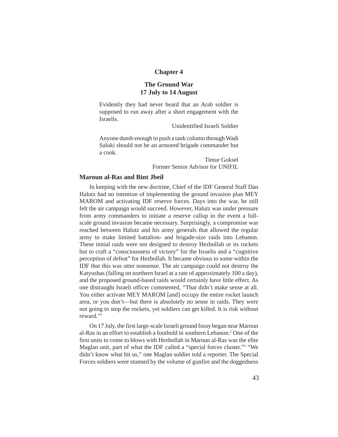# **Chapter 4**

# **The Ground War 17 July to 14 August**

Evidently they had never heard that an Arab soldier is supposed to run away after a short engagement with the Israelis.

Unidentified Israeli Soldier

Anyone dumb enough to push a tank column through Wadi Saluki should not be an armored brigade commander but a cook.

> Timur Goksel Former Senior Advisor for UNIFIL

#### **Maroun al-Ras and Bint Jbeil**

In keeping with the new doctrine, Chief of the IDF General Staff Dan Halutz had no intention of implementing the ground invasion plan MEY MAROM and activating IDF reserve forces. Days into the war, he still felt the air campaign would succeed. However, Halutz was under pressure from army commanders to initiate a reserve callup in the event a fullscale ground invasion became necessary. Surprisingly, a compromise was reached between Halutz and his army generals that allowed the regular army to make limited battalion- and brigade-size raids into Lebanon. These initial raids were not designed to destroy Hezbollah or its rockets but to craft a "consciousness of victory" for the Israelis and a "cognitive perception of defeat" for Hezbollah. It became obvious to some within the IDF that this was utter nonsense. The air campaign could not destroy the Katyushas (falling on northern Israel at a rate of approximately 100 a day), and the proposed ground-based raids would certainly have little effect. As one distraught Israeli officer commented, "That didn't make sense at all. You either activate MEY MAROM [and] occupy the entire rocket launch area, or you don't—but there is absolutely no sense in raids. They were not going to stop the rockets, yet soldiers can get killed. It is risk without reward."1

On 17 July, the first large-scale Israeli ground foray began near Maroun al-Ras in an effort to establish a foothold in southern Lebanon.2 One of the first units to come to blows with Hezbollah in Maroun al-Ras was the elite Maglan unit, part of what the IDF called a "special forces cluster."<sup>3</sup> "We didn't know what hit us," one Maglan soldier told a reporter. The Special Forces soldiers were stunned by the volume of gunfire and the doggedness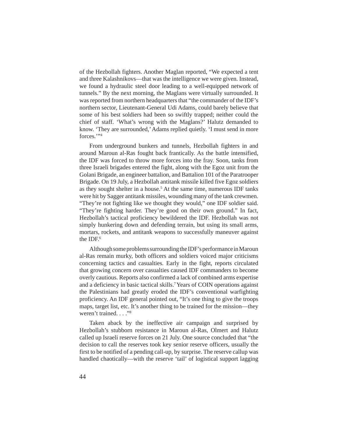of the Hezbollah fighters. Another Maglan reported, "We expected a tent and three Kalashnikovs—that was the intelligence we were given. Instead, we found a hydraulic steel door leading to a well-equipped network of tunnels." By the next morning, the Maglans were virtually surrounded. It was reported from northern headquarters that "the commander of the IDF's northern sector, Lieutenant-General Udi Adams, could barely believe that some of his best soldiers had been so swiftly trapped; neither could the chief of staff. 'What's wrong with the Maglans?' Halutz demanded to know. 'They are surrounded,'Adams replied quietly. 'I must send in more forces<sup>"4</sup>

From underground bunkers and tunnels, Hezbollah fighters in and around Maroun al-Ras fought back frantically. As the battle intensified, the IDF was forced to throw more forces into the fray. Soon, tanks from three Israeli brigades entered the fight, along with the Egoz unit from the Golani Brigade, an engineer battalion, and Battalion 101 of the Paratrooper Brigade. On 19 July, a Hezbollah antitank missile killed five Egoz soldiers as they sought shelter in a house.<sup>5</sup> At the same time, numerous IDF tanks were hit by Sagger antitank missiles, wounding many of the tank crewmen. "They're not fighting like we thought they would," one IDF soldier said. "They're fighting harder. They're good on their own ground." In fact, Hezbollah's tactical proficiency bewildered the IDF. Hezbollah was not simply hunkering down and defending terrain, but using its small arms, mortars, rockets, and antitank weapons to successfully maneuver against the IDF.<sup>6</sup>

Although some problems surrounding the IDF's performance in Maroun al-Ras remain murky, both officers and soldiers voiced major criticisms concerning tactics and casualties. Early in the fight, reports circulated that growing concern over casualties caused IDF commanders to become overly cautious. Reports also confirmed a lack of combined arms expertise and a deficiency in basic tactical skills.7 Years of COIN operations against the Palestinians had greatly eroded the IDF's conventional warfighting proficiency. An IDF general pointed out, "It's one thing to give the troops maps, target list, etc. It's another thing to be trained for the mission—they weren't trained. . . ."<sup>8</sup>

Taken aback by the ineffective air campaign and surprised by Hezbollah's stubborn resistance in Maroun al-Ras, Olmert and Halutz called up Israeli reserve forces on 21 July. One source concluded that "the decision to call the reserves took key senior reserve officers, usually the first to be notified of a pending call-up, by surprise. The reserve callup was handled chaotically—with the reserve 'tail' of logistical support lagging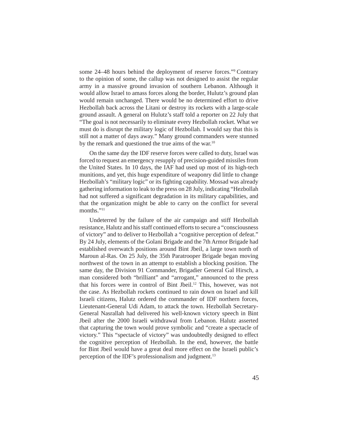some 24–48 hours behind the deployment of reserve forces."9 Contrary to the opinion of some, the callup was not designed to assist the regular army in a massive ground invasion of southern Lebanon. Although it would allow Israel to amass forces along the border, Hulutz's ground plan would remain unchanged. There would be no determined effort to drive Hezbollah back across the Litani or destroy its rockets with a large-scale ground assault. A general on Hulutz's staff told a reporter on 22 July that "The goal is not necessarily to eliminate every Hezbollah rocket. What we must do is disrupt the military logic of Hezbollah. I would say that this is still not a matter of days away." Many ground commanders were stunned by the remark and questioned the true aims of the war.<sup>10</sup>

On the same day the IDF reserve forces were called to duty, Israel was forced to request an emergency resupply of precision-guided missiles from the United States. In 10 days, the IAF had used up most of its high-tech munitions, and yet, this huge expenditure of weaponry did little to change Hezbollah's "military logic" or its fighting capability. Mossad was already gathering information to leak to the press on 28 July, indicating "Hezbollah had not suffered a significant degradation in its military capabilities, and that the organization might be able to carry on the conflict for several months<sup>"11</sup>

Undeterred by the failure of the air campaign and stiff Hezbollah resistance, Halutz and his staff continued efforts to secure a "consciousness of victory" and to deliver to Hezbollah a "cognitive perception of defeat." By 24 July, elements of the Golani Brigade and the 7th Armor Brigade had established overwatch positions around Bint Jbeil, a large town north of Maroun al-Ras. On 25 July, the 35th Paratrooper Brigade began moving northwest of the town in an attempt to establish a blocking position. The same day, the Division 91 Commander, Brigadier General Gal Hirsch, a man considered both "brilliant" and "arrogant," announced to the press that his forces were in control of Bint Jbeil.12 This, however, was not the case. As Hezbollah rockets continued to rain down on Israel and kill Israeli citizens, Halutz ordered the commander of IDF northern forces, Lieutenant-General Udi Adam, to attack the town. Hezbollah Secretary-General Nasrallah had delivered his well-known victory speech in Bint Jbeil after the 2000 Israeli withdrawal from Lebanon. Halutz asserted that capturing the town would prove symbolic and "create a spectacle of victory." This "spectacle of victory" was undoubtedly designed to effect the cognitive perception of Hezbollah. In the end, however, the battle for Bint Jbeil would have a great deal more effect on the Israeli public's perception of the IDF's professionalism and judgment.<sup>13</sup>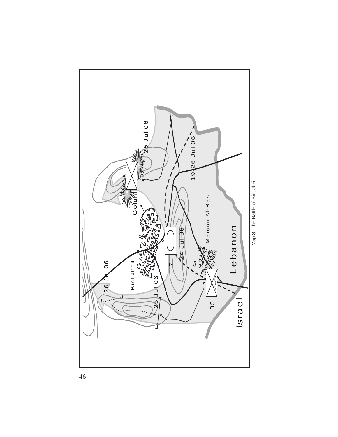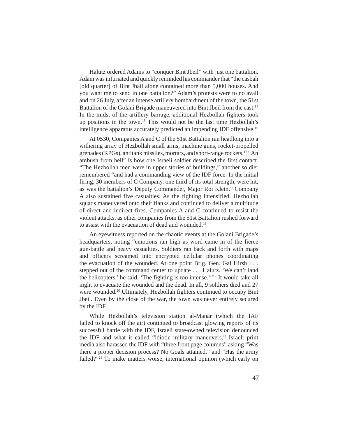Halutz ordered Adams to "conquer Bint Jbeil" with just one battalion. Adam was infuriated and quickly reminded his commander that "the casbah [old quarter] of Bint Jbail alone contained more than 5,000 houses. And you want me to send in one battalion?" Adam's protests were to no avail and on 26 July, after an intense artillery bombardment of the town, the 51st Battalion of the Golani Brigade maneuvered into Bint Jbeil from the east.<sup>14</sup> In the midst of the artillery barrage, additional Hezbollah fighters took up positions in the town.15 This would not be the last time Hezbollah's intelligence apparatus accurately predicted an impending IDF offensive.16

At 0530, Companies A and C of the 51st Battalion ran headlong into a withering array of Hezbollah small arms, machine guns, rocket-propelled grenades (RPGs), antitank missiles, mortars, and short-range rockets.17 "An ambush from hell" is how one Israeli soldier described the first contact. "The Hezbollah men were in upper stories of buildings," another soldier remembered "and had a commanding view of the IDF force. In the initial firing, 30 members of C Company, one third of its total strength, were hit, as was the battalion's Deputy Commander, Major Roi Klein." Company A also sustained five casualties. As the fighting intensified, Hezbollah squads maneuvered onto their flanks and continued to deliver a multitude of direct and indirect fires. Companies A and C continued to resist the violent attacks, as other companies from the 51st Battalion rushed forward to assist with the evacuation of dead and wounded.<sup>18</sup>

An eyewitness reported on the chaotic events at the Golani Brigade's headquarters, noting "emotions ran high as word came in of the fierce gun-battle and heavy casualties. Soldiers ran back and forth with maps and officers screamed into encrypted cellular phones coordinating the evacuation of the wounded. At one point Brig. Gen. Gal Hirsh . . . stepped out of the command center to update . . . Halutz. 'We can't land the helicopters,' he said, 'The fighting is too intense.'"19 It would take all night to evacuate the wounded and the dead. In all, 9 soldiers died and 27 were wounded.20 Ultimately, Hezbollah fighters continued to occupy Bint Jbeil. Even by the close of the war, the town was never entirely secured by the IDF.

While Hezbollah's television station al-Manar (which the IAF failed to knock off the air) continued to broadcast glowing reports of its successful battle with the IDF, Israeli state-owned television denounced the IDF and what it called "idiotic military maneuvers." Israeli print media also harassed the IDF with "three front page columns" asking "Was there a proper decision process? No Goals attained," and "Has the army failed?"21 To make matters worse, international opinion (which early on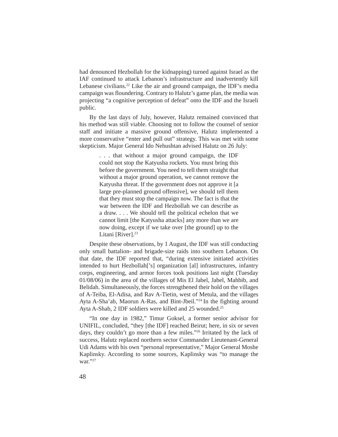had denounced Hezbollah for the kidnapping) turned against Israel as the IAF continued to attack Lebanon's infrastructure and inadvertently kill Lebanese civilians.<sup>22</sup> Like the air and ground campaign, the IDF's media campaign was floundering. Contrary to Halutz's game plan, the media was projecting "a cognitive perception of defeat" onto the IDF and the Israeli public.

By the last days of July, however, Halutz remained convinced that his method was still viable. Choosing not to follow the counsel of senior staff and initiate a massive ground offensive, Halutz implemented a more conservative "enter and pull out" strategy. This was met with some skepticism. Major General Ido Nehushtan advised Halutz on 26 July:

> . . . that without a major ground campaign, the IDF could not stop the Katyusha rockets. You must bring this before the government. You need to tell them straight that without a major ground operation, we cannot remove the Katyusha threat. If the government does not approve it [a large pre-planned ground offensive], we should tell them that they must stop the campaign now. The fact is that the war between the IDF and Hezbollah we can describe as a draw. . . . We should tell the political echelon that we cannot limit [the Katyusha attacks] any more than we are now doing, except if we take over [the ground] up to the Litani [River].<sup>23</sup>

Despite these observations, by 1 August, the IDF was still conducting only small battalion- and brigade-size raids into southern Lebanon. On that date, the IDF reported that, "during extensive initiated activities intended to hurt Hezbollah['s] organization [al] infrastructures, infantry corps, engineering, and armor forces took positions last night (Tuesday 01/08/06) in the area of the villages of Mis El Jabel, Jabel, Mahbib, and Belidah. Simultaneously, the forces strengthened their hold on the villages of A-Teiba, El-Adisa, and Rav A-Tietin, west of Metula, and the villages Ayta A-Sha'ab, Maorun A-Ras, and Bint-Jbeil."24 In the fighting around Ayta A-Shab, 2 IDF soldiers were killed and 25 wounded.25

"In one day in 1982," Timur Goksel, a former senior advisor for UNIFIL, concluded, "they [the IDF] reached Beirut; here, in six or seven days, they couldn't go more than a few miles."26 Irritated by the lack of success, Halutz replaced northern sector Commander Lieutenant-General Udi Adams with his own "personal representative," Major General Moshe Kaplinsky. According to some sources, Kaplinsky was "to manage the war."27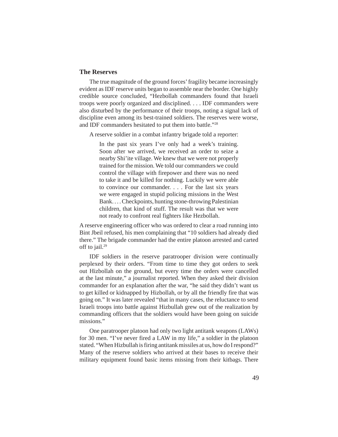# **The Reserves**

The true magnitude of the ground forces' fragility became increasingly evident as IDF reserve units began to assemble near the border. One highly credible source concluded, "Hezbollah commanders found that Israeli troops were poorly organized and disciplined. . . . IDF commanders were also disturbed by the performance of their troops, noting a signal lack of discipline even among its best-trained soldiers. The reserves were worse, and IDF commanders hesitated to put them into battle."28

A reserve soldier in a combat infantry brigade told a reporter:

In the past six years I've only had a week's training. Soon after we arrived, we received an order to seize a nearby Shi'ite village. We knew that we were not properly trained for the mission. We told our commanders we could control the village with firepower and there was no need to take it and be killed for nothing. Luckily we were able to convince our commander. . . . For the last six years we were engaged in stupid policing missions in the West Bank. . . . Checkpoints, hunting stone-throwing Palestinian children, that kind of stuff. The result was that we were not ready to confront real fighters like Hezbollah.

A reserve engineering officer who was ordered to clear a road running into Bint Jbeil refused, his men complaining that "10 soldiers had already died there." The brigade commander had the entire platoon arrested and carted off to jail.<sup>29</sup>

IDF soldiers in the reserve paratrooper division were continually perplexed by their orders. "From time to time they got orders to seek out Hizbollah on the ground, but every time the orders were cancelled at the last minute," a journalist reported. When they asked their division commander for an explanation after the war, "he said they didn't want us to get killed or kidnapped by Hizbollah, or by all the friendly fire that was going on." It was later revealed "that in many cases, the reluctance to send Israeli troops into battle against Hizbullah grew out of the realization by commanding officers that the soldiers would have been going on suicide missions."

One paratrooper platoon had only two light antitank weapons (LAWs) for 30 men. "I've never fired a LAW in my life," a soldier in the platoon stated. "When Hizbullah is firing antitank missiles at us, how do I respond?" Many of the reserve soldiers who arrived at their bases to receive their military equipment found basic items missing from their kitbags. There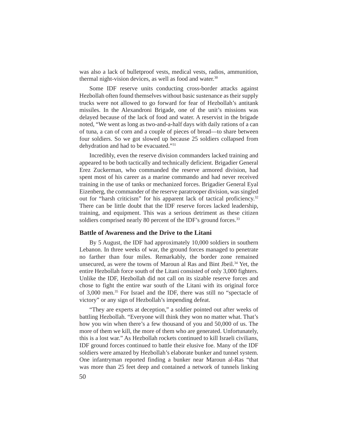was also a lack of bulletproof vests, medical vests, radios, ammunition, thermal night-vision devices, as well as food and water.<sup>30</sup>

Some IDF reserve units conducting cross-border attacks against Hezbollah often found themselves without basic sustenance as their supply trucks were not allowed to go forward for fear of Hezbollah's antitank missiles. In the Alexandroni Brigade, one of the unit's missions was delayed because of the lack of food and water. A reservist in the brigade noted, "We went as long as two-and-a-half days with daily rations of a can of tuna, a can of corn and a couple of pieces of bread—to share between four soldiers. So we got slowed up because 25 soldiers collapsed from dehydration and had to be evacuated."31

Incredibly, even the reserve division commanders lacked training and appeared to be both tactically and technically deficient. Brigadier General Erez Zuckerman, who commanded the reserve armored division, had spent most of his career as a marine commando and had never received training in the use of tanks or mechanized forces. Brigadier General Eyal Eizenberg, the commander of the reserve paratrooper division, was singled out for "harsh criticism" for his apparent lack of tactical proficiency.32 There can be little doubt that the IDF reserve forces lacked leadership, training, and equipment. This was a serious detriment as these citizen soldiers comprised nearly 80 percent of the IDF's ground forces.<sup>33</sup>

### **Battle of Awareness and the Drive to the Litani**

By 5 August, the IDF had approximately 10,000 soldiers in southern Lebanon. In three weeks of war, the ground forces managed to penetrate no farther than four miles. Remarkably, the border zone remained unsecured, as were the towns of Maroun al Ras and Bint Jbeil.<sup>34</sup> Yet, the entire Hezbollah force south of the Litani consisted of only 3,000 fighters. Unlike the IDF, Hezbollah did not call on its sizable reserve forces and chose to fight the entire war south of the Litani with its original force of 3,000 men.35 For Israel and the IDF, there was still no "spectacle of victory" or any sign of Hezbollah's impending defeat.

"They are experts at deception," a soldier pointed out after weeks of battling Hezbollah. "Everyone will think they won no matter what. That's how you win when there's a few thousand of you and 50,000 of us. The more of them we kill, the more of them who are generated. Unfortunately, this is a lost war." As Hezbollah rockets continued to kill Israeli civilians, IDF ground forces continued to battle their elusive foe. Many of the IDF soldiers were amazed by Hezbollah's elaborate bunker and tunnel system. One infantryman reported finding a bunker near Maroun al-Ras "that was more than 25 feet deep and contained a network of tunnels linking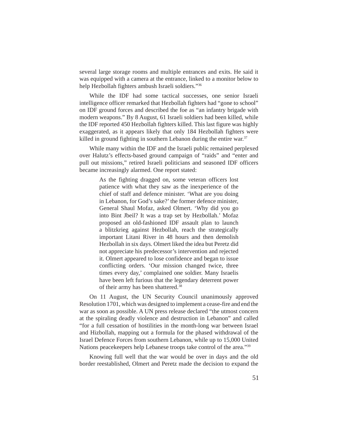several large storage rooms and multiple entrances and exits. He said it was equipped with a camera at the entrance, linked to a monitor below to help Hezbollah fighters ambush Israeli soldiers."36

While the IDF had some tactical successes, one senior Israeli intelligence officer remarked that Hezbollah fighters had "gone to school" on IDF ground forces and described the foe as "an infantry brigade with modern weapons." By 8 August, 61 Israeli soldiers had been killed, while the IDF reported 450 Hezbollah fighters killed. This last figure was highly exaggerated, as it appears likely that only 184 Hezbollah fighters were killed in ground fighting in southern Lebanon during the entire war.<sup>37</sup>

While many within the IDF and the Israeli public remained perplexed over Halutz's effects-based ground campaign of "raids" and "enter and pull out missions," retired Israeli politicians and seasoned IDF officers became increasingly alarmed. One report stated:

> As the fighting dragged on, some veteran officers lost patience with what they saw as the inexperience of the chief of staff and defence minister. 'What are you doing in Lebanon, for God's sake?' the former defence minister, General Shaul Mofaz, asked Olmert. 'Why did you go into Bint Jbeil? It was a trap set by Hezbollah.' Mofaz proposed an old-fashioned IDF assault plan to launch a blitzkrieg against Hezbollah, reach the strategically important Litani River in 48 hours and then demolish Hezbollah in six days. Olmert liked the idea but Peretz did not appreciate his predecessor's intervention and rejected it. Olmert appeared to lose confidence and began to issue conflicting orders. 'Our mission changed twice, three times every day,' complained one soldier. Many Israelis have been left furious that the legendary deterrent power of their army has been shattered.38

On 11 August, the UN Security Council unanimously approved Resolution 1701, which was designed to implement a cease-fire and end the war as soon as possible. A UN press release declared "the utmost concern at the spiraling deadly violence and destruction in Lebanon" and called "for a full cessation of hostilities in the month-long war between Israel and Hizbollah, mapping out a formula for the phased withdrawal of the Israel Defence Forces from southern Lebanon, while up to 15,000 United Nations peacekeepers help Lebanese troops take control of the area."39

Knowing full well that the war would be over in days and the old border reestablished, Olmert and Peretz made the decision to expand the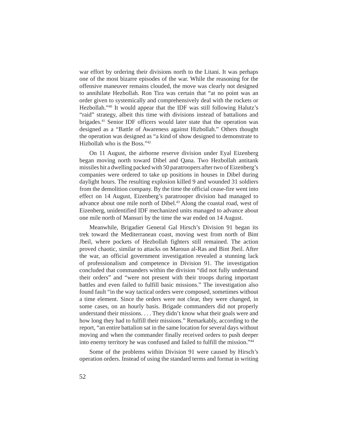war effort by ordering their divisions north to the Litani. It was perhaps one of the most bizarre episodes of the war. While the reasoning for the offensive maneuver remains clouded, the move was clearly not designed to annihilate Hezbollah. Ron Tira was certain that "at no point was an order given to systemically and comprehensively deal with the rockets or Hezbollah."40 It would appear that the IDF was still following Halutz's "raid" strategy, albeit this time with divisions instead of battalions and brigades.<sup>41</sup> Senior IDF officers would later state that the operation was designed as a "Battle of Awareness against Hizbollah." Others thought the operation was designed as "a kind of show designed to demonstrate to Hizbollah who is the Boss."42

On 11 August, the airborne reserve division under Eyal Eizenberg began moving north toward Dibel and Qana. Two Hezbollah antitank missiles hit a dwelling packed with 50 paratroopers after two of Eizenberg's companies were ordered to take up positions in houses in Dibel during daylight hours. The resulting explosion killed 9 and wounded 31 soldiers from the demolition company. By the time the official cease-fire went into effect on 14 August, Eizenberg's paratrooper division had managed to advance about one mile north of Dibel.43 Along the coastal road, west of Eizenberg, unidentified IDF mechanized units managed to advance about one mile north of Mansuri by the time the war ended on 14 August.

Meanwhile, Brigadier General Gal Hirsch's Division 91 began its trek toward the Mediterranean coast, moving west from north of Bint Jbeil, where pockets of Hezbollah fighters still remained. The action proved chaotic, similar to attacks on Maroun al-Ras and Bint Jbeil. After the war, an official government investigation revealed a stunning lack of professionalism and competence in Division 91. The investigation concluded that commanders within the division "did not fully understand their orders" and "were not present with their troops during important battles and even failed to fulfill basic missions." The investigation also found fault "in the way tactical orders were composed, sometimes without a time element. Since the orders were not clear, they were changed, in some cases, on an hourly basis. Brigade commanders did not properly understand their missions. . . . They didn't know what their goals were and how long they had to fulfill their missions." Remarkably, according to the report, "an entire battalion sat in the same location for several days without moving and when the commander finally received orders to push deeper into enemy territory he was confused and failed to fulfill the mission."44

Some of the problems within Division 91 were caused by Hirsch's operation orders. Instead of using the standard terms and format in writing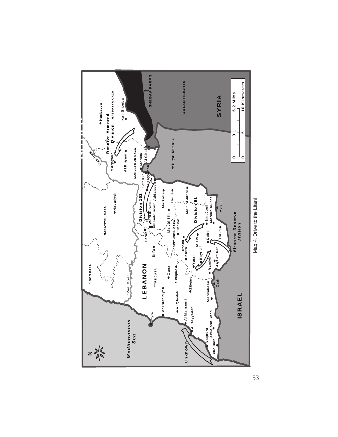

Map 4. Drive to the Litani Map 4. Drive to the Litani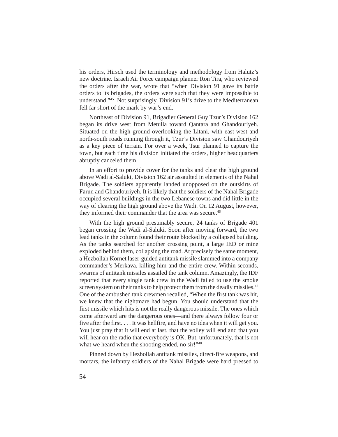his orders, Hirsch used the terminology and methodology from Halutz's new doctrine. Israeli Air Force campaign planner Ron Tira, who reviewed the orders after the war, wrote that "when Division 91 gave its battle orders to its brigades, the orders were such that they were impossible to understand."45 Not surprisingly, Division 91's drive to the Mediterranean fell far short of the mark by war's end.

Northeast of Division 91, Brigadier General Guy Tzur's Division 162 began its drive west from Metulla toward Qantara and Ghandouriyeh. Situated on the high ground overlooking the Litani, with east-west and north-south roads running through it, Tzur's Division saw Ghandouriyeh as a key piece of terrain. For over a week, Tsur planned to capture the town, but each time his division initiated the orders, higher headquarters abruptly canceled them.

In an effort to provide cover for the tanks and clear the high ground above Wadi al-Saluki, Division 162 air assaulted in elements of the Nahal Brigade. The soldiers apparently landed unopposed on the outskirts of Farun and Ghandouriyeh. It is likely that the soldiers of the Nahal Brigade occupied several buildings in the two Lebanese towns and did little in the way of clearing the high ground above the Wadi. On 12 August, however, they informed their commander that the area was secure.<sup>46</sup>

With the high ground presumably secure, 24 tanks of Brigade 401 began crossing the Wadi al-Saluki. Soon after moving forward, the two lead tanks in the column found their route blocked by a collapsed building. As the tanks searched for another crossing point, a large IED or mine exploded behind them, collapsing the road. At precisely the same moment, a Hezbollah Kornet laser-guided antitank missile slammed into a company commander's Merkava, killing him and the entire crew. Within seconds, swarms of antitank missiles assailed the tank column. Amazingly, the IDF reported that every single tank crew in the Wadi failed to use the smoke screen system on their tanks to help protect them from the deadly missiles.<sup>47</sup> One of the ambushed tank crewmen recalled, "When the first tank was hit, we knew that the nightmare had begun. You should understand that the first missile which hits is not the really dangerous missile. The ones which come afterward are the dangerous ones—and there always follow four or five after the first. . . . It was hellfire, and have no idea when it will get you. You just pray that it will end at last, that the volley will end and that you will hear on the radio that everybody is OK. But, unfortunately, that is not what we heard when the shooting ended, no sir!"<sup>48</sup>

Pinned down by Hezbollah antitank missiles, direct-fire weapons, and mortars, the infantry soldiers of the Nahal Brigade were hard pressed to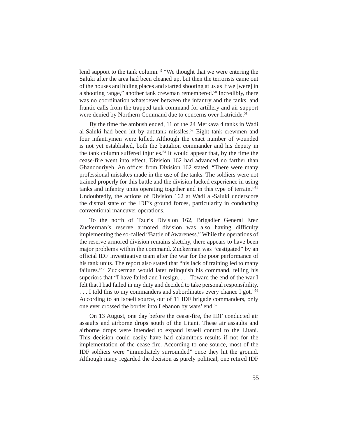lend support to the tank column.<sup>49</sup> "We thought that we were entering the Saluki after the area had been cleaned up, but then the terrorists came out of the houses and hiding places and started shooting at us as if we [were] in a shooting range," another tank crewman remembered.50 Incredibly, there was no coordination whatsoever between the infantry and the tanks, and frantic calls from the trapped tank command for artillery and air support were denied by Northern Command due to concerns over fratricide.<sup>51</sup>

By the time the ambush ended, 11 of the 24 Merkava 4 tanks in Wadi al-Saluki had been hit by antitank missiles.52 Eight tank crewmen and four infantrymen were killed. Although the exact number of wounded is not yet established, both the battalion commander and his deputy in the tank column suffered injuries.53 It would appear that, by the time the cease-fire went into effect, Division 162 had advanced no farther than Ghandouriyeh. An officer from Division 162 stated, "There were many professional mistakes made in the use of the tanks. The soldiers were not trained properly for this battle and the division lacked experience in using tanks and infantry units operating together and in this type of terrain."54 Undoubtedly, the actions of Division 162 at Wadi al-Saluki underscore the dismal state of the IDF's ground forces, particularity in conducting conventional maneuver operations.

To the north of Tzur's Division 162, Brigadier General Erez Zuckerman's reserve armored division was also having difficulty implementing the so-called "Battle of Awareness." While the operations of the reserve armored division remains sketchy, there appears to have been major problems within the command. Zuckerman was "castigated" by an official IDF investigative team after the war for the poor performance of his tank units. The report also stated that "his lack of training led to many failures."55 Zuckerman would later relinquish his command, telling his superiors that "I have failed and I resign. . . . Toward the end of the war I felt that I had failed in my duty and decided to take personal responsibility. . . . I told this to my commanders and subordinates every chance I got."56 According to an Israeli source, out of 11 IDF brigade commanders, only one ever crossed the border into Lebanon by wars' end.<sup>57</sup>

On 13 August, one day before the cease-fire, the IDF conducted air assaults and airborne drops south of the Litani. These air assaults and airborne drops were intended to expand Israeli control to the Litani. This decision could easily have had calamitous results if not for the implementation of the cease-fire. According to one source, most of the IDF soldiers were "immediately surrounded" once they hit the ground. Although many regarded the decision as purely political, one retired IDF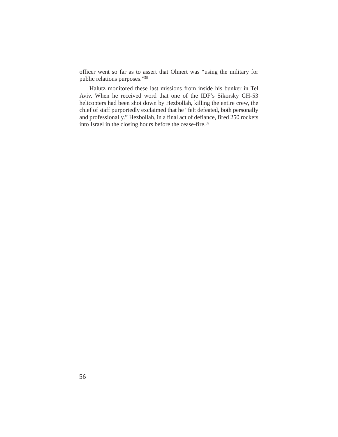officer went so far as to assert that Olmert was "using the military for public relations purposes."58

into Israel in the closing hours before the cease-fire.<sup>59</sup> Halutz monitored these last missions from inside his bunker in Tel Aviv. When he received word that one of the IDF's Sikorsky CH-53 helicopters had been shot down by Hezbollah, killing the entire crew, the chief of staff purportedly exclaimed that he "felt defeated, both personally and professionally." Hezbollah, in a final act of defiance, fired 250 rockets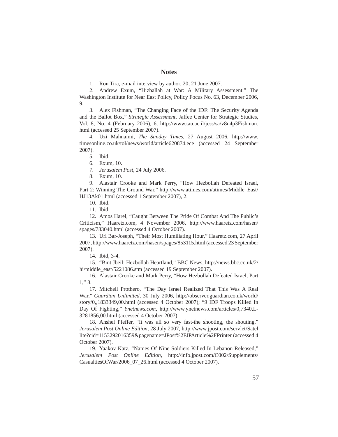### **Notes**

1. Ron Tira, e-mail interview by author, 20, 21 June 2007.

2. Andrew Exum, "Hizballah at War: A Military Assessment," The Washington Institute for Near East Policy, Policy Focus No. 63, December 2006, 9.

3. Alex Fishman, "The Changing Face of the IDF: The Security Agenda and the Ballot Box," *Strategic Assessment*, Jaffee Center for Strategic Studies, Vol. 8, No. 4 (February 2006), 6, http://www.tau.ac.il/jcss/sa/v8n4p3Fishman. html (accessed 25 September 2007).

4. Uzi Mahnaimi, *The Sunday Times*, 27 August 2006, http://www. timesonline.co.uk/tol/news/world/article620874.ece (accessed 24 September 2007).

5. Ibid.

6. Exum, 10.

7. *Jerusalem Post*, 24 July 2006.

8. Exum, 10.

9. Alastair Crooke and Mark Perry, "How Hezbollah Defeated Israel, Part 2: Winning The Ground War." http://www.atimes.com/atimes/Middle\_East/ HJ13Ak01.html (accessed 1 September 2007), 2.

10. Ibid.

11. Ibid.

12. Amos Harel, "Caught Between The Pride Of Combat And The Public's Criticism," Haaretz.com, 4 November 2006, http://www.haaretz.com/hasen/ spages/783040.html (accessed 4 October 2007).

13. Uri Bar-Joseph, "Their Most Humiliating Hour," Haaretz.com, 27 April 2007, http://www.haaretz.com/hasen/spages/853115.html (accessed 23 September 2007).

14. Ibid, 3-4.

15. "Bint Jbeil: Hezbollah Heartland," BBC News, http://news.bbc.co.uk/2/ hi/middle\_east/5221086.stm (accessed 19 September 2007).

16. Alastair Crooke and Mark Perry, "How Hezbollah Defeated Israel, Part 1," 8.

17. Mitchell Prothero, "The Day Israel Realized That This Was A Real War," *Guardian Unlimited*, 30 July 2006, http://observer.guardian.co.uk/world/ story/0,,1833349,00.html (accessed 4 October 2007); "9 IDF Troops Killed In Day Of Fighting," *Ynetnews.com*, http://www.ynetnews.com/articles/0,7340,L-3281856,00.html (accessed 4 October 2007).

18. Anshel Pfeffer, "It was all so very fast-the shooting, the shouting," *Jerusalem Post Online Edition*, 28 July 2007, http://www.jpost.com/servlet/Satel lite?cid=1153292016359&pagename=JPost%2FJPArticle%2FPrinter (accessed 4 October 2007).

19. Yaakov Katz, "Names Of Nine Soldiers Killed In Lebanon Released," *Jerusalem Post Online Edition,* http://info.jpost.com/C002/Supplements/ CasualtiesOfWar/2006\_07\_26.html (accessed 4 October 2007).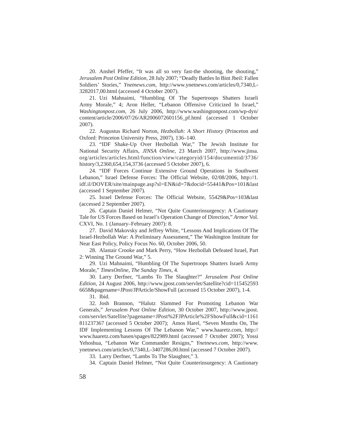20. Anshel Pfeffer, "It was all so very fast-the shooting, the shouting," *Jerusalem Post Online Edition*, 28 July 2007; "Deadly Battles In Bint Jbeil: Fallen Soldiers' Stories," *Ynetnews.com*, http://www.ynetnews.com/articles/0,7340,L-3282017,00.html (accessed 4 October 2007).

21. Uzi Mahnaimi, "Humbling Of The Supertroops Shatters Israeli Army Morale," 4; Aron Heller, "Lebanon Offensive Criticized In Israel," *Washingtonpost.com*, 26 July 2006, http://www.washingtonpost.com/wp-dyn/ content/article/2006/07/26/AR2006072601156\_pf.html (accessed 1 October 2007).

22. Augustus Richard Norton, *Hezbollah: A Short History* (Princeton and Oxford: Princeton University Press, 2007), 136–140.

23. "IDF Shake-Up Over Hezbollah War," The Jewish Institute for National Security Affairs, *JINSA Online*, 23 March 2007, http://www.jinsa. org/articles/articles.html/function/view/categoryid/154/documentid/3736/ history/3,2360,654,154,3736 (accessed 5 October 2007), 6.

24. "IDF Forces Continue Extensive Ground Operations in Southwest Lebanon," Israel Defense Forces: The Official Website, 02/08/2006, http://1. idf.il/DOVER/site/mainpage.asp?sl=EN&id=7&docid=55441&Pos=101&last (accessed 1 September 2007).

25. Israel Defense Forces: The Official Website, 55429&Pos=103&last (accessed 2 September 2007).

26. Captain Daniel Helmer, "Not Quite Counterinsurgency: A Cautionary Tale for US Forces Based on Israel's Operation Change of Direction," *Armor* Vol. CXVI, No. 1 (January–February 2007): 8.

27. David Makovsky and Jeffrey White, "Lessons And Implications Of The Israel-Hezbollah War: A Preliminary Assessment," The Washington Institute for Near East Policy, Policy Focus No. 60, October 2006, 50.

28. Alastair Crooke and Mark Perry, "How Hezbollah Defeated Israel, Part 2: Winning The Ground War," 5.

29. Uzi Mahnaimi, "Humbling Of The Supertroops Shatters Israeli Army Morale," *TimesOnline, The Sunday Times*, 4.

30. Larry Derfner, "Lambs To The Slaughter?" *Jerusalem Post Online Edition*, 24 August 2006, http://www.jpost.com/servlet/Satellite?cid=115452593 6658&pagename=JPost/JPArticle/ShowFull (accessed 15 October 2007), 1-4.

31. Ibid.

32. Josh Brannon, "Halutz Slammed For Promoting Lebanon War Generals," *Jerusalem Post Online Edition*, 30 October 2007, http://www.jpost. com/servlet/Satellite?pagename=JPost%2FJPArticle%2FShowFull&cid=1161 811237367 (accessed 5 October 2007); Amos Harel, "Seven Months On, The IDF Implementing Lessons Of The Lebanon War," www.haaretz.com, http:// www.haaretz.com/hasen/spages/822989.html (accessed 7 October 2007); Yossi Yehoshua, "Lebanon War Commander Resigns," *Ynetnews.com*, http://www. ynetnews.com/articles/0,7340,L-3407286,00.html (accessed 7 October 2007).

33. Larry Derfner, "Lambs To The Slaughter," 3.

34. Captain Daniel Helmer, "Not Quite Counterinsurgency: A Cautionary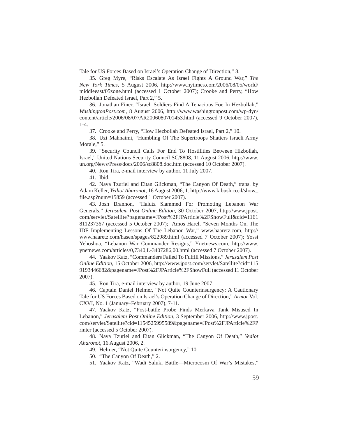Tale for US Forces Based on Israel's Operation Change of Direction," 8.

35. Greg Myre, "Risks Escalate As Israel Fights A Ground War," *The New York Times*, 5 August 2006, http://www.nytimes.com/2006/08/05/world/ middleeast/05zone.html (accessed 1 October 2007); Crooke and Perry, "How Hezbollah Defeated Israel, Part 2," 5.

36. Jonathan Finer, "Israeli Soldiers Find A Tenacious Foe In Hezbollah," *WashingtonPost.com*, 8 August 2006, http://www.washingtonpost.com/wp-dyn/ content/article/2006/08/07/AR2006080701453.html (accessed 9 October 2007), 1-4.

37. Crooke and Perry, "How Hezbollah Defeated Israel, Part 2," 10.

38. Uzi Mahnaimi, "Humbling Of The Supertroops Shatters Israeli Army Morale," 5.

39. "Security Council Calls For End To Hostilities Between Hizbollah, Israel," United Nations Security Council SC/8808, 11 August 2006, http://www. un.org/News/Press/docs/2006/sc8808.doc.htm (accessed 10 October 2007).

40. Ron Tira, e-mail interview by author, 11 July 2007.

41. Ibid.

42. Nava Tzuriel and Eitan Glickman, "The Canyon Of Death," trans. by Adam Keller, *Yediot Aharonot*, 16 August 2006, 1. http://www.kibush.co.il/show\_ file.asp?num=15859 (accessed 1 October 2007).

43. Josh Brannon, "Halutz Slammed For Promoting Lebanon War Generals," *Jerusalem Post Online Edition*, 30 October 2007, http://www.jpost. com/servlet/Satellite?pagename=JPost%2FJPArticle%2FShowFull&cid=1161 811237367 (accessed 5 October 2007); Amos Harel, "Seven Months On, The IDF Implementing Lessons Of The Lebanon War," www.haaretz.com, http:// www.haaretz.com/hasen/spages/822989.html (accessed 7 October 2007); Yossi Yehoshua, "Lebanon War Commander Resigns," Ynetnews.com, http://www. ynetnews.com/articles/0,7340,L-3407286,00.html (accessed 7 October 2007).

44. Yaakov Katz, "Commanders Failed To Fulfill Missions," *Jerusalem Post Online Edition*, 15 October 2006, http://www.jpost.com/servlet/Satellite?cid=115 9193446682&pagename=JPost%2FJPArticle%2FShowFull (accessed 11 October 2007).

45. Ron Tira, e-mail interview by author, 19 June 2007.

46. Captain Daniel Helmer, "Not Quite Counterinsurgency: A Cautionary Tale for US Forces Based on Israel's Operation Change of Direction," *Armor* Vol. CXVI, No. 1 (January–February 2007), 7-11.

47. Yaakov Katz, "Post-battle Probe Finds Merkava Tank Misused In Lebanon," *Jerusalem Post Online Edition*, 3 September 2006, http://www.jpost. com/servlet/Satellite?cid=1154525995589&pagename=JPost%2FJPArticle%2FP rinter (accessed 5 October 2007).

48. Nava Tzuriel and Eitan Glickman, "The Canyon Of Death," *Yediot Aharonot*, 16 August 2006, 2.

49. Helmer, "Not Quite Counterinsurgency," 10.

50. "The Canyon Of Death," 2.

51. Yaakov Katz, "Wadi Saluki Battle—Microcosm Of War's Mistakes,"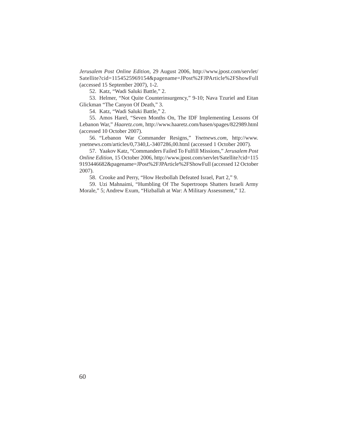*Jerusalem Post Online Edition*, 29 August 2006, http://www.jpost.com/servlet/ Satellite?cid=1154525969154&pagename=JPost%2FJPArticle%2FShowFull (accessed 15 September 2007), 1-2.

52. Katz, "Wadi Saluki Battle," 2.

53. Helmer, "Not Quite Counterinsurgency," 9-10; Nava Tzuriel and Eitan Glickman "The Canyon Of Death," 3.

54. Katz, "Wadi Saluki Battle," 2.

55. Amos Harel, "Seven Months On, The IDF Implementing Lessons Of Lebanon War," *Haaretz.com*, http://www.haaretz.com/hasen/spages/822989.html (accessed 10 October 2007).

56. "Lebanon War Commander Resigns," *Ynetnews.com*, http://www. ynetnews.com/articles/0,7340,L-3407286,00.html (accessed 1 October 2007).

57. Yaakov Katz, "Commanders Failed To Fulfill Missions," *Jerusalem Post Online Edition*, 15 October 2006, http://www.jpost.com/servlet/Satellite?cid=115 9193446682&pagename=JPost%2FJPArticle%2FShowFull (accessed 12 October 2007).

58. Crooke and Perry, "How Hezbollah Defeated Israel, Part 2," 9.

59. Uzi Mahnaimi, "Humbling Of The Supertroops Shatters Israeli Army Morale," 5; Andrew Exum, "Hizballah at War: A Military Assessment," 12.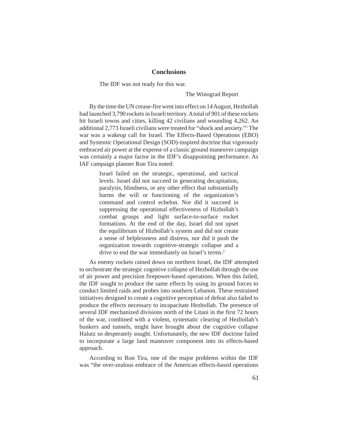#### **Conclusions**

The IDF was not ready for this war.

The Winograd Report

By the time the UN crease-fire went into effect on 14 August, Hezbollah had launched 3,790 rockets in Israeli territory. A total of 901 of these rockets hit Israeli towns and cities, killing 42 civilians and wounding 4,262. An additional 2,773 Israeli civilians were treated for "shock and anxiety."1 The war was a wakeup call for Israel. The Effects-Based Operations (EBO) and Systemic Operational Design (SOD)-inspired doctrine that vigorously embraced air power at the expense of a classic ground maneuver campaign was certainly a major factor in the IDF's disappointing performance. As IAF campaign planner Ron Tira noted:

> Israel failed on the strategic, operational, and tactical levels. Israel did not succeed in generating decapitation, paralysis, blindness, or any other effect that substantially harms the will or functioning of the organization's command and control echelon. Nor did it succeed in suppressing the operational effectiveness of Hizbollah's combat groups and light surface-to-surface rocket formations. At the end of the day, Israel did not upset the equilibrium of Hizbollah's system and did not create a sense of helplessness and distress, nor did it push the organization towards cognitive-strategic collapse and a drive to end the war immediately on Israel's terms.<sup>2</sup>

As enemy rockets rained down on northern Israel, the IDF attempted to orchestrate the strategic cognitive collapse of Hezbollah through the use of air power and precision firepower-based operations. When this failed, the IDF sought to produce the same effects by using its ground forces to conduct limited raids and probes into southern Lebanon. These restrained initiatives designed to create a cognitive perception of defeat also failed to produce the effects necessary to incapacitate Hezbollah. The presence of several IDF mechanized divisions north of the Litani in the first 72 hours of the war, combined with a violent, systematic clearing of Hezbollah's bunkers and tunnels, might have brought about the cognitive collapse Halutz so desperately sought. Unfortunately, the new IDF doctrine failed to incorporate a large land maneuver component into its effects-based approach.

According to Ron Tira, one of the major problems within the IDF was "the over-zealous embrace of the American effects-based operations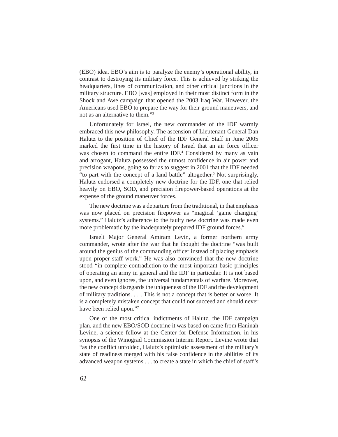(EBO) idea. EBO's aim is to paralyze the enemy's operational ability, in contrast to destroying its military force. This is achieved by striking the headquarters, lines of communication, and other critical junctions in the military structure. EBO [was] employed in their most distinct form in the Shock and Awe campaign that opened the 2003 Iraq War. However, the Americans used EBO to prepare the way for their ground maneuvers, and not as an alternative to them."3

Unfortunately for Israel, the new commander of the IDF warmly embraced this new philosophy. The ascension of Lieutenant-General Dan Halutz to the position of Chief of the IDF General Staff in June 2005 marked the first time in the history of Israel that an air force officer was chosen to command the entire IDF.<sup>4</sup> Considered by many as vain and arrogant, Halutz possessed the utmost confidence in air power and precision weapons, going so far as to suggest in 2001 that the IDF needed "to part with the concept of a land battle" altogether.5 Not surprisingly, Halutz endorsed a completely new doctrine for the IDF, one that relied heavily on EBO, SOD, and precision firepower-based operations at the expense of the ground maneuver forces.

The new doctrine was a departure from the traditional, in that emphasis was now placed on precision firepower as "magical 'game changing' systems." Halutz's adherence to the faulty new doctrine was made even more problematic by the inadequately prepared IDF ground forces.<sup>6</sup>

Israeli Major General Amiram Levin, a former northern army commander, wrote after the war that he thought the doctrine "was built around the genius of the commanding officer instead of placing emphasis upon proper staff work." He was also convinced that the new doctrine stood "in complete contradiction to the most important basic principles of operating an army in general and the IDF in particular. It is not based upon, and even ignores, the universal fundamentals of warfare. Moreover, the new concept disregards the uniqueness of the IDF and the development of military traditions. . . . This is not a concept that is better or worse. It is a completely mistaken concept that could not succeed and should never have been relied upon."7

One of the most critical indictments of Halutz, the IDF campaign plan, and the new EBO/SOD doctrine it was based on came from Haninah Levine, a science fellow at the Center for Defense Information, in his synopsis of the Winograd Commission Interim Report. Levine wrote that "as the conflict unfolded, Halutz's optimistic assessment of the military's state of readiness merged with his false confidence in the abilities of its advanced weapon systems . . . to create a state in which the chief of staff's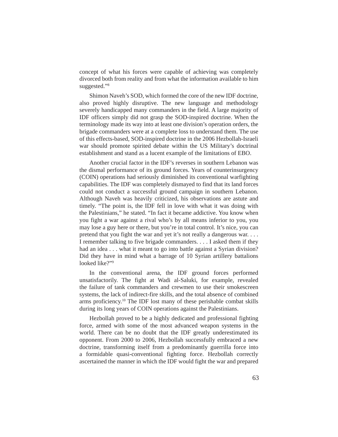concept of what his forces were capable of achieving was completely divorced both from reality and from what the information available to him suggested."8

Shimon Naveh's SOD, which formed the core of the new IDF doctrine, also proved highly disruptive. The new language and methodology severely handicapped many commanders in the field. A large majority of IDF officers simply did not grasp the SOD-inspired doctrine. When the terminology made its way into at least one division's operation orders, the brigade commanders were at a complete loss to understand them. The use of this effects-based, SOD-inspired doctrine in the 2006 Hezbollah-Israeli war should promote spirited debate within the US Military's doctrinal establishment and stand as a lucent example of the limitations of EBO.

Another crucial factor in the IDF's reverses in southern Lebanon was the dismal performance of its ground forces. Years of counterinsurgency (COIN) operations had seriously diminished its conventional warfighting capabilities. The IDF was completely dismayed to find that its land forces could not conduct a successful ground campaign in southern Lebanon. Although Naveh was heavily criticized, his observations are astute and timely. "The point is, the IDF fell in love with what it was doing with the Palestinians," he stated. "In fact it became addictive. You know when you fight a war against a rival who's by all means inferior to you, you may lose a guy here or there, but you're in total control. It's nice, you can pretend that you fight the war and yet it's not really a dangerous war. . . . I remember talking to five brigade commanders. . . . I asked them if they had an idea . . . what it meant to go into battle against a Syrian division? Did they have in mind what a barrage of 10 Syrian artillery battalions looked like?"<sup>9</sup>

In the conventional arena, the IDF ground forces performed unsatisfactorily. The fight at Wadi al-Saluki, for example, revealed the failure of tank commanders and crewmen to use their smokescreen systems, the lack of indirect-fire skills, and the total absence of combined arms proficiency.10 The IDF lost many of these perishable combat skills during its long years of COIN operations against the Palestinians.

Hezbollah proved to be a highly dedicated and professional fighting force, armed with some of the most advanced weapon systems in the world. There can be no doubt that the IDF greatly underestimated its opponent. From 2000 to 2006, Hezbollah successfully embraced a new doctrine, transforming itself from a predominantly guerrilla force into a formidable quasi-conventional fighting force. Hezbollah correctly ascertained the manner in which the IDF would fight the war and prepared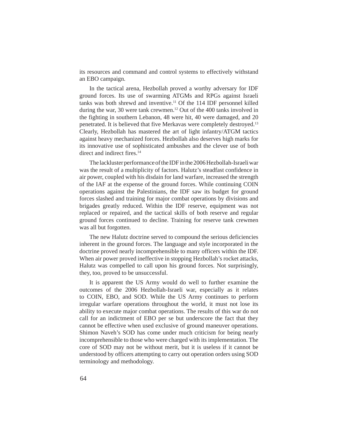its resources and command and control systems to effectively withstand an EBO campaign.

In the tactical arena, Hezbollah proved a worthy adversary for IDF ground forces. Its use of swarming ATGMs and RPGs against Israeli tanks was both shrewd and inventive.11 Of the 114 IDF personnel killed during the war, 30 were tank crewmen.<sup>12</sup> Out of the 400 tanks involved in the fighting in southern Lebanon, 48 were hit, 40 were damaged, and 20 penetrated. It is believed that five Merkavas were completely destroyed.13 Clearly, Hezbollah has mastered the art of light infantry/ATGM tactics against heavy mechanized forces. Hezbollah also deserves high marks for its innovative use of sophisticated ambushes and the clever use of both direct and indirect fires.<sup>14</sup>

The lackluster performance of the IDF in the 2006 Hezbollah-Israeli war was the result of a multiplicity of factors. Halutz's steadfast confidence in air power, coupled with his disdain for land warfare, increased the strength of the IAF at the expense of the ground forces. While continuing COIN operations against the Palestinians, the IDF saw its budget for ground forces slashed and training for major combat operations by divisions and brigades greatly reduced. Within the IDF reserve, equipment was not replaced or repaired, and the tactical skills of both reserve and regular ground forces continued to decline. Training for reserve tank crewmen was all but forgotten.

The new Halutz doctrine served to compound the serious deficiencies inherent in the ground forces. The language and style incorporated in the doctrine proved nearly incomprehensible to many officers within the IDF. When air power proved ineffective in stopping Hezbollah's rocket attacks, Halutz was compelled to call upon his ground forces. Not surprisingly, they, too, proved to be unsuccessful.

It is apparent the US Army would do well to further examine the outcomes of the 2006 Hezbollah-Israeli war, especially as it relates to COIN, EBO, and SOD. While the US Army continues to perform irregular warfare operations throughout the world, it must not lose its ability to execute major combat operations. The results of this war do not call for an indictment of EBO per se but underscore the fact that they cannot be effective when used exclusive of ground maneuver operations. Shimon Naveh's SOD has come under much criticism for being nearly incomprehensible to those who were charged with its implementation. The core of SOD may not be without merit, but it is useless if it cannot be understood by officers attempting to carry out operation orders using SOD terminology and methodology.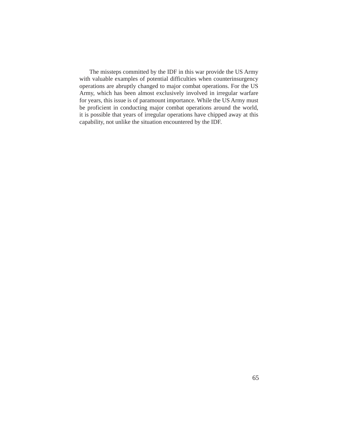The missteps committed by the IDF in this war provide the US Army with valuable examples of potential difficulties when counterinsurgency operations are abruptly changed to major combat operations. For the US Army, which has been almost exclusively involved in irregular warfare for years, this issue is of paramount importance. While the US Army must be proficient in conducting major combat operations around the world, it is possible that years of irregular operations have chipped away at this capability, not unlike the situation encountered by the IDF.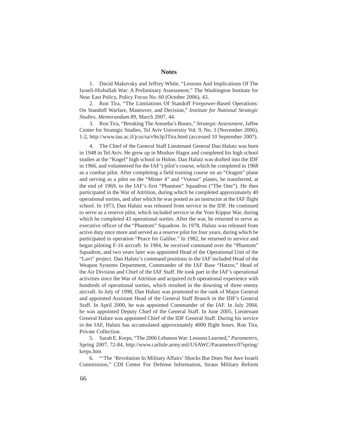## **Notes**

1. David Makovsky and Jeffrey White, "Lessons And Implications Of The Israeli-Hizballah War: A Preliminary Assessment," The Washington Institute for Near East Policy, Policy Focus No. 60 (October 2006), 43.

2. Ron Tira, "The Limitations Of Standoff Firepower-Based Operations: On Standoff Warfare, Maneuver, and Decision," *Institute for National Strategic Studies, Memorandum 89*, March 2007, 44.

3. Ron Tira, "Breaking The Amoeba's Bones," *Strategic Assessment*, Jaffee Center for Strategic Studies, Tel Aviv University Vol. 9, No. 3 (November 2006), 1-2, http://www.tau.ac.il/jcss/sa/v9n3p3Tira.html (accessed 10 September 2007).

4. The Chief of the General Staff Lieutenant General Dan Halutz was born in 1948 in Tel Aviv. He grew up in Moshav Hagor and completed his high school studies at the "Kogel" high school in Holon. Dan Halutz was drafted into the IDF in 1966, and volunteered for the IAF's pilot's course, which he completed in 1968 as a combat pilot. After completing a field training course on an "Oragon" plane and serving as a pilot on the "Mister 4" and "Vutour" planes, he transferred, at the end of 1969, to the IAF's first "Phantom" Squadron ("The One"). He then participated in the War of Attrition, during which he completed approximately 40 operational sorties, and after which he was posted as an instructor at the IAF flight school. In 1973, Dan Halutz was released from service in the IDF. He continued to serve as a reserve pilot, which included service in the Yom Kippur War, during which he completed 43 operational sorties. After the war, he returned to serve as executive officer of the "Phantom" Squadron. In 1978, Halutz was released from active duty once more and served as a reserve pilot for four years, during which he participated in operation "Peace for Galilee." In 1982, he returned to service and began piloting F-16 aircraft. In 1984, he received command over the "Phantom" Squadron, and two years later was appointed Head of the Operational Unit of the "Lavi" project. Dan Halutz's command positions in the IAF included Head of the Weapon Systems Department, Commander of the IAF Base "Hatzor," Head of the Air Division and Chief of the IAF Staff. He took part in the IAF's operational activities since the War of Attrition and acquired rich operational experience with hundreds of operational sorties, which resulted in the downing of three enemy aircraft. In July of 1998, Dan Halutz was promoted to the rank of Major General and appointed Assistant Head of the General Staff Branch in the IDF's General Staff. In April 2000, he was appointed Commander of the IAF. In July 2004, he was appointed Deputy Chief of the General Staff. In June 2005, Lieutenant General Halutz was appointed Chief of the IDF General Staff. During his service in the IAF, Halutz has accumulated approximately 4000 flight hours. Ron Tira, Private Collection.

5. Sarah E. Kreps, "The 2006 Lebanon War: Lessons Learned," *Parameters*, Spring 2007, 72-84, http://www.carlisle.army.mil/USAWC/Parameters/07spring/ kreps.htm

6. "'The 'Revolution In Military Affairs' Shocks But Does Not Awe Israeli Commission," CDI Center For Defense Information, Straus Military Reform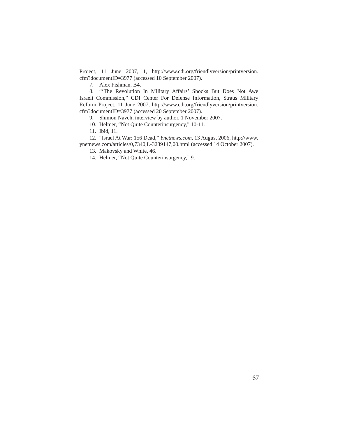Project, 11 June 2007, 1, http://www.cdi.org/friendlyversion/printversion. cfm?documentID=3977 (accessed 10 September 2007).

7. Alex Fishman, B4.

8. "'The Revolution In Military Affairs' Shocks But Does Not Awe Israeli Commission," CDI Center For Defense Information, Straus Military Reform Project, 11 June 2007, http://www.cdi.org/friendlyversion/printversion. cfm?documentID=3977 (accessed 20 September 2007).

9. Shimon Naveh, interview by author, 1 November 2007.

10. Helmer, "Not Quite Counterinsurgency," 10-11.

11. Ibid, 11.

12. "Israel At War: 156 Dead," *Ynetnews.com*, 13 August 2006, http://www. ynetnews.com/articles/0,7340,L-3289147,00.html (accessed 14 October 2007).

13. Makovsky and White, 46.

14. Helmer, "Not Quite Counterinsurgency," 9.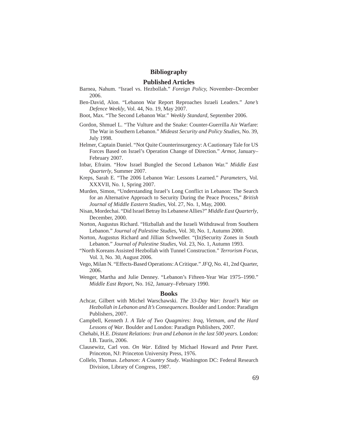# **Bibliography**

## **Published Articles**

- Barnea, Nahum. "Israel vs. Hezbollah." *Foreign Policy,* November–December 2006.
- Ben-David, Alon. "Lebanon War Report Reproaches Israeli Leaders." *Jane's Defence Weekly*, Vol. 44, No. 19, May 2007.
- Boot, Max. "The Second Lebanon War." *Weekly Standard,* September 2006.
- Gordon, Shmuel L. "The Vulture and the Snake: Counter-Guerrilla Air Warfare: The War in Southern Lebanon." *Mideast Security and Policy Studies*, No. 39, July 1998.
- Helmer, Captain Daniel. "Not Quite Counterinsurgency: A Cautionary Tale for US Forces Based on Israel's Operation Change of Direction." *Armor,* January– February 2007.
- Inbar, Efraim. "How Israel Bungled the Second Lebanon War." *Middle East Quarterly*, Summer 2007.
- Kreps, Sarah E. "The 2006 Lebanon War: Lessons Learned." *Parameters*, Vol. XXXVII, No. 1, Spring 2007.
- Murden, Simon, "Understanding Israel's Long Conflict in Lebanon: The Search for an Alternative Approach to Security During the Peace Process," *British Journal of Middle Eastern Studies*, Vol. 27, No. 1, May, 2000.
- Nisan, Mordechai. "Did Israel Betray Its Lebanese Allies?" *Middle East Quarterly*, December, 2000.
- Norton, Augustus Richard. "Hizballah and the Israeli Withdrawal from Southern Lebanon." *Journal of Palestine Studies*, Vol. 30, No. 1, Autumn 2000.
- Norton, Augustus Richard and Jillian Schwedler. "(In)Security Zones in South Lebanon." *Journal of Palestine Studies*, Vol. 23, No. 1, Autumn 1993.
- "North Koreans Assisted Hezbollah with Tunnel Construction." *Terrorism Focus*, Vol. 3, No. 30, August 2006.
- Vego, Milan N. "Effects-Based Operations: A Critique." *JFQ*, No. 41, 2nd Quarter, 2006.
- Wenger, Martha and Julie Denney. "Lebanon's Fifteen-Year War 1975–1990." *Middle East Report*, No. 162, January–February 1990.

#### **Books**

- Achcar, Gilbert with Michel Warschawski. *The 33-Day War: Israel's War on Hezbollah in Lebanon and It's Consequences*. Boulder and London: Paradigm Publishers, 2007.
- Campbell, Kenneth J. *A Tale of Two Quagmires: Iraq, Vietnam, and the Hard Lessons of War*. Boulder and London: Paradigm Publishers, 2007.
- Chehabi, H.E. *Distant Relations: Iran and Lebanon in the last 500 years.* London: I.B. Tauris, 2006.
- Clausewitz, Carl von. *On War*. Edited by Michael Howard and Peter Paret. Princeton, NJ: Princeton University Press, 1976.
- Collelo, Thomas. *Lebanon: A Country Study*. Washington DC: Federal Research Division, Library of Congress, 1987.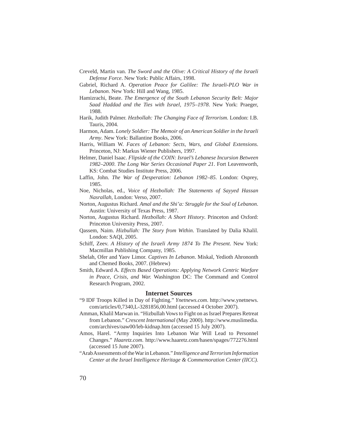- Creveld, Martin van. *The Sword and the Olive: A Critical History of the Israeli Defense Force*. New York: Public Affairs, 1998.
- Gabriel, Richard A. *Operation Peace for Galilee: The Israeli-PLO War in Lebanon*. New York: Hill and Wang, 1985.
- Hamizrachi, Beate. *The Emergence of the South Lebanon Security Belt: Major Saad Haddad and the Ties with Israel, 1975–1978*. New York: Praeger, 1988.
- Harik, Judith Palmer. *Hezbollah: The Changing Face of Terrorism*. London: I.B. Tauris, 2004.
- Harmon, Adam. *Lonely Soldier: The Memoir of an American Soldier in the Israeli Army*. New York: Ballantine Books, 2006.
- Harris, William W. *Faces of Lebanon: Sects, Wars, and Global Extensions*. Princeton, NJ: Markus Wiener Publishers, 1997.
- Helmer, Daniel Isaac. *Flipside of the COIN: Israel's Lebanese Incursion Between 1982–2000*. *The Long War Series Occasional Paper 21*. Fort Leavenworth, KS: Combat Studies Institute Press, 2006.
- Laffin, John. *The War of Desperation: Lebanon 1982–85*. London: Osprey, 1985.
- Noe, Nicholas, ed., *Voice of Hezbollah: The Statements of Sayyed Hassan Nasrallah*, London: Verso, 2007.
- Norton, Augustus Richard. *Amal and the Shi'a: Struggle for the Soul of Lebanon*. Austin: University of Texas Press, 1987.
- Norton, Augustus Richard. *Hezbollah: A Short History*. Princeton and Oxford: Princeton University Press, 2007.
- Qassem, Naim. *Hizbullah: The Story from Within*. Translated by Dalia Khalil. London: SAQI, 2005.
- Schiff, Zeev. *A History of the Israeli Army 1874 To The Present*. New York: Macmillan Publishing Company, 1985.
- Shelah, Ofer and Yaov Limor. *Captives In Lebanon*. Miskal, Yedioth Ahrononth and Chemed Books, 2007. (Hebrew)
- Smith, Edward A. *Effects Based Operations: Applying Network Centric Warfare in Peace, Crisis, and War.* Washington DC: The Command and Control Research Program, 2002.

## **Internet Sources**

- "9 IDF Troops Killed in Day of Fighting." *Ynetnews.com*. http://www.ynetnews. com/articles/0,7340,L-3281856,00.html (accessed 4 October 2007).
- Amman, Khalil Marwan in. "Hizbullah Vows to Fight on as Israel Prepares Retreat from Lebanon." *Crescent International* (May 2000). http://www.muslimedia. com/archives/oaw00/leb-kidnap.htm (accessed 15 July 2007).
- Amos, Harel. "Army Inquiries Into Lebanon War Will Lead to Personnel Changes." *Haaretz.com*. http://www.haaretz.com/hasen/spages/772276.html (accessed 15 June 2007).
- "Arab Assessments of the War in Lebanon." *Intelligence and Terrorism Information Center at the Israel Intelligence Heritage & Commemoration Center (IICC).*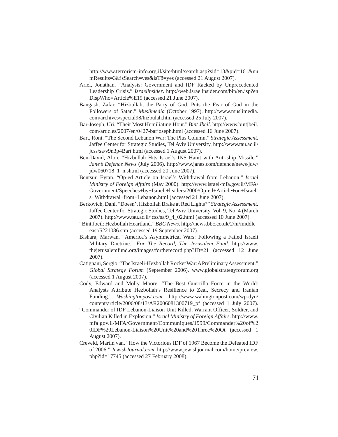http://www.terrorism-info.org.il/site/html/search.asp?sid=13&pid=161&nu mResults=3&isSearch=yes&isT8=yes (accessed 21 August 2007).

- Ariel, Jonathan. "Analysis: Government and IDF Racked by Unprecedented Leadership Crisis." *Israelinsider*. http://web.israelinsider.com/bin/en.jsp?en DispWho=Article%E19 (accessed 21 June 2007).
- Bangash, Zafar. "Hizbullah, the Party of God, Puts the Fear of God in the Followers of Satan." *Muslimedia* (October 1997). http://www.muslimedia. com/archives/special98/hizbulah.htm (accessed 25 July 2007).
- Bar-Joseph, Uri. "Their Most Humiliating Hour." *Bint Jbeil*. http://www.bintjbeil. com/articles/2007/en/0427-barjoseph.html (accessed 16 June 2007).
- Bart, Roni. "The Second Lebanon War: The Plus Column." *Strategic Assessment*. Jaffee Center for Strategic Studies, Tel Aviv University. http://www.tau.ac.il/ jcss/sa/v9n3p4Bart.html (accessed 1 August 2007).
- Ben-David, Alon. "Hizbullah Hits Israel's INS Hanit with Anti-ship Missile." *Jane's Defence News* (July 2006). http://www.janes.com/defence/news/jdw/ jdw060718\_1\_n.shtml (accessed 20 June 2007).
- Bentsur, Eytan. "Op-ed Article on Israel's Withdrawal from Lebanon." *Israel Ministry of Foreign Affairs* (May 2000). http://www.israel-mfa.gov.il/MFA/ Government/Speeches+by+Israeli+leaders/2000/Op-ed+Article+on+Israels+Withdrawal+from+Lebanon.html (accessed 21 June 2007).
- Berkovich, Dani. "Doesn't Hizbollah Brake at Red Lights?" *Strategic Assessment*. Jaffee Center for Strategic Studies, Tel Aviv University. Vol. 9, No. 4 (March 2007). http://www.tau.ac.il/jcss/sa/9\_4\_02.html (accessed 10 June 2007).
- "Bint Jbeil: Hezbollah Heartland." *BBC News*. http://news.bbc.co.uk/2/hi/middle\_ east/5221086.stm (accessed 19 September 2007).
- Bishara, Marwan. "America's Asymmetrical Wars: Following a Failed Israeli Military Doctrine." *For The Record*, *The Jerusalem Fund*. http://www. thejerusalemfund.org/images/fortherecord.php?ID=21 (accessed 12 June 2007).
- Catignani, Sergio. "The Israeli-Hezbollah Rocket War: A Preliminary Assessment." *Global Strategy Forum* (September 2006). www.globalstrategyforum.org (accessed 1 August 2007).
- Cody, Edward and Molly Moore. "The Best Guerrilla Force in the World: Analysts Attribute Hezbollah's Resilience to Zeal, Secrecy and Iranian Funding." *Washingtonpost.com.* http://www.wahingtonpost.com/wp-dyn/ content/article/2006/08/13/AR2006081300719\_pf (accessed 1 July 2007).
- "Commander of IDF Lebanon-Liaison Unit Killed, Warrant Officer, Soldier, and Civilian Killed in Explosion." *Israel Ministry of Foreign Affairs*. http://www. mfa.gov.il/MFA/Government/Communiques/1999/Commander%20of%2 0IDF%20Lebanon-Liaison%20Unit%20and%20Three%20Ot (accessed 1 August 2007).
- Creveld, Martin van. "How the Victorious IDF of 1967 Become the Defeated IDF of 2006." *JewishJournal.com*. http://www.jewishjournal.com/home/preview. php?id=17745 (accessed 27 February 2008).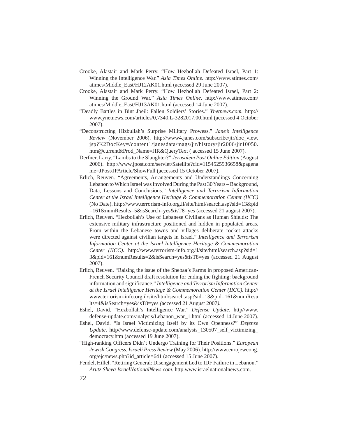- Crooke, Alastair and Mark Perry. "How Hezbollah Defeated Israel, Part 1: Winning the Intelligence War." *Asia Times Online.* http://www.atimes.com/ atimes/Middle\_East/HJ12AK01.html (accessed 29 June 2007).
- Crooke, Alastair and Mark Perry. "How Hezbollah Defeated Israel, Part 2: Winning the Ground War." *Asia Times Online*. http://www.atimes.com/ atimes/Middle\_East/HJ13AK01.html (accessed 14 June 2007).
- "Deadly Battles in Bint Jbeil: Fallen Soldiers' Stories." *Ynetnews.com.* http:// www.ynetnews.com/articles/0,7340,L-3282017,00.html (accessed 4 October 2007).
- "Deconstructing Hizbullah's Surprise Military Prowess." *Jane's Intelligence Review* (November 2006). http://www4.janes.com/subscribe/jir/doc\_view. jsp?K2DocKey=/content1/janesdata/mags/jir/history/jir2006/jir10050. htm@current&Prod\_Name=JIR&QueryText ( accessed 15 June 2007).
- Derfner, Larry. "Lambs to the Slaughter?" *Jerusalem Post Online Edition* (August 2006). http://www.jpost.com/servlet/Satellite?cid=1154525936658&pagena me=JPost/JPArticle/ShowFull (accessed 15 October 2007).
- Erlich, Reuven. "Agreements, Arrangements and Understandings Concerning Lebanon to Which Israel was Involved During the Past 30 Years – Background, Data, Lessons and Conclusions." *Intelligence and Terrorism Information Center at the Israel Intelligence Heritage & Commemoration Center (IICC)*  (No Date). http://www.terrorism-info.org.il/site/html/search.asp?sid=13&pid =161&numResults=5&isSearch=yes&isT8=yes (accessed 21 august 2007).
- Erlich, Reuven. "Hezbollah's Use of Lebanese Civilians as Human Shields: The extensive military infrastructure positioned and hidden in populated areas. From within the Lebanese towns and villages deliberate rocket attacks were directed against civilian targets in Israel." *Intelligence and Terrorism Information Center at the Israel Intelligence Heritage & Commemoration Center (IICC).* http://www.terrorism-info.org.il/site/html/search.asp?sid=1 3&pid=161&numResults=2&isSearch=yes&isT8=yes (accessed 21 August 2007).
- Erlich, Reuven. "Raising the issue of the Shebaa's Farms in proposed American-French Security Council draft resolution for ending the fighting: background information and significance." *Intelligence and Terrorism Information Center at the Israel Intelligence Heritage & Commemoration Center (IICC).* http:// www.terrorism-info.org.il/site/html/search.asp?sid=13&pid=161&numResu lts=4&isSearch=yes&isT8=yes *(*accessed 21 August 2007*).*
- Eshel, David. "Hezbollah's Intelligence War." *Defense Update*. http//www. defense-update.com/analysis/Lebanon\_war\_1.html (accessed 14 June 2007).
- Eshel, David. "Is Israel Victimizing Itself by its Own Openness?" *Defense Update*. http//www.defense-update.com/analysis\_130507\_self\_victimizing\_ democracy.htm (accessed 19 June 2007).
- "High-ranking Officers Didn't Undergo Training for Their Positions." *European Jewish Congress. Israeli Press Review* (May 2006). http://www.eurojewcong. org/ejc/news.php?id\_article=641 (accessed 15 June 2007).
- Fendel, Hillel. "Retiring General: Disengagement Led to IDF Failure in Lebanon." *Arutz Sheva IsraelNationalNews.com*. http.www.israelnationalnews.com.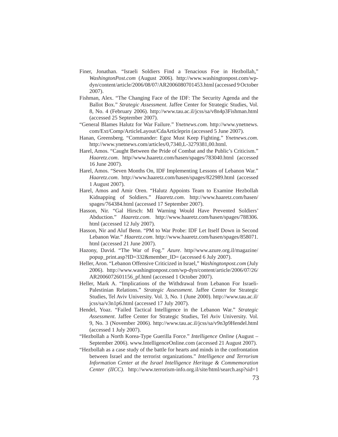- Finer, Jonathan. "Israeli Soldiers Find a Tenacious Foe in Hezbollah," *WashingtonPost.com* (August 2006). http://www.washingtonpost.com/wpdyn/content/article/2006/08/07/AR2006080701453.html (accessed 9 October 2007).
- Fishman, Alex. "The Changing Face of the IDF: The Security Agenda and the Ballot Box." *Strategic Assessment*. Jaffee Center for Strategic Studies, Vol. 8, No. 4 (February 2006). http://www.tau.ac.il/jcss/sa/v8n4p3Fishman.html (accessed 25 September 2007).
- "General Blames Halutz for War Failure." *Ynetnews.com*. http://www.ynetnews. com/Ext/Comp/ArticleLayout/CdaArticleprin (accessed 5 June 2007).
- Hanan, Greensberg. "Commander: Egoz Must Keep Fighting." *Ynetnews.com*. http://www.ynetnews.com/articles/0,7340,L-3279381,00.html.
- Harel, Amos. "Caught Between the Pride of Combat and the Public's Criticism." *Haaretz.com*. http//www.haaretz.com/hasen/spages/783040.html (accessed 16 June 2007).
- Harel, Amos. "Seven Months On, IDF Implementing Lessons of Lebanon War." *Haaretz.com*. http://www.haaretz.com/hasen/spages/822989.html (accessed 1 August 2007).
- Harel, Amos and Amir Oren. "Halutz Appoints Team to Examine Hezbollah Kidnapping of Soldiers." *Haaretz.com*. http://www.haaretz.com/hasen/ spages/764384.html (accessed 17 September 2007).
- Hasson, Nir. "Gal Hirsch: MI Warning Would Have Prevented Soldiers' Abduction." *Haaretz.com*. http://www.haaretz.com/hasen/spages/788306. html (accessed 12 July 2007).
- Hasson, Nir and Aluf Benn. "PM to War Probe: IDF Let Itself Down in Second Lebanon War." *Haaretz.com*. http://www.haaretz.com/hasen/spages/858071. html (accessed 21 June 2007).
- Hazony, David. "The War of Fog." *Azure*. http//www.azure.org.il/magazine/ popup\_print.asp?ID=332&member\_ID= (accessed 6 July 2007).
- Heller, Aron. "Lebanon Offensive Criticized in Israel," *Washingtonpost.com* (July 2006). http://www.washingtonpost.com/wp-dyn/content/article/2006/07/26/ AR2006072601156\_pf.html (accessed 1 October 2007).
- Heller, Mark A. "Implications of the Withdrawal from Lebanon For Israeli-Palestinian Relations." *Strategic Assessment*. Jaffee Center for Strategic Studies, Tel Aviv University. Vol. 3, No. 1 (June 2000). http://www.tau.ac.il/ jcss/sa/v3n1p6.html (accessed 17 July 2007).
- Hendel, Yoaz. "Failed Tactical Intelligence in the Lebanon War." *Strategic Assessment*. Jaffee Center for Strategic Studies, Tel Aviv University. Vol. 9, No. 3 (November 2006). http://www.tau.ac.il/jcss/sa/v9n3p9Hendel.html (accessed 1 July 2007).
- "Hezbollah a North Korea-Type Guerilla Force." *Intelligence Online* (August September 2006). www.IntelligenceOnline.com (accessed 21 August 2007).
- "Hezbollah as a case study of the battle for hearts and minds in the confrontation between Israel and the terrorist organizations." *Intelligence and Terrorism Information Center at the Israel Intelligence Heritage & Commemoration Center (IICC).* http://www.terrorism-info.org.il/site/html/search.asp?sid=1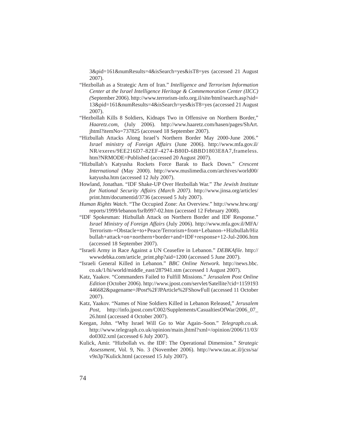3&pid=161&numResults=4&isSearch=yes&isT8=yes (accessed 21 August 2007).

- "Hezbollah as a Strategic Arm of Iran." *Intelligence and Terrorism Information Center at the Israel Intelligence Heritage & Commemoration Center (IICC) (*September 2006). http://www.terrorism-info.org.il/site/html/search.asp?sid= 13&pid=161&numResults=4&isSearch=yes&isT8=yes (accessed 21 August 2007).
- "Hezbollah Kills 8 Soldiers, Kidnaps Two in Offensive on Northern Border," *Haaretz.com*, (July 2006). http://www.haaretz.com/hasen/pages/ShArt. jhtml?itemNo=737825 (accessed 18 September 2007).
- "Hizbullah Attacks Along Israel's Northern Border May 2000-June 2006." *Israel ministry of Foreign Affairs* (June 2006). http://www.mfa.gov.il/ NR/exeres/9EE216D7-82EF-4274-B80D-6BBD1803E8A7,frameless. htm?NRMODE=Published (accessed 20 August 2007).
- "Hizbullah's Katyusha Rockets Force Barak to Back Down." *Crescent International* (May 2000). http://www.muslimedia.com/archives/world00/ katyusha.htm (accessed 12 July 2007).
- Howland, Jonathan. "IDF Shake-UP Over Hezbollah War." *The Jewish Institute for National Security Affairs (March 2007).* http://www.jinsa.org/articles/ print.htm/documentid/3736 (accessed 5 July 2007).
- *Human Rights Watch*. "The Occupied Zone: An Overview." http://www.hrw.org/ reports/1999/lebanon/Isrlb997-02.htm (accessed 12 February 2008).
- "IDF Spokesman: Hizbullah Attack on Northern Border and IDF Response." *Israel Ministry of Foreign Affairs* (July 2006). http://www.mfa.gov.il/MFA/ Terrorism-+Obstacle+to+Peace/Terrorism+from+Lebanon-+Hizbullah/Hiz bullah+attack+on+northern+border+and+IDF+response+12-Jul-2006.htm (accessed 18 September 2007).
- "Israeli Army in Race Against a UN Ceasefire in Lebanon." *DEBKAfile*. http:// wwwdebka.com/article\_print.php?aid=1200 (accessed 5 June 2007).
- "Israeli General Killed in Lebanon." *BBC Online Network.* http://news.bbc. co.uk/1/hi/world/middle\_east/287941.stm (accessed 1 August 2007).
- Katz, Yaakov. "Commanders Failed to Fulfill Missions." *Jerusalem Post Online Edition* (October 2006). http://www.jpost.com/servlet/Satellite?cid=1159193 446682&pagename=JPost%2FJPArticle%2FShowFull (accessed 11 October 2007).
- Katz, Yaakov. "Names of Nine Soldiers Killed in Lebanon Released," *Jerusalem Post*, http://info.jpost.com/C002/Supplements/CasualtiesOfWar/2006\_07\_ 26.html (accessed 4 October 2007).
- Keegan, John. "Why Israel Will Go to War Again–Soon." *Telegraph.co.uk.*  http://www.telegraph.co.uk/opinion/main.jhtml?xml=/opinion/2006/11/03/ do0302.xml (accessed 6 July 2007).
- Kulick, Amir. "Hizbollah vs. the IDF: The Operational Dimension." *Strategic Assessment,* Vol. 9, No. 3 (November 2006). http://www.tau.ac.il/jcss/sa/ v9n3p7Kulick.html (accessed 15 July 2007).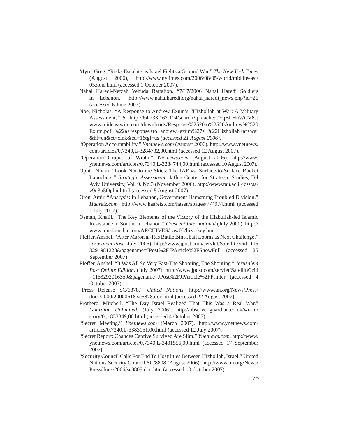- Myre, Greg. "Risks Escalate as Israel Fights a Ground War." *The New York Times*  (August 2006), http://www.nytimes.com/2006/08/05/world/middleeast/ 05zone.html (accessed 1 October 2007).
- Nahal Haredi-Netzah Yehuda Battalion. "7/17/2006 Nahal Haredi Soldiers in Lebanon." http://www.nahalharedi.org/nahal\_haredi\_news.php?id=26 (accessed 6 June 2007).
- Noe, Nicholas. "A Response to Andrew Exum's "Hizbollah at War: A Military Assessment*," 5.* http://64.233.167.104/search?q=cache:CYqBLHuWCV8J: www.mideastwire.com/downloads/Response%2520to%2520Andrew%2520 Exum.pdf+%22a+response+to+andrew+exum%27s+%22Hizbollah+at+war &hl=en&ct=clnk&cd=1&gl=us *(accessed 21 August 2006).*
- "Operation Accountability." *Ynetnews.com* (August 2006). http://www.ynetnews. com/articles/0,7340,L-3284732,00.html (accessed 12 August 2007).
- "Operation Grapes of Wrath." *Ynetnews.com* (August 2006). http://www. ynetnews.com/articles/0,7340,L-3284744,00.html (accessed 10 August 2007).
- Ophir, Noam. "Look Not to the Skies: The IAF vs. Surface-to-Surface Rocket Launchers." *Strategic Assessment*. Jaffee Center for Strategic Studies, Tel Aviv University, Vol. 9. No.3 (November 2006). http://www.tau.ac.il/jcss/sa/ v9n3p5Ophir.html (accessed 5 August 2007).
- Oren, Amir. "Analysis: In Lebanon, Government Hamstrung Troubled Division." *Haaretz.com.* http://www.haaretz.com/hasen/spages/774974.html (accessed 1 July 2007).
- Osman, Khalil. "The Key Elements of the Victory of the Hizbullah-led Islamic Resistance in Southern Lebanon." *Crescent International* (July 2000). http:// www.muslimedia.com/ARCHIVES/oaw00/hizb-key.htm
- Pfeffer, Anshel. "After Maron al-Ras Battle Bint-Jbail Looms as Next Challenge." *Jerusalem Post* (July 2006). http://www.jpost.com/servlet/Satellite?cid=115 3291981228&pagename=JPost%2FJPArticle%2FShowFull (accessed 25 September 2007).
- Pfeffer, Anshel. "It Was All So Very Fast-The Shooting, The Shouting." *Jerusalem Post Online Edition*. (July 2007). http://www.jpost.com/servlet/Satellite?cid =1153292016359&pagename=JPost%2FJPArticle%2FPrinter (accessed 4 October 2007).
- "Press Release SC/6878." *United Nations*. http://www.un.org/News/Press/ docs/2000/20000618.sc6878.doc.html (accessed 22 August 2007).
- Prothero, Mitchell. "The Day Israel Realized That This Was a Real War." *Guardian Unlimited.* (July 2006). http://observer.guardian.co.uk/world/ story/0,,1833349,00.html (accessed 4 October 2007).
- "Secret Meeting." *Ynetnews.com* (March 2007). http://www.ynetnews.com/ articles/0,7340,L-3383151,00.html (accessed 12 July 2007).
- "Secret Report: Chances Captive Survived Are Slim." *Ynetnews.com*. http://www. ynetnews.com/articles/0,7340,L-3401556,00.html (accessed 17 September 2007).
- "Security Council Calls For End To Hostilities Between Hizbollah, Israel," United Nations Security Council SC/8808 (August 2006). http://www.un.org/News/ Press/docs/2006/sc8808.doc.htm (accessed 10 October 2007).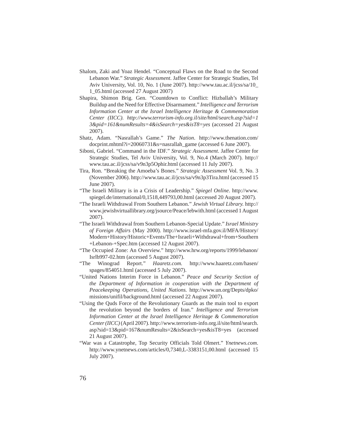- Shalom, Zaki and Yoaz Hendel. "Conceptual Flaws on the Road to the Second Lebanon War." *Strategic Assessment*. Jaffee Center for Strategic Studies, Tel Aviv University, Vol. 10, No. 1 (June 2007). http://www.tau.ac.il/jcss/sa/10\_ 1\_05.html (accessed 27 August 2007)
- Shapira, Shimon Brig. Gen. "Countdown to Conflict: Hizballah's Military Buildup and the Need for Effective Disarmament." *Intelligence and Terrorism Information Center at the Israel Intelligence Heritage & Commemoration Center (IICC). http://www.terrorism-info.org.il/site/html/search.asp?sid=1 3&pid=161&numResults=4&isSearch=yes&isT8=yes* (accessed 21 August 2007).
- Shatz, Adam. "Nasrallah's Game." *The Nation*. http://www.thenation.com/ docprint.mhtml?i=20060731&s=nasrallah\_game (accessed 6 June 2007).
- Siboni, Gabriel. "Command in the IDF." *Strategic Assessment*. Jaffee Center for Strategic Studies, Tel Aviv University, Vol. 9, No.4 (March 2007). http:// www.tau.ac.il/jcss/sa/v9n3p5Ophir.html (accessed 11 July 2007).
- Tira, Ron. "Breaking the Amoeba's Bones." *Strategic Assessment* Vol. 9, No. 3 (November 2006). http://www.tau.ac.il/jcss/sa/v9n3p3Tira.html (accessed 15 June 2007).
- "The Israeli Military is in a Crisis of Leadership." *Spiegel Online*. http://www. spiegel.de/international/0,1518,449793,00.html (accessed 20 August 2007).
- "The Israeli Withdrawal From Southern Lebanon." *Jewish Virtual Library.* http:// www.jewishvirtuallibrary.org/jsource/Peace/lebwith.html (accessed 1 August 2007).
- "The Israeli Withdrawal from Southern Lebanon-Special Update." *Israel Ministry of Foreign Affairs* (May 2000). http://www.israel-mfa.gov.il/MFA/History/ Modern+History/Historic+Events/The+Israeli+Withdrawal+from+Southern +Lebanon-+Spec.htm (accessed 12 August 2007).
- "The Occupied Zone: An Overview." http://www.hrw.org/reports/1999/lebanon/ Isrlb997-02.htm (accessed 5 August 2007).
- "The Winograd Report." *Haaretz.com.* http://www.haaretz.com/hasen/ spages/854051.html (accessed 5 July 2007).
- "United Nations Interim Force in Lebanon." *Peace and Security Section of the Department of Information in cooperation with the Department of Peacekeeping Operations, United Nations.* http://www.un.org/Depts/dpko/ missions/unifil/background.html (accessed 22 August 2007).
- "Using the Quds Force of the Revolutionary Guards as the main tool to export the revolution beyond the borders of Iran." *Intelligence and Terrorism Information Center at the Israel Intelligence Heritage & Commemoration Center (IICC)* (April 2007). http://www.terrorism-info.org.il/site/html/search. asp?sid=13&pid=167&numResults=2&isSearch=yes&isT8=yes (accessed 21 August 2007).
- "War was a Catastrophe, Top Security Officials Told Olmert." *Ynetnews.com*. http://www.ynetnews.com/articles/0,7340,L-3383151,00.html (accessed 15 July 2007).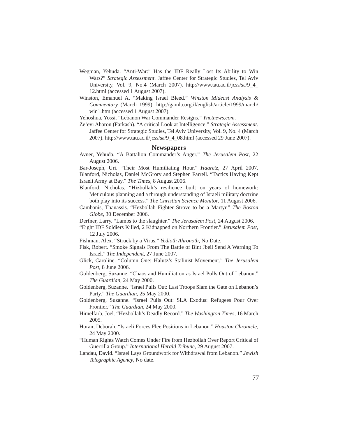- Wegman, Yehuda. "Anti-War:" Has the IDF Really Lost Its Ability to Win Wars?" *Strategic Assessment*. Jaffee Center for Strategic Studies, Tel Aviv University, Vol. 9, No.4 (March 2007). http://www.tau.ac.il/jcss/sa/9\_4\_ 12.html (accessed 1 August 2007).
- Winston, Emanuel A. "Making Israel Bleed." *Winston Mideast Analysis & Commentary* (March 1999). http://gamla.org.il/english/article/1999/march/ win1.htm (accessed 1 August 2007).

Yehoshua, Yossi. "Lebanon War Commander Resigns." *Ynetnews.com*.

Ze'evi Aharon (Farkash). "A critical Look at Intelligence." *Strategic Assessment*. Jaffee Center for Strategic Studies, Tel Aviv University, Vol. 9, No. 4 (March 2007). http://www.tau.ac.il/jcss/sa/9\_4\_08.html (accessed 29 June 2007).

### **Newspapers**

Avner, Yehuda. "A Battalion Commander's Anger." *The Jerusalem Post,* 22 August 2006.

Bar-Joseph, Uri. "Their Most Humiliating Hour." *Haaretz*, 27 April 2007. Blanford, Nicholas, Daniel McGrory and Stephen Farrell. "Tactics Having Kept Israeli Army at Bay." *The Times,* 8 August 2006.

- Blanford, Nicholas. "Hizbullah's resilience built on years of homework: Meticulous planning and a through understanding of Israeli military doctrine both play into its success." *The Christian Science Monitor*, 11 August 2006.
- Cambanis, Thanassis. "Hezbollah Fighter Strove to be a Martyr." *The Boston Globe*, 30 December 2006.
- Derfner, Larry. "Lambs to the slaughter." *The Jerusalem Post,* 24 August 2006.
- "Eight IDF Soldiers Killed, 2 Kidnapped on Northern Frontier." *Jerusalem Post*, 12 July 2006.
- Fishman, Alex. "Struck by a Virus." *Yedioth Ahronoth*, No Date.
- Fisk, Robert. "Smoke Signals From The Battle of Bint Jbeil Send A Warning To Israel." *The Independent,* 27 June 2007.
- Glick, Caroline. "Column One: Halutz's Stalinist Movement." *The Jerusalem Post*, 8 June 2006.
- Goldenberg, Suzanne. "Chaos and Humiliation as Israel Pulls Out of Lebanon." *The Guardian,* 24 May 2000.
- Goldenberg, Suzanne. "Israel Pulls Out: Last Troops Slam the Gate on Lebanon's Party." *The Guardian,* 25 May 2000.
- Goldenberg, Suzanne. "Israel Pulls Out: SLA Exodus: Refugees Pour Over Frontier." *The Guardian*, 24 May 2000.
- Himelfarb, Joel. "Hezbollah's Deadly Record." *The Washington Times*, 16 March 2005.
- Horan, Deborah. "Israeli Forces Flee Positions in Lebanon." *Houston Chronicle*, 24 May 2000.
- "Human Rights Watch Comes Under Fire from Hezbollah Over Report Critical of Guerrilla Group." *International Herald Tribune*, 29 August 2007.
- Landau, David. "Israel Lays Groundwork for Withdrawal from Lebanon." *Jewish Telegraphic Agency*, No date.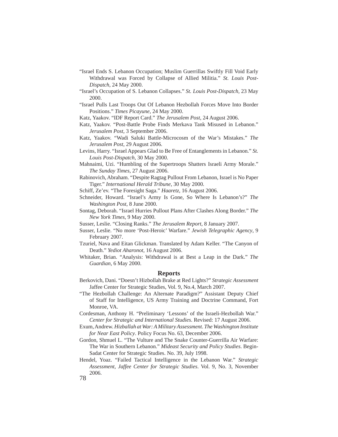- "Israel Ends S. Lebanon Occupation; Muslim Guerrillas Swiftly Fill Void Early Withdrawal was Forced by Collapse of Allied Militia." *St. Louis Post-Dispatch*, 24 May 2000.
- "Israel's Occupation of S. Lebanon Collapses." *St. Louis Post-Dispatch*, 23 May 2000.
- "Israel Pulls Last Troops Out Of Lebanon Hezbollah Forces Move Into Border Positions." *Times Picayune*, 24 May 2000.
- Katz, Yaakov. "IDF Report Card." *The Jerusalem Post*, 24 August 2006.
- Katz, Yaakov. "Post-Battle Probe Finds Merkava Tank Misused in Lebanon." *Jerusalem Post*, 3 September 2006.
- Katz, Yaakov. "Wadi Saluki Battle-Microcosm of the War's Mistakes." *The Jerusalem Post*, 29 August 2006.
- Levins, Harry. "Israel Appears Glad to Be Free of Entanglements in Lebanon." *St. Louis Post-Dispatch*, 30 May 2000.
- Mahnaimi, Uzi. "Humbling of the Supertroops Shatters Israeli Army Morale." *The Sunday Times,* 27 August 2006.
- Rabinovich, Abraham. "Despite Ragtag Pullout From Lebanon, Israel is No Paper Tiger." *International Herald Tribune*, 30 May 2000.
- Schiff, Ze'ev. "The Foresight Saga." *Haaretz*, 16 August 2006.
- Schneider, Howard. "Israel's Army Is Gone, So Where Is Lebanon's?" *The Washington Post*, 8 June 2000.
- Sontag, Deborah. "Israel Hurries Pullout Plans After Clashes Along Border." *The New York Times,* 9 May 2000.
- Susser, Leslie. "Closing Ranks." *The Jerusalem Report*, 8 January 2007.
- Susser, Leslie. "No more 'Post-Heroic' Warfare." *Jewish Telegraphic Agency*, 9 February 2007.
- Tzuriel, Nava and Eitan Glickman. Translated by Adam Keller. "The Canyon of Death." *Yediot Aharonot*, 16 August 2006.
- Whitaker, Brian. "Analysis: Withdrawal is at Best a Leap in the Dark." *The Guardian*, 6 May 2000.

#### **Reports**

- Berkovich, Dani. "Doesn't Hizbollah Brake at Red Lights?" *Strategic Assessment*  Jaffee Center for Strategic Studies, Vol. 9, No.4, March 2007.
- "The Hezbollah Challenge: An Alternate Paradigm?" Assistant Deputy Chief of Staff for Intelligence, US Army Training and Doctrine Command, Fort Monroe, VA.
- Cordesman, Anthony H. "Preliminary 'Lessons' of the Israeli-Hezbollah War." *Center for Strategic and International Studies*. Revised: 17 August 2006.
- Exum, Andrew. *Hizballah at War: A Military Assessment*. *The Washington Institute for Near East Policy*. Policy Focus No. 63, December 2006.
- Gordon, Shmuel L. "The Vulture and The Snake Counter-Guerrilla Air Warfare: The War in Southern Lebanon." *Mideast Security and Policy Studies*. Begin-Sadat Center for Strategic Studies. No. 39, July 1998.
- Hendel, Yoaz. "Failed Tactical Intelligence in the Lebanon War." *Strategic Assessment*, *Jaffee Center for Strategic Studies*. Vol. 9, No. 3, November 2006.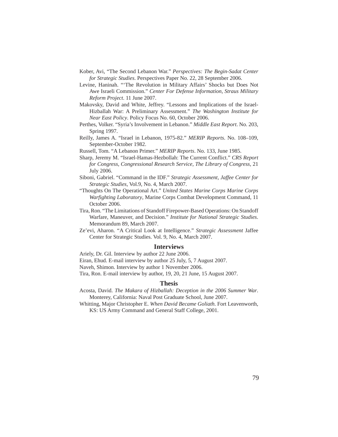- Kober, Avi, "The Second Lebanon War." *Perspectives: The Begin-Sadat Center for Strategic Studies*. Perspectives Paper No. 22, 28 September 2006.
- Levine, Haninah. "'The Revolution in Military Affairs' Shocks but Does Not Awe Israeli Commission." *Center For Defense Information, Straus Military Reform Project*. 11 June 2007.
- Makovsky, David and White, Jeffrey. "Lessons and Implications of the Israel-Hizballah War: A Preliminary Assessment." *The Washington Institute for Near East Policy*. Policy Focus No. 60, October 2006.
- Perthes, Volker. "Syria's Involvement in Lebanon." *Middle East Report*. No. 203, Spring 1997.
- Reilly, James A. "Israel in Lebanon, 1975-82." *MERIP Reports*. No. 108–109, September-October 1982.
- Russell, Tom. "A Lebanon Primer." *MERIP Reports*. No. 133, June 1985.
- Sharp, Jeremy M. "Israel-Hamas-Hezbollah: The Current Conflict." *CRS Report for Congress, Congressional Research Service, The Library of Congress,* 21 July 2006.
- Siboni, Gabriel. "Command in the IDF." *Strategic Assessment, Jaffee Center for Strategic Studies,* Vol.9, No. 4, March 2007.
- "Thoughts On The Operational Art." *United States Marine Corps Marine Corps Warfighting Laboratory*, Marine Corps Combat Development Command, 11 October 2006.
- Tira, Ron. "The Limitations of Standoff Firepower-Based Operations: On Standoff Warfare, Maneuver, and Decision." *Institute for National Strategic Studies*. Memorandum 89, March 2007.
- Ze'evi, Aharon. "A Critical Look at Intelligence." *Strategic Assessment* Jaffee Center for Strategic Studies. Vol. 9, No. 4, March 2007.

#### **Interviews**

Ariely, Dr. Gil. Interview by author 22 June 2006.

Eiran, Ehud. E-mail interview by author 25 July, 5, 7 August 2007.

Naveh, Shimon. Interview by author 1 November 2006.

Tira, Ron. E-mail interview by author, 19, 20, 21 June, 15 August 2007.

### **Thesis**

- Acosta, David. *The Makara of Hizballah: Deception in the 2006 Summer War*. Monterey, California: Naval Post Graduate School, June 2007.
- Whitting, Major Christopher E. *When David Became Goliath*. Fort Leavenworth, KS: US Army Command and General Staff College, 2001.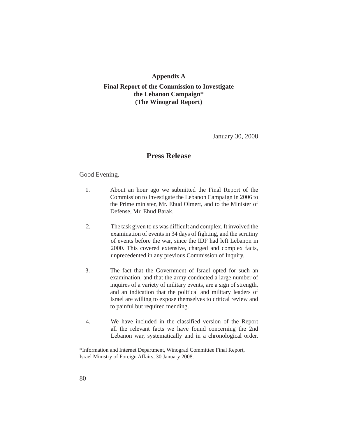# **Appendix A Final Report of the Commission to Investigate the Lebanon Campaign\* (The Winograd Report)**

January 30, 2008

# **Press Release**

# Good Evening.

- 1. About an hour ago we submitted the Final Report of the Commission to Investigate the Lebanon Campaign in 2006 to the Prime minister, Mr. Ehud Olmert, and to the Minister of Defense, Mr. Ehud Barak.
- 2. The task given to us was difficult and complex. It involved the examination of events in 34 days of fighting, and the scrutiny of events before the war, since the IDF had left Lebanon in 2000. This covered extensive, charged and complex facts, unprecedented in any previous Commission of Inquiry.
- 3. The fact that the Government of Israel opted for such an examination, and that the army conducted a large number of inquires of a variety of military events, are a sign of strength, and an indication that the political and military leaders of Israel are willing to expose themselves to critical review and to painful but required mending.
- 4. We have included in the classified version of the Report all the relevant facts we have found concerning the 2nd Lebanon war, systematically and in a chronological order.

\*Information and Internet Department, Winograd Committee Final Report, Israel Ministry of Foreign Affairs, 30 January 2008.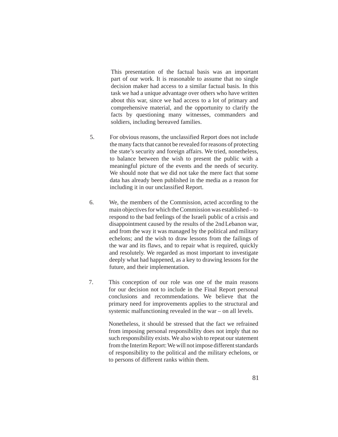This presentation of the factual basis was an important part of our work. It is reasonable to assume that no single decision maker had access to a similar factual basis. In this task we had a unique advantage over others who have written about this war, since we had access to a lot of primary and comprehensive material, and the opportunity to clarify the facts by questioning many witnesses, commanders and soldiers, including bereaved families.

- 5. For obvious reasons, the unclassified Report does not include the many facts that cannot be revealed for reasons of protecting the state's security and foreign affairs. We tried, nonetheless, to balance between the wish to present the public with a meaningful picture of the events and the needs of security. We should note that we did not take the mere fact that some data has already been published in the media as a reason for including it in our unclassified Report.
- 6. We, the members of the Commission, acted according to the main objectives for which the Commission was established – to respond to the bad feelings of the Israeli public of a crisis and disappointment caused by the results of the 2nd Lebanon war, and from the way it was managed by the political and military echelons; and the wish to draw lessons from the failings of the war and its flaws, and to repair what is required, quickly and resolutely. We regarded as most important to investigate deeply what had happened, as a key to drawing lessons for the future, and their implementation.
- 7. This conception of our role was one of the main reasons for our decision not to include in the Final Report personal conclusions and recommendations. We believe that the primary need for improvements applies to the structural and systemic malfunctioning revealed in the war – on all levels.

Nonetheless, it should be stressed that the fact we refrained from imposing personal responsibility does not imply that no such responsibility exists. We also wish to repeat our statement from the Interim Report: We will not impose different standards of responsibility to the political and the military echelons, or to persons of different ranks within them.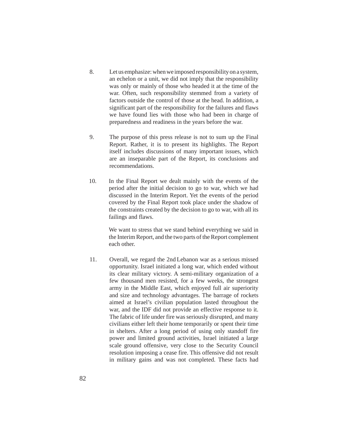- 8. Let us emphasize: when we imposed responsibility on a system, an echelon or a unit, we did not imply that the responsibility was only or mainly of those who headed it at the time of the war. Often, such responsibility stemmed from a variety of factors outside the control of those at the head. In addition, a significant part of the responsibility for the failures and flaws we have found lies with those who had been in charge of preparedness and readiness in the years before the war.
- 9. The purpose of this press release is not to sum up the Final Report. Rather, it is to present its highlights. The Report itself includes discussions of many important issues, which are an inseparable part of the Report, its conclusions and recommendations.
- 10. In the Final Report we dealt mainly with the events of the period after the initial decision to go to war, which we had discussed in the Interim Report. Yet the events of the period covered by the Final Report took place under the shadow of the constraints created by the decision to go to war, with all its failings and flaws.

We want to stress that we stand behind everything we said in the Interim Report, and the two parts of the Report complement each other.

11. Overall, we regard the 2nd Lebanon war as a serious missed opportunity. Israel initiated a long war, which ended without its clear military victory. A semi-military organization of a few thousand men resisted, for a few weeks, the strongest army in the Middle East, which enjoyed full air superiority and size and technology advantages. The barrage of rockets aimed at Israel's civilian population lasted throughout the war, and the IDF did not provide an effective response to it. The fabric of life under fire was seriously disrupted, and many civilians either left their home temporarily or spent their time in shelters. After a long period of using only standoff fire power and limited ground activities, Israel initiated a large scale ground offensive, very close to the Security Council resolution imposing a cease fire. This offensive did not result in military gains and was not completed. These facts had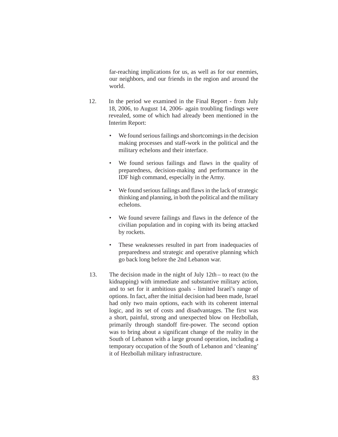far-reaching implications for us, as well as for our enemies, our neighbors, and our friends in the region and around the world.

- 12. In the period we examined in the Final Report from July 18, 2006, to August 14, 2006- again troubling findings were revealed, some of which had already been mentioned in the Interim Report:
	- • We found serious failings and shortcomings in the decision making processes and staff-work in the political and the military echelons and their interface.
	- We found serious failings and flaws in the quality of preparedness, decision-making and performance in the IDF high command, especially in the Army.
	- We found serious failings and flaws in the lack of strategic thinking and planning, in both the political and the military echelons.
	- We found severe failings and flaws in the defence of the civilian population and in coping with its being attacked by rockets.
	- These weaknesses resulted in part from inadequacies of preparedness and strategic and operative planning which go back long before the 2nd Lebanon war.
- 13. The decision made in the night of July 12th to react (to the kidnapping) with immediate and substantive military action, and to set for it ambitious goals - limited Israel's range of options. In fact, after the initial decision had been made, Israel had only two main options, each with its coherent internal logic, and its set of costs and disadvantages. The first was a short, painful, strong and unexpected blow on Hezbollah, primarily through standoff fire-power. The second option was to bring about a significant change of the reality in the South of Lebanon with a large ground operation, including a temporary occupation of the South of Lebanon and 'cleaning' it of Hezbollah military infrastructure.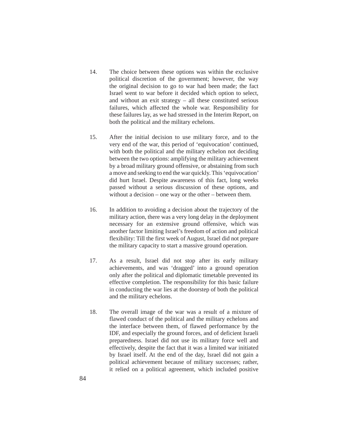- 14. The choice between these options was within the exclusive political discretion of the government; however, the way the original decision to go to war had been made; the fact Israel went to war before it decided which option to select, and without an exit strategy – all these constituted serious failures, which affected the whole war. Responsibility for these failures lay, as we had stressed in the Interim Report, on both the political and the military echelons.
- 15. After the initial decision to use military force, and to the very end of the war, this period of 'equivocation' continued, with both the political and the military echelon not deciding between the two options: amplifying the military achievement by a broad military ground offensive, or abstaining from such a move and seeking to end the war quickly. This 'equivocation' did hurt Israel. Despite awareness of this fact, long weeks passed without a serious discussion of these options, and without a decision – one way or the other – between them.
- 16. In addition to avoiding a decision about the trajectory of the military action, there was a very long delay in the deployment necessary for an extensive ground offensive, which was another factor limiting Israel's freedom of action and political flexibility: Till the first week of August, Israel did not prepare the military capacity to start a massive ground operation.
- 17. As a result, Israel did not stop after its early military achievements, and was 'dragged' into a ground operation only after the political and diplomatic timetable prevented its effective completion. The responsibility for this basic failure in conducting the war lies at the doorstep of both the political and the military echelons.
- 18. The overall image of the war was a result of a mixture of flawed conduct of the political and the military echelons and the interface between them, of flawed performance by the IDF, and especially the ground forces, and of deficient Israeli preparedness. Israel did not use its military force well and effectively, despite the fact that it was a limited war initiated by Israel itself. At the end of the day, Israel did not gain a political achievement because of military successes; rather, it relied on a political agreement, which included positive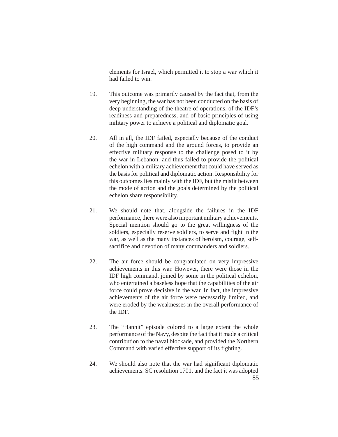elements for Israel, which permitted it to stop a war which it had failed to win.

- 19. This outcome was primarily caused by the fact that, from the very beginning, the war has not been conducted on the basis of deep understanding of the theatre of operations, of the IDF's readiness and preparedness, and of basic principles of using military power to achieve a political and diplomatic goal.
- 20. All in all, the IDF failed, especially because of the conduct of the high command and the ground forces, to provide an effective military response to the challenge posed to it by the war in Lebanon, and thus failed to provide the political echelon with a military achievement that could have served as the basis for political and diplomatic action. Responsibility for this outcomes lies mainly with the IDF, but the misfit between the mode of action and the goals determined by the political echelon share responsibility.
- 21. We should note that, alongside the failures in the IDF performance, there were also important military achievements. Special mention should go to the great willingness of the soldiers, especially reserve soldiers, to serve and fight in the war, as well as the many instances of heroism, courage, selfsacrifice and devotion of many commanders and soldiers.
- 22. The air force should be congratulated on very impressive achievements in this war. However, there were those in the IDF high command, joined by some in the political echelon, who entertained a baseless hope that the capabilities of the air force could prove decisive in the war. In fact, the impressive achievements of the air force were necessarily limited, and were eroded by the weaknesses in the overall performance of the IDF.
- 23. The "Hannit" episode colored to a large extent the whole performance of the Navy, despite the fact that it made a critical contribution to the naval blockade, and provided the Northern Command with varied effective support of its fighting.
- 24. We should also note that the war had significant diplomatic achievements. SC resolution 1701, and the fact it was adopted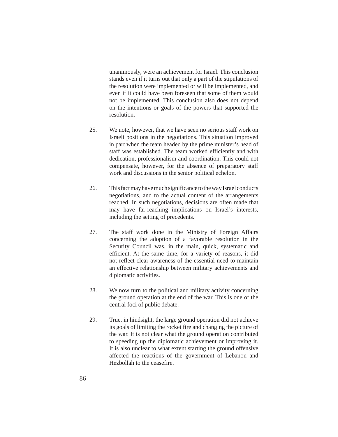unanimously, were an achievement for Israel. This conclusion stands even if it turns out that only a part of the stipulations of the resolution were implemented or will be implemented, and even if it could have been foreseen that some of them would not be implemented. This conclusion also does not depend on the intentions or goals of the powers that supported the resolution.

- 25. We note, however, that we have seen no serious staff work on Israeli positions in the negotiations. This situation improved in part when the team headed by the prime minister's head of staff was established. The team worked efficiently and with dedication, professionalism and coordination. This could not compensate, however, for the absence of preparatory staff work and discussions in the senior political echelon.
- 26. This fact may have much significance to the way Israel conducts negotiations, and to the actual content of the arrangements reached. In such negotiations, decisions are often made that may have far-reaching implications on Israel's interests, including the setting of precedents.
- 27. The staff work done in the Ministry of Foreign Affairs concerning the adoption of a favorable resolution in the Security Council was, in the main, quick, systematic and efficient. At the same time, for a variety of reasons, it did not reflect clear awareness of the essential need to maintain an effective relationship between military achievements and diplomatic activities.
- 28. We now turn to the political and military activity concerning the ground operation at the end of the war. This is one of the central foci of public debate.
- 29. True, in hindsight, the large ground operation did not achieve its goals of limiting the rocket fire and changing the picture of the war. It is not clear what the ground operation contributed to speeding up the diplomatic achievement or improving it. It is also unclear to what extent starting the ground offensive affected the reactions of the government of Lebanon and Hezbollah to the ceasefire.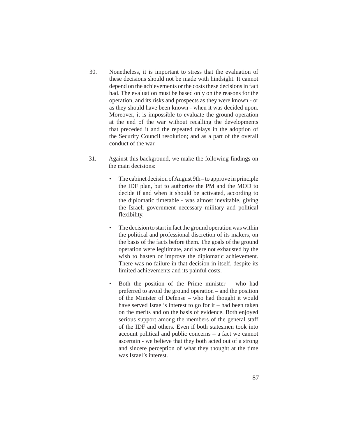- 30. Nonetheless, it is important to stress that the evaluation of these decisions should not be made with hindsight. It cannot depend on the achievements or the costs these decisions in fact had. The evaluation must be based only on the reasons for the operation, and its risks and prospects as they were known - or as they should have been known - when it was decided upon. Moreover, it is impossible to evaluate the ground operation at the end of the war without recalling the developments that preceded it and the repeated delays in the adoption of the Security Council resolution; and as a part of the overall conduct of the war.
- 31. Against this background, we make the following findings on the main decisions:
	- The cabinet decision of August 9th– to approve in principle the IDF plan, but to authorize the PM and the MOD to decide if and when it should be activated, according to the diplomatic timetable - was almost inevitable, giving the Israeli government necessary military and political flexibility.
	- The decision to start in fact the ground operation was within the political and professional discretion of its makers, on the basis of the facts before them. The goals of the ground operation were legitimate, and were not exhausted by the wish to hasten or improve the diplomatic achievement. There was no failure in that decision in itself, despite its limited achievements and its painful costs.
	- Both the position of the Prime minister who had preferred to avoid the ground operation – and the position of the Minister of Defense – who had thought it would have served Israel's interest to go for it – had been taken on the merits and on the basis of evidence. Both enjoyed serious support among the members of the general staff of the IDF and others. Even if both statesmen took into account political and public concerns – a fact we cannot ascertain - we believe that they both acted out of a strong and sincere perception of what they thought at the time was Israel's interest.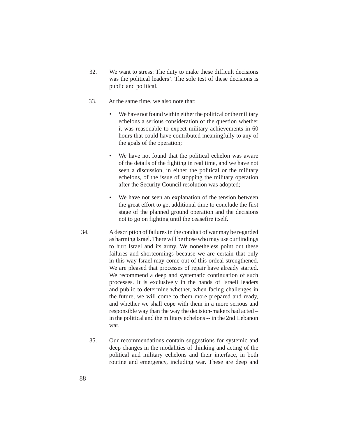- 32. We want to stress: The duty to make these difficult decisions was the political leaders'. The sole test of these decisions is public and political.
- 33. At the same time, we also note that:
	- We have not found within either the political or the military echelons a serious consideration of the question whether it was reasonable to expect military achievements in 60 hours that could have contributed meaningfully to any of the goals of the operation;
	- We have not found that the political echelon was aware of the details of the fighting in real time, and we have not seen a discussion, in either the political or the military echelons, of the issue of stopping the military operation after the Security Council resolution was adopted;
	- We have not seen an explanation of the tension between the great effort to get additional time to conclude the first stage of the planned ground operation and the decisions not to go on fighting until the ceasefire itself.
- 34. A description of failures in the conduct of war may be regarded as harming Israel. There will be those who may use our findings to hurt Israel and its army. We nonetheless point out these failures and shortcomings because we are certain that only in this way Israel may come out of this ordeal strengthened. We are pleased that processes of repair have already started. We recommend a deep and systematic continuation of such processes. It is exclusively in the hands of Israeli leaders and public to determine whether, when facing challenges in the future, we will come to them more prepared and ready, and whether we shall cope with them in a more serious and responsible way than the way the decision-makers had acted – in the political and the military echelons -- in the 2nd Lebanon war.
	- 35. Our recommendations contain suggestions for systemic and deep changes in the modalities of thinking and acting of the political and military echelons and their interface, in both routine and emergency, including war. These are deep and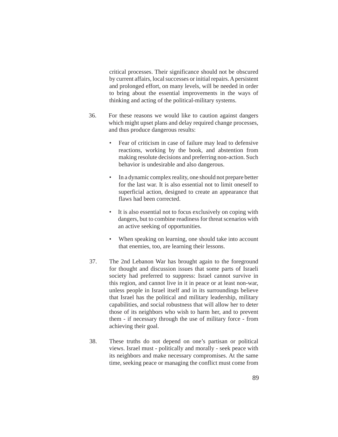critical processes. Their significance should not be obscured by current affairs, local successes or initial repairs. A persistent and prolonged effort, on many levels, will be needed in order to bring about the essential improvements in the ways of thinking and acting of the political-military systems.

- 36. For these reasons we would like to caution against dangers which might upset plans and delay required change processes, and thus produce dangerous results:
	- Fear of criticism in case of failure may lead to defensive reactions, working by the book, and abstention from making resolute decisions and preferring non-action. Such behavior is undesirable and also dangerous.
	- In a dynamic complex reality, one should not prepare better for the last war. It is also essential not to limit oneself to superficial action, designed to create an appearance that flaws had been corrected.
	- It is also essential not to focus exclusively on coping with dangers, but to combine readiness for threat scenarios with an active seeking of opportunities.
	- When speaking on learning, one should take into account that enemies, too, are learning their lessons.
- 37. The 2nd Lebanon War has brought again to the foreground for thought and discussion issues that some parts of Israeli society had preferred to suppress: Israel cannot survive in this region, and cannot live in it in peace or at least non-war, unless people in Israel itself and in its surroundings believe that Israel has the political and military leadership, military capabilities, and social robustness that will allow her to deter those of its neighbors who wish to harm her, and to prevent them - if necessary through the use of military force - from achieving their goal.
- 38. These truths do not depend on one's partisan or political views. Israel must - politically and morally - seek peace with its neighbors and make necessary compromises. At the same time, seeking peace or managing the conflict must come from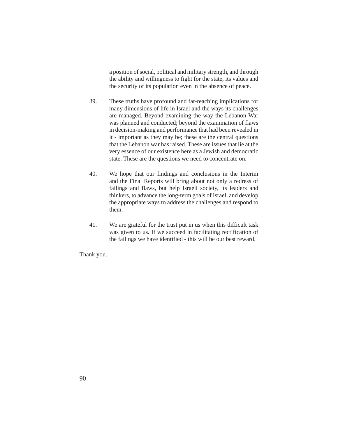a position of social, political and military strength, and through the ability and willingness to fight for the state, its values and the security of its population even in the absence of peace.

- 39. These truths have profound and far-reaching implications for many dimensions of life in Israel and the ways its challenges are managed. Beyond examining the way the Lebanon War was planned and conducted; beyond the examination of flaws in decision-making and performance that had been revealed in it - important as they may be; these are the central questions that the Lebanon war has raised. These are issues that lie at the very essence of our existence here as a Jewish and democratic state. These are the questions we need to concentrate on.
- 40. We hope that our findings and conclusions in the Interim and the Final Reports will bring about not only a redress of failings and flaws, but help Israeli society, its leaders and thinkers, to advance the long-term goals of Israel, and develop the appropriate ways to address the challenges and respond to them.
- 41. We are grateful for the trust put in us when this difficult task was given to us. If we succeed in facilitating rectification of the failings we have identified - this will be our best reward.

Thank you.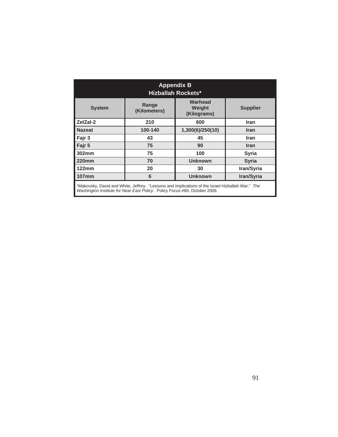| <b>Warhead</b><br>Range<br><b>Weight</b><br><b>Supplier</b><br><b>System</b><br>(Kilometers)<br>(Kilograms)<br>ZelZal-2<br>210<br>600<br><b>Iran</b><br>100-140<br>1,300(6)/250(10)<br><b>Nazeat</b><br><b>Iran</b><br>Fair 3<br>43<br>45<br>Iran<br>Fajr 5<br>75<br>90<br><b>Iran</b><br>302mm<br>75<br>100<br><b>Syria</b><br><b>Unknown</b><br>70<br><b>220mm</b><br><b>Syria</b><br>Iran/Syria<br>20<br>30<br>122mm | <b>Appendix B</b><br><b>Hizballah Rockets*</b> |  |  |  |  |
|-------------------------------------------------------------------------------------------------------------------------------------------------------------------------------------------------------------------------------------------------------------------------------------------------------------------------------------------------------------------------------------------------------------------------|------------------------------------------------|--|--|--|--|
|                                                                                                                                                                                                                                                                                                                                                                                                                         |                                                |  |  |  |  |
|                                                                                                                                                                                                                                                                                                                                                                                                                         |                                                |  |  |  |  |
|                                                                                                                                                                                                                                                                                                                                                                                                                         |                                                |  |  |  |  |
|                                                                                                                                                                                                                                                                                                                                                                                                                         |                                                |  |  |  |  |
|                                                                                                                                                                                                                                                                                                                                                                                                                         |                                                |  |  |  |  |
|                                                                                                                                                                                                                                                                                                                                                                                                                         |                                                |  |  |  |  |
|                                                                                                                                                                                                                                                                                                                                                                                                                         |                                                |  |  |  |  |
|                                                                                                                                                                                                                                                                                                                                                                                                                         |                                                |  |  |  |  |
| 6<br><b>Unknown</b><br>Iran/Syria<br><b>107mm</b>                                                                                                                                                                                                                                                                                                                                                                       |                                                |  |  |  |  |

\*Makovsky, David and White, Jeffrey. "Lessons and Implications of the Israel Hizballah War." *The Washington Institute for Near East Policy*. Policy Focus #60, October 2006.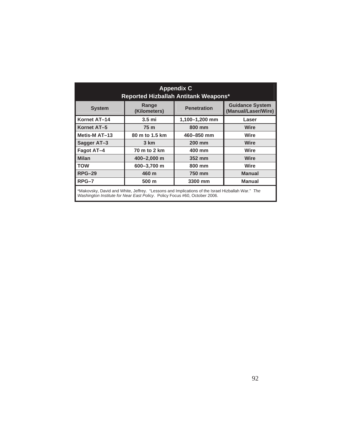| <b>Appendix C</b><br>Reported Hizballah Antitank Weapons* |                       |                    |                                               |  |
|-----------------------------------------------------------|-----------------------|--------------------|-----------------------------------------------|--|
| <b>System</b>                                             | Range<br>(Kilometers) | <b>Penetration</b> | <b>Guidance System</b><br>(Manual/Laser/Wire) |  |
| Kornet AT-14                                              | 3.5 <sub>m</sub>      | 1,100-1,200 mm     | Laser                                         |  |
| Kornet AT-5                                               | 75 m                  | 800 mm             | Wire                                          |  |
| Metis-M AT-13                                             | 80 m to 1.5 km        | 460-850 mm         | Wire                                          |  |
| Sagger AT-3                                               | 3 km                  | 200 mm             | <b>Wire</b>                                   |  |
| Fagot AT-4                                                | 70 m to 2 km          | 400 mm             | Wire                                          |  |
| <b>Milan</b>                                              | 400-2,000 m           | 352 mm             | <b>Wire</b>                                   |  |
| <b>TOW</b>                                                | 600-3,700 m           | 800 mm             | Wire                                          |  |
| $RPG-29$                                                  | 460 m                 | 750 mm             | <b>Manual</b>                                 |  |
| $RPG-7$                                                   | 500 m                 | 3300 mm            | <b>Manual</b>                                 |  |

\*Makovsky, David and White, Jeffrey. "Lessons and Implications of the Israel Hizballah War." *The Washington Institute for Near East Policy*. Policy Focus #60, October 2006.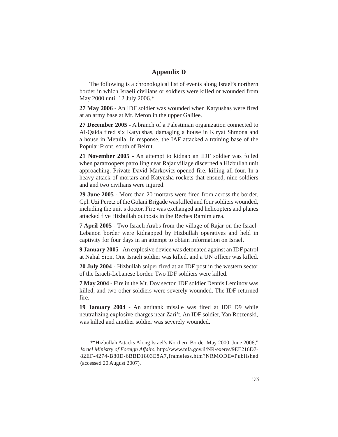# **Appendix D**

The following is a chronological list of events along Israel's northern border in which Israeli civilians or soldiers were killed or wounded from May 2000 until 12 July 2006.\*

**27 May 2006** - An IDF soldier was wounded when Katyushas were fired at an army base at Mt. Meron in the upper Galilee.

**27 December 2005** - A branch of a Palestinian organization connected to Al-Qaida fired six Katyushas, damaging a house in Kiryat Shmona and a house in Metulla. In response, the IAF attacked a training base of the Popular Front, south of Beirut.

**21 November 2005** - An attempt to kidnap an IDF soldier was foiled when paratroopers patrolling near Rajar village discerned a Hizbullah unit approaching. Private David Markovitz opened fire, killing all four. In a heavy attack of mortars and Katyusha rockets that ensued, nine soldiers and and two civilians were injured.

**29 June 2005** - More than 20 mortars were fired from across the border. Cpl. Uzi Peretz of the Golani Brigade was killed and four soldiers wounded, including the unit's doctor. Fire was exchanged and helicopters and planes attacked five Hizbullah outposts in the Reches Ramim area.

**7 April 2005** - Two Israeli Arabs from the village of Rajar on the Israel-Lebanon border were kidnapped by Hizbullah operatives and held in captivity for four days in an attempt to obtain information on Israel.

**9 January 2005** - An explosive device was detonated against an IDF patrol at Nahal Sion. One Israeli soldier was killed, and a UN officer was killed.

**20 July 2004** - Hizbullah sniper fired at an IDF post in the western sector of the Israeli-Lebanese border. Two IDF soldiers were killed.

**7 May 2004** - Fire in the Mt. Dov sector. IDF soldier Dennis Leminov was killed, and two other soldiers were severely wounded. The IDF returned fire.

**19 January 2004** - An antitank missile was fired at IDF D9 while neutralizing explosive charges near Zari't. An IDF soldier, Yan Rotzenski, was killed and another soldier was severely wounded.

\*"Hizbullah Attacks Along Israel's Northern Border May 2000–June 2006," *Israel Ministry of Foreign Affairs*, http://www.mfa.gov.il/NR/exeres/9EE216D7- 82EF-4274-B80D-6BBD1803E8A7,frameless.htm?NRMODE=Published (accessed 20 August 2007).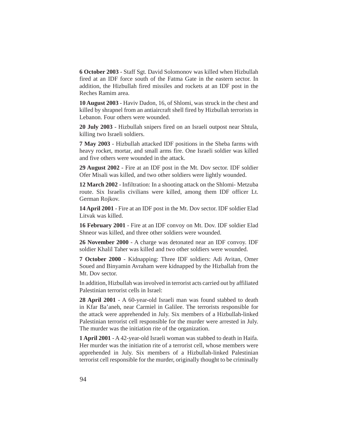**6 October 2003** - Staff Sgt. David Solomonov was killed when Hizbullah fired at an IDF force south of the Fatma Gate in the eastern sector. In addition, the Hizbullah fired missiles and rockets at an IDF post in the Reches Ramim area.

**10 August 2003** - Haviv Dadon, 16, of Shlomi, was struck in the chest and killed by shrapnel from an antiaircraft shell fired by Hizbullah terrorists in Lebanon. Four others were wounded.

**20 July 2003** - Hizbullah snipers fired on an Israeli outpost near Shtula, killing two Israeli soldiers.

**7 May 2003** - Hizbullah attacked IDF positions in the Sheba farms with heavy rocket, mortar, and small arms fire. One Israeli soldier was killed and five others were wounded in the attack.

**29 August 2002** - Fire at an IDF post in the Mt. Dov sector. IDF soldier Ofer Misali was killed, and two other soldiers were lightly wounded.

**12 March 2002** - Infiltration: In a shooting attack on the Shlomi- Metzuba route. Six Israelis civilians were killed, among them IDF officer Lt. German Rojkov.

**14 April 2001** - Fire at an IDF post in the Mt. Dov sector. IDF soldier Elad Litvak was killed.

**16 February 2001** - Fire at an IDF convoy on Mt. Dov. IDF soldier Elad Shneor was killed, and three other soldiers were wounded.

**26 November 2000** - A charge was detonated near an IDF convoy. IDF soldier Khalil Taher was killed and two other soldiers were wounded.

**7 October 2000** - Kidnapping: Three IDF soldiers: Adi Avitan, Omer Soued and Binyamin Avraham were kidnapped by the Hizballah from the Mt. Dov sector.

In addition, Hizbullah was involved in terrorist acts carried out by affiliated Palestinian terrorist cells in Israel:

**28 April 2001** - A 60-year-old Israeli man was found stabbed to death in Kfar Ba'aneh, near Carmiel in Galilee. The terrorists responsible for the attack were apprehended in July. Six members of a Hizbullah-linked Palestinian terrorist cell responsible for the murder were arrested in July. The murder was the initiation rite of the organization.

**1 April 2001** - A 42-year-old Israeli woman was stabbed to death in Haifa. Her murder was the initiation rite of a terrorist cell, whose members were apprehended in July. Six members of a Hizbullah-linked Palestinian terrorist cell responsible for the murder, originally thought to be criminally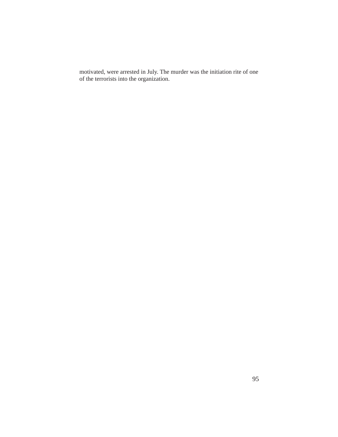motivated, were arrested in July. The murder was the initiation rite of one of the terrorists into the organization.